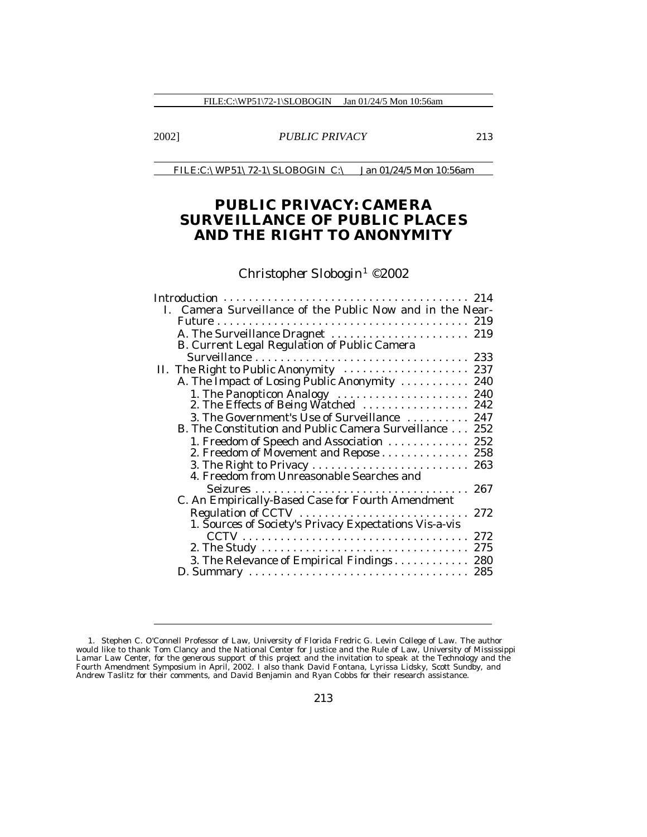FILE:C:\WP51\72-1\SLOBOGIN Jan 01/24/5 Mon 10:56am

# 2002] *PUBLIC PRIVACY* 213

FILE:C:\WP51\72-1\SLOBOGIN C:\ Jan 01/24/5 Mon 10:56am

# **PUBLIC PRIVACY: CAMERA SURVEILLANCE OF PUBLIC PLACES AND THE RIGHT TO ANONYMITY**

*Christopher Slobogin<sup>1</sup> ©2002*

| I. Camera Surveillance of the Public Now and in the Near- |     |
|-----------------------------------------------------------|-----|
|                                                           |     |
| A. The Surveillance Dragnet  219                          |     |
| B. Current Legal Regulation of Public Camera              |     |
|                                                           |     |
| II. The Right to Public Anonymity  237                    |     |
| A. The Impact of Losing Public Anonymity                  | 240 |
| 1. The Panopticon Analogy  240                            |     |
| 2. The Effects of Being Watched  242                      |     |
| 3. The Government's Use of Surveillance                   | 247 |
| B. The Constitution and Public Camera Surveillance        | 252 |
| 1. Freedom of Speech and Association 252                  |     |
| 2. Freedom of Movement and Repose                         | 258 |
|                                                           |     |
| 4. Freedom from Unreasonable Searches and                 |     |
|                                                           | 267 |
| C. An Empirically-Based Case for Fourth Amendment         |     |
| Regulation of CCTV                                        | 272 |
| 1. Sources of Society's Privacy Expectations Vis-a-vis    |     |
|                                                           | 272 |
|                                                           | 275 |
| 3. The Relevance of Empirical Findings                    | 280 |
|                                                           | 285 |

<sup>1.</sup> Stephen C. O'Connell Professor of Law, University of Florida Fredric G. Levin College of Law. The author would like to thank Tom Clancy and the National Center for Justice and the Rule of Law, University of Mississippi Lamar Law Center, for the generous support of this project and the invitation to speak at the Technology and the Fourth Amendment Symposium in April, 2002. I also thank David Fontana, Lyrissa Lidsky, Scott Sundby, and Andrew Taslitz for their comments, and David Benjamin and Ryan Cobbs for their research assistance.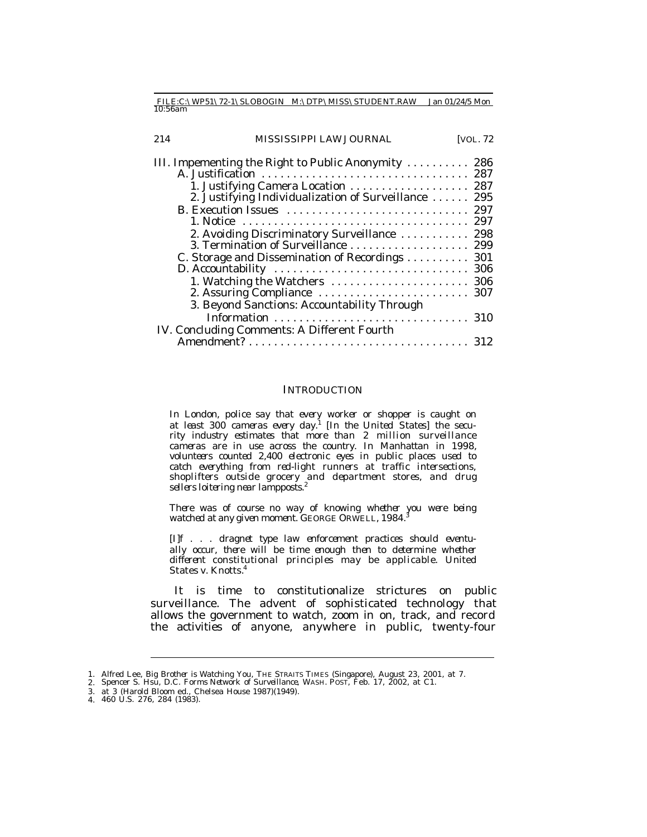| FILE:C:\WP51\72-1\SLOBOGIN M:\DTP\MISS\STUDENT.RAW<br>Jan 01/24/5 Mon<br>10:56am |     |
|----------------------------------------------------------------------------------|-----|
|                                                                                  |     |
| MISSISSIPPI LAW JOURNAL<br>214<br>[ <sub>VOL</sub> , 72]                         |     |
| III. Impementing the Right to Public Anonymity                                   | 286 |
|                                                                                  | 287 |
| 1. Justifying Camera Location                                                    | 287 |
| 2. Justifying Individualization of Surveillance                                  | 295 |
|                                                                                  | 297 |
|                                                                                  | 297 |
| 2. Avoiding Discriminatory Surveillance                                          | 298 |
|                                                                                  | 299 |
| C. Storage and Dissemination of Recordings                                       | 301 |
|                                                                                  | 306 |
| 1. Watching the Watchers                                                         | 306 |
| 2. Assuring Compliance                                                           | 307 |
| 3. Beyond Sanctions: Accountability Through                                      |     |
| IV. Concluding Comments: A Different Fourth                                      |     |

#### **INTRODUCTION**

*In London, police say that every worker or shopper is caught on at least 300 cameras every day.*<sup>1</sup> *[In the United States] the security industry estimates that more than 2 million surveillance cameras are in use across the country. In Manhattan in 1998, volunteers counted 2,400 electronic eyes in public places used to catch everything from red-light runners at traffic intersections, shoplifters outside grocery and department stores, and drug sellers loitering near lampposts.*<sup>2</sup>

*There was of course no way of knowing whether you were being watched at any given moment.* GEORGE ORWELL, *1984*. 3

*[I]f . . . dragnet type law enforcement practices should eventually occur, there will be time enough then to determine whether different constitutional principles may be applicable.* United States v. Knotts.<sup>4</sup>

It is time to constitutionalize strictures on public surveillance. The advent of sophisticated technology that allows the government to watch, zoom in on, track, and record the activities of anyone, anywhere in public, twenty-four

4. 460 U.S. 276, 284 (1983).

<sup>1.</sup> Alfred Lee, *Big Brother is Watching You*, THE STRAITS TIMES (Singapore), August 23, 2001, at 7.<br>2. Spencer S. Hsu, *D.C. Forms Network of Surveillance*, WASH. POST, Feb. 17, 2002, at C1.

<sup>3.</sup> at 3 (Harold Bloom ed., Chelsea House 1987)(1949).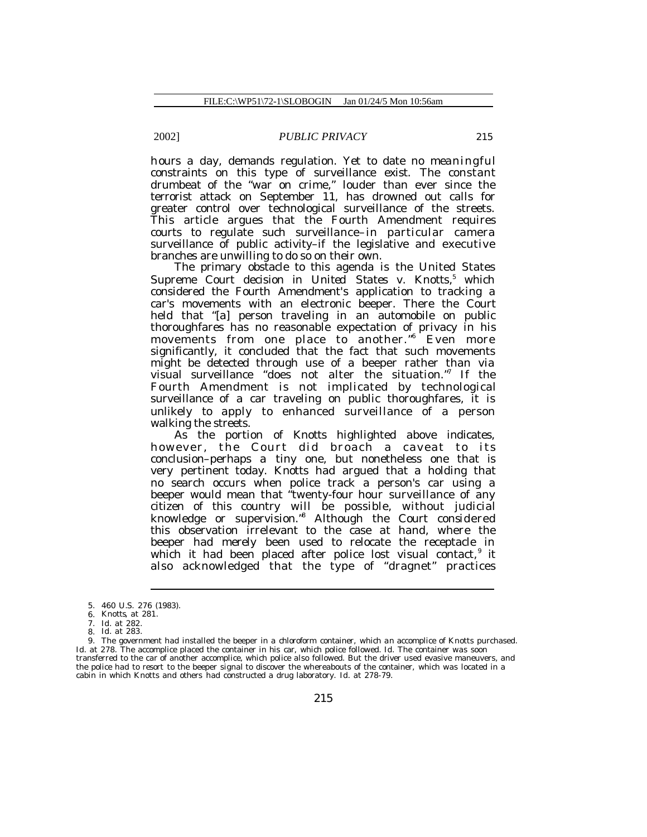hours a day, demands regulation. Yet to date no meaningful constraints on this type of surveillance exist. The constant drumbeat of the "war on crime," louder than ever since the terrorist attack on September 11, has drowned out calls for greater control over technological surveillance of the streets. This article argues that the Fourth Amendment requires courts to regulate such surveillance–in particular camera surveillance of public activity–if the legislative and executive branches are unwilling to do so on their own.

The primary obstacle to this agenda is the United States Supreme Court decision in *United States v. Knotts*,<sup>5</sup> which considered the Fourth Amendment's application to tracking a car's movements with an electronic beeper. There the Court held that "[a] person traveling in an automobile on public thoroughfares has no reasonable expectation of privacy in his movements from one place to another."<sup>6</sup> Even more significantly, it concluded that the fact that such movements might be detected through use of a beeper rather than via visual surveillance "does not alter the situation."<sup>7</sup> If the Fourth Amendment is not implicated by technological surveillance of a car traveling on public thoroughfares, it is unlikely to apply to enhanced surveillance of a person walking the streets.

As the portion of *Knotts* highlighted above indicates, however, the Court did broach a caveat to its conclusion–perhaps a tiny one, but nonetheless one that is very pertinent today. Knotts had argued that a holding that no search occurs when police track a person's car using a beeper would mean that "twenty-four hour surveillance of any citizen of this country will be possible, without judicial knowledge or supervision."<sup>8</sup> Although the Court considered this observation irrelevant to the case at hand, where the beeper had merely been used to relocate the receptacle in which it had been placed after police lost visual contact,<sup>9</sup> it also acknowledged that the type of "dragnet" practices

<sup>5.</sup> 460 U.S. 276 (1983).

<sup>6.</sup> *Knotts*, at 281.

<sup>7.</sup> *Id*. at 282.

<sup>8.</sup> *Id*. at 283.

<sup>9.</sup> The government had installed the beeper in a chloroform container, which an accomplice of Knotts purchased. *Id*. at 278. The accomplice placed the container in his car, which police followed. *Id*. The container was soon transferred to the car of another accomplice, which police also followed. But the driver used evasive maneuvers, and the police had to resort to the beeper signal to discover the whereabouts of the container, which was located in a cabin in which Knotts and others had constructed a drug laboratory. *Id*. at 278-79.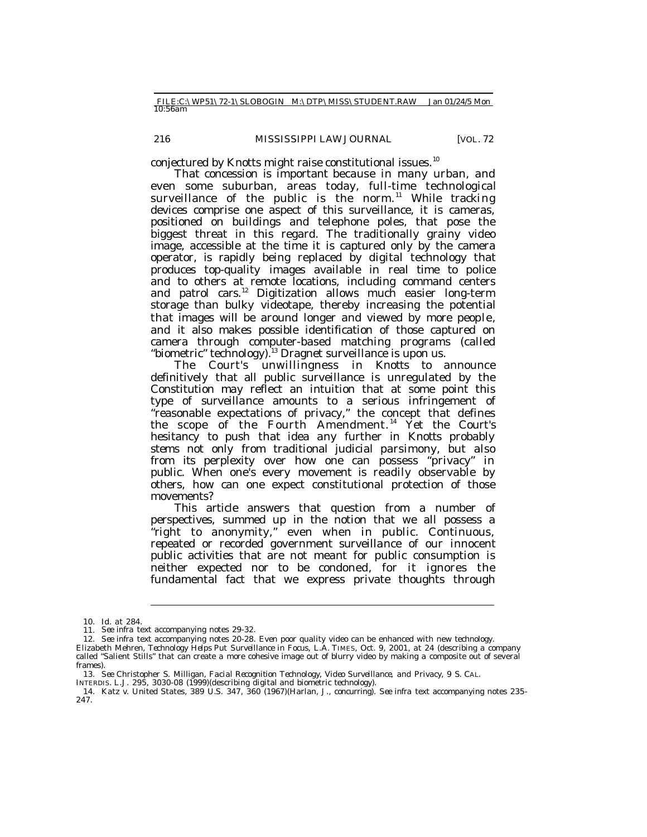conjectured by Knotts might raise constitutional issues.<sup>10</sup>

That concession is important because in many urban, and even some suburban, areas today, full-time technological surveillance of the public is the norm.<sup>11</sup> While tracking devices comprise one aspect of this surveillance, it is cameras, positioned on buildings and telephone poles, that pose the biggest threat in this regard. The traditionally grainy video image, accessible at the time it is captured only by the camera operator, is rapidly being replaced by digital technology that produces top-quality images available in real time to police and to others at remote locations, including command centers and patrol cars.<sup>12</sup> Digitization allows much easier long-term storage than bulky videotape, thereby increasing the potential that images will be around longer and viewed by more people, and it also makes possible identification of those captured on camera through computer-based matching programs (called "biometric" technology).<sup>13</sup> Dragnet surveillance is upon us.

The Court's unwillingness in *Knotts* to announce definitively that all public surveillance is unregulated by the Constitution may reflect an intuition that at some point this type of surveillance amounts to a serious infringement of "reasonable expectations of privacy," the concept that defines the scope of the Fourth Amendment. <sup>14</sup> Yet the Court's hesitancy to push that idea any further in *Knotts* probably stems not only from traditional judicial parsimony, but also from its perplexity over how one can possess "privacy" in public. When one's every movement is readily observable by others, how can one expect constitutional protection of those movements?

This article answers that question from a number of perspectives, summed up in the notion that we all possess a "right to anonymity," even when in public. Continuous, repeated or recorded government surveillance of our innocent public activities that are not meant for public consumption is neither expected nor to be condoned, for it ignores the fundamental fact that we express private thoughts through

<sup>10.</sup> *Id*. at 284.

<sup>11.</sup> *See infra* text accompanying notes 29-32.

<sup>12.</sup> *See infra* text accompanying notes 20-28. Even poor quality video can be enhanced with new technology.

Elizabeth Mehren, *Technology Helps Put Surveillance in Focus*, L.A. TIMES, Oct. 9, 2001, at 24 (describing a company called "Salient Stills" that can create a more cohesive image out of blurry video by making a composite out of several frames).

<sup>13.</sup> *See* Christopher S. Milligan, *Facial Recognition Technology, Video Surveillance, and Privacy*, 9 S. CAL. INTERDIS. L.J. 295, 3030-08 (1999)(describing digital and biometric technology).

<sup>14.</sup> Katz v. United States, 389 U.S. 347, 360 (1967)(Harlan, J., concurring). *See infra* text accompanying notes 235- 247.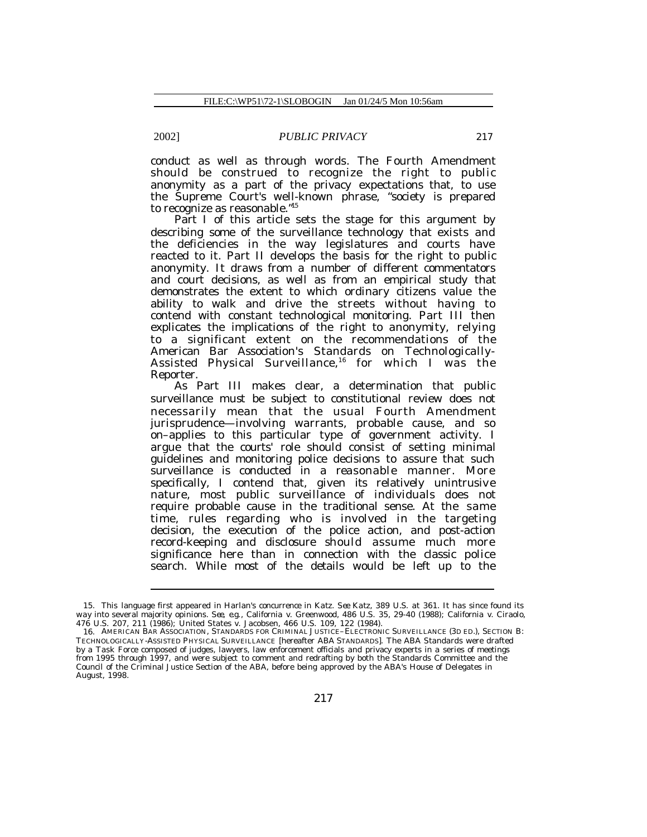conduct as well as through words. The Fourth Amendment should be construed to recognize the right to public anonymity as a part of the privacy expectations that, to use the Supreme Court's well-known phrase, "society is prepared to recognize as reasonable."<sup>15</sup>

Part I of this article sets the stage for this argument by describing some of the surveillance technology that exists and the deficiencies in the way legislatures and courts have reacted to it. Part II develops the basis for the right to public anonymity. It draws from a number of different commentators and court decisions, as well as from an empirical study that demonstrates the extent to which ordinary citizens value the ability to walk and drive the streets without having to contend with constant technological monitoring. Part III then explicates the implications of the right to anonymity, relying to a significant extent on the recommendations of the American Bar Association's Standards on Technologically-Assisted Physical Surveillance,<sup>16</sup> for which I was the Reporter.

As Part III makes clear, a determination that public surveillance must be subject to constitutional review does not necessarily mean that the usual Fourth Amendment jurisprudence—involving warrants, probable cause, and so on–applies to this particular type of government activity. I argue that the courts' role should consist of setting minimal guidelines and monitoring police decisions to assure that such surveillance is conducted in a reasonable manner. More specifically, I contend that, given its relatively unintrusive nature, most public surveillance of individuals does not require probable cause in the traditional sense. At the same time, rules regarding who is involved in the targeting decision, the execution of the police action, and post-action record-keeping and disclosure should assume much more significance here than in connection with the classic police search. While most of the details would be left up to the

<sup>15.</sup> This language first appeared in Harlan's concurrence in *Katz*. *See Katz*, 389 U.S. at 361*.* It has since found its way into several majority opinions. *See, e.g.*, California v. Greenwood, 486 U.S. 35, 29-40 (1988); California v. Ciraolo,

<sup>476</sup> U.S. 207, 211 (1986); United States v. Jacobsen, 466 U.S. 109, 122 (1984). 16. AMERICAN BAR ASSOCIATION, STANDARDS FOR CRIMINAL JUSTICE–ELECTRONIC SURVEILLANCE (3D ED.), SECTION B: TECHNOLOGICALLY-ASSISTED PHYSICAL SURVEILLANCE [hereafter ABA STANDARDS]. The ABA Standards were drafted by a Task Force composed of judges, lawyers, law enforcement officials and privacy experts in a series of meetings from 1995 through 1997, and were subject to comment and redrafting by both the Standards Committee and the Council of the Criminal Justice Section of the ABA, before being approved by the ABA's House of Delegates in August, 1998.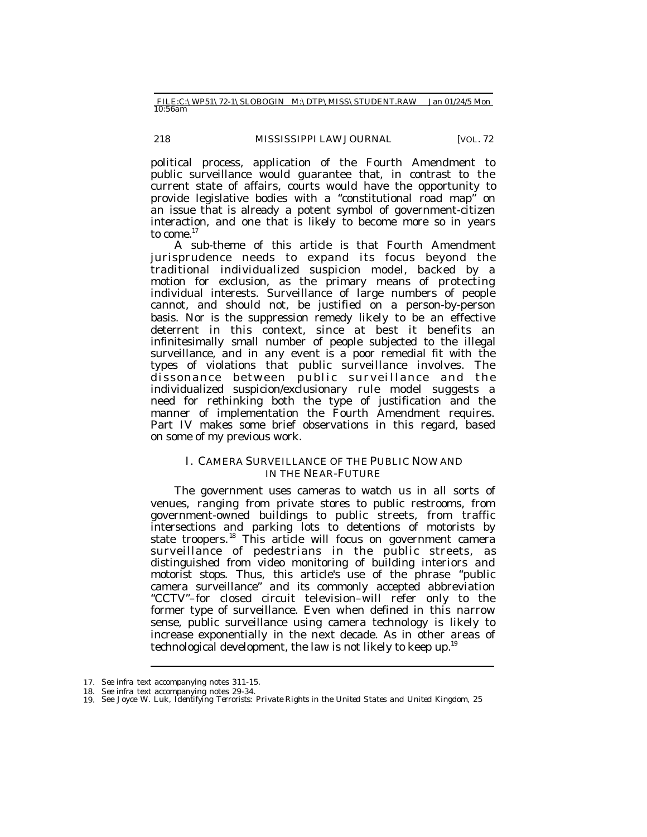political process, application of the Fourth Amendment to public surveillance would guarantee that, in contrast to the current state of affairs, courts would have the opportunity to provide legislative bodies with a "constitutional road map" on an issue that is already a potent symbol of government-citizen interaction, and one that is likely to become more so in years to come.<sup>17</sup>

A sub-theme of this article is that Fourth Amendment jurisprudence needs to expand its focus beyond the traditional individualized suspicion model, backed by a motion for exclusion, as the primary means of protecting individual interests. Surveillance of large numbers of people cannot, and should not, be justified on a person-by-person basis. Nor is the suppression remedy likely to be an effective deterrent in this context, since at best it benefits an infinitesimally small number of people subjected to the illegal surveillance, and in any event is a poor remedial fit with the types of violations that public surveillance involves. The dissonance between public surveillance and the individualized suspicion/exclusionary rule model suggests a need for rethinking both the type of justification and the manner of implementation the Fourth Amendment requires. Part IV makes some brief observations in this regard, based on some of my previous work.

## I. CAMERA SURVEILLANCE OF THE PUBLIC NOW AND IN THE NEAR-FUTURE

The government uses cameras to watch us in all sorts of venues, ranging from private stores to public restrooms, from government-owned buildings to public streets, from traffic intersections and parking lots to detentions of motorists by state troopers.<sup>18</sup> This article will focus on government camera surveillance of pedestrians in the public streets, as distinguished from video monitoring of building interiors and motorist stops. Thus, this article's use of the phrase "public camera surveillance" and its commonly accepted abbreviation "CCTV"–for closed circuit television–will refer only to the former type of surveillance. Even when defined in this narrow sense, public surveillance using camera technology is likely to increase exponentially in the next decade. As in other areas of technological development, the law is not likely to keep up.<sup>19</sup>

<sup>17.</sup> *See infra* text accompanying notes 311-15.

See *infra* text accompanying notes 29-34.

<sup>19.</sup> See Joyce W. Luk, *Identifying Terrorists: Private Rights in the United States and United Kingdom*, 25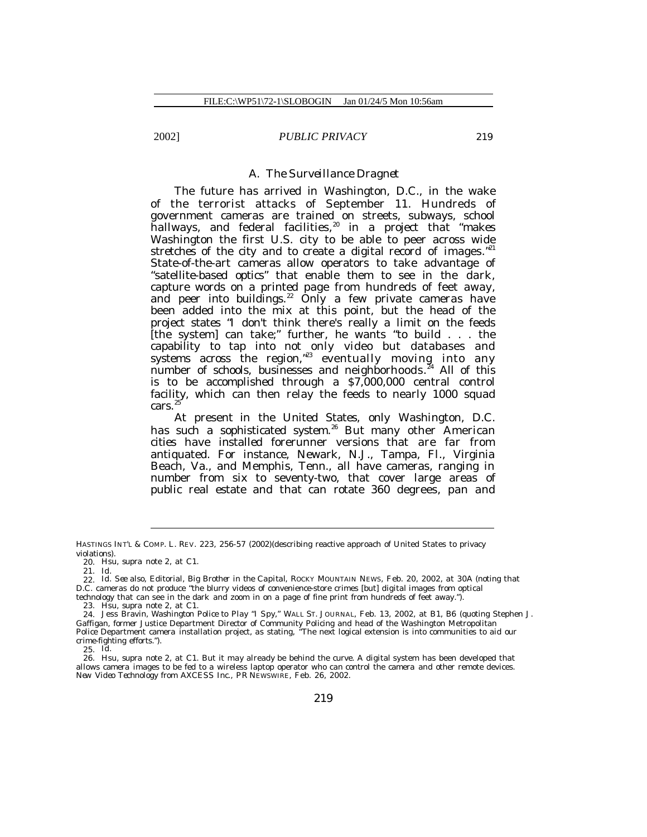## *A. The Surveillance Dragnet*

The future has arrived in Washington, D.C., in the wake of the terrorist attacks of September 11. Hundreds of government cameras are trained on streets, subways, school  $\mathrm{\check{h}}$ allways, and federal facilities, $^{20}$  in a project that "makes Washington the first U.S. city to be able to peer across wide stretches of the city and to create a digital record of images."<sup>21</sup> State-of-the-art cameras allow operators to take advantage of "satellite-based optics" that enable them to see in the dark, capture words on a printed page from hundreds of feet away, and peer into buildings.<sup>22</sup> Only a few private cameras have been added into the mix at this point, but the head of the project states "I don't think there's really a limit on the feeds [the system] can take;" further, he wants "to build . . . the capability to tap into not only video but databases and systems across the region,"<sup>23</sup> eventually moving into any number of schools, businesses and neighborhoods.<sup>24</sup> All of this is to be accomplished through a \$7,000,000 central control facility, which can then relay the feeds to nearly 1000 squad cars. $25$ 

At present in the United States, only Washington, D.C. has such a sophisticated system.<sup>26</sup> But many other American cities have installed forerunner versions that are far from antiquated. For instance, Newark, N.J., Tampa, Fl., Virginia Beach, Va., and Memphis, Tenn., all have cameras, ranging in number from six to seventy-two, that cover large areas of public real estate and that can rotate 360 degrees, pan and

25. *Id*.

26. Hsu, *supra* note 2, at C1. But it may already be behind the curve. A digital system has been developed that allows camera images to be fed to a wireless laptop operator who can control the camera and other remote devices. *New Video Technology from AXCESS Inc*., PR NEWSWIRE, Feb. 26, 2002.

HASTINGS INT'L & COMP. L. REV. 223, 256-57 (2002)(describing reactive approach of United States to privacy violations).

<sup>20.</sup> Hsu, *supra* note 2, at C1.

<sup>21.</sup> *Id*.

<sup>22.</sup> *Id*. *See also*, Editorial, *Big Brother in the Capital*, ROCKY MOUNTAIN NEWS, Feb. 20, 2002, at 30A (noting that D.C. cameras do not produce "the blurry videos of convenience-store crimes [but] digital images from optical technology that can see in the dark and zoom in on a page of fine print from hundreds of feet away.").

<sup>23.</sup> Hsu, *supra* note 2, at C1.

<sup>24.</sup> Jess Bravin, *Washington Police to Play "I Spy*," WALL ST. JOURNAL, Feb. 13, 2002, at B1, B6 (quoting Stephen J. Gaffigan, former Justice Department Director of Community Policing and head of the Washington Metropolitan Police Department camera installation project, as stating, "The next logical extension is into communities to aid our crime-fighting efforts.").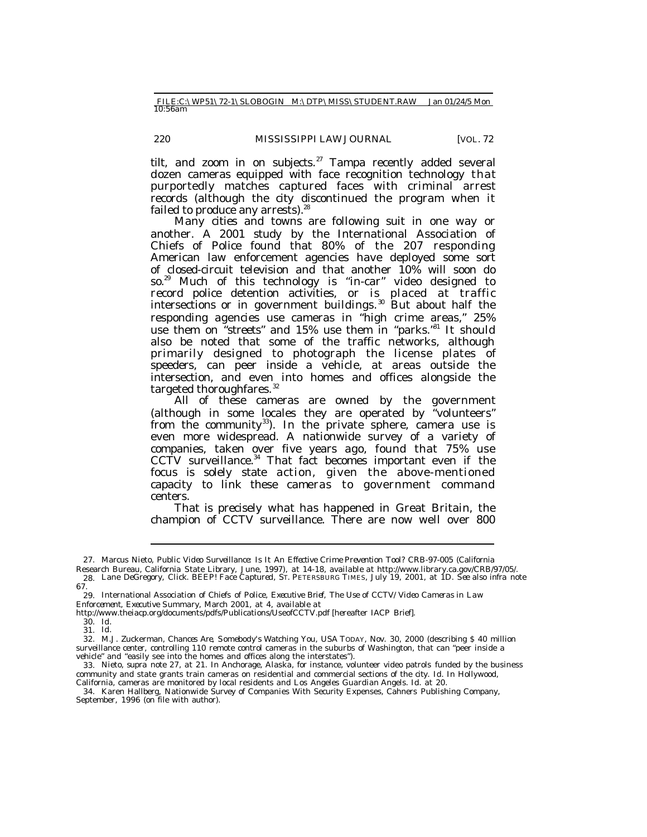tilt, and zoom in on subjects.<sup>27</sup> Tampa recently added several dozen cameras equipped with face recognition technology that purportedly matches captured faces with criminal arrest records (although the city discontinued the program when it failed to produce any arrests). $^{28}$ 

Many cities and towns are following suit in one way or another. A 2001 study by the International Association of Chiefs of Police found that 80% of the 207 responding American law enforcement agencies have deployed some sort of closed-circuit television and that another 10% will soon do so.<sup>29</sup> Much of this technology is "in-car" video designed to record police detention activities, or is placed at traffic intersections or in government buildings.<sup>30</sup> But about half the responding agencies use cameras in "high crime areas," 25% use them on "streets" and 15% use them in "parks."<sup>31</sup> It should also be noted that some of the traffic networks, although primarily designed to photograph the license plates of speeders, can peer inside a vehicle, at areas outside the intersection, and even into homes and offices alongside the targeted thoroughfares.<sup>32</sup>

All of these cameras are owned by the government (although in some locales they are operated by "volunteers" from the community<sup>33</sup>). In the private sphere, camera use is even more widespread. A nationwide survey of a variety of companies, taken over five years ago, found that 75% use  $CCTV$  surveillance.<sup>34</sup> That fact becomes important even if the focus is solely state action, given the above-mentioned capacity to link these cameras to government command centers.

That is precisely what has happened in Great Britain, the champion of CCTV surveillance. There are now well over 800

<sup>27.</sup> Marcus Nieto, *Public Video Surveillance: Is It An Effective Crime Prevention Tool?* CRB-97-005 (California Research Bureau, California State Library, June, 1997), at 14-18, *available at* http://www.library.ca.gov/CRB/97/05/.<br>28. Lane DeGregory, *Click. BEEP! Face Captured*, St. PETERSBURG TIMES, July 19, 2001, at 1D. *See als* 

<sup>67.</sup> 29. International Association of Chiefs of Police, *Executive Brief, The Use of CCTV/Video Cameras in Law*

*Enforcement, Executive Summary*, March 2001, at 4, *available at*

http://www.theiacp.org/documents/pdfs/Publications/UseofCCTV.pdf [hereafter IACP Brief].

<sup>30.</sup> *Id*. 31. *Id*.

<sup>32.</sup> M.J. Zuckerman, *Chances Are, Somebody's Watching You*, USA TODAY, Nov. 30, 2000 (describing \$ 40 million surveillance center, controlling 110 remote control cameras in the suburbs of Washington, that can "peer inside a

vehicle" and "easily see into the homes and offices along the interstates"). 33. Nieto, *supra* note 27, at 21. In Anchorage, Alaska, for instance, volunteer video patrols funded by the business community and state grants train cameras on residential and commercial sections of the city. *Id.* In Hollywood, California, cameras are monitored by local residents and Los Angeles Guardian Angels. *Id*. at 20.

<sup>34.</sup> Karen Hallberg, Nationwide Survey of Companies With Security Expenses, Cahners Publishing Company, September, 1996 (on file with author).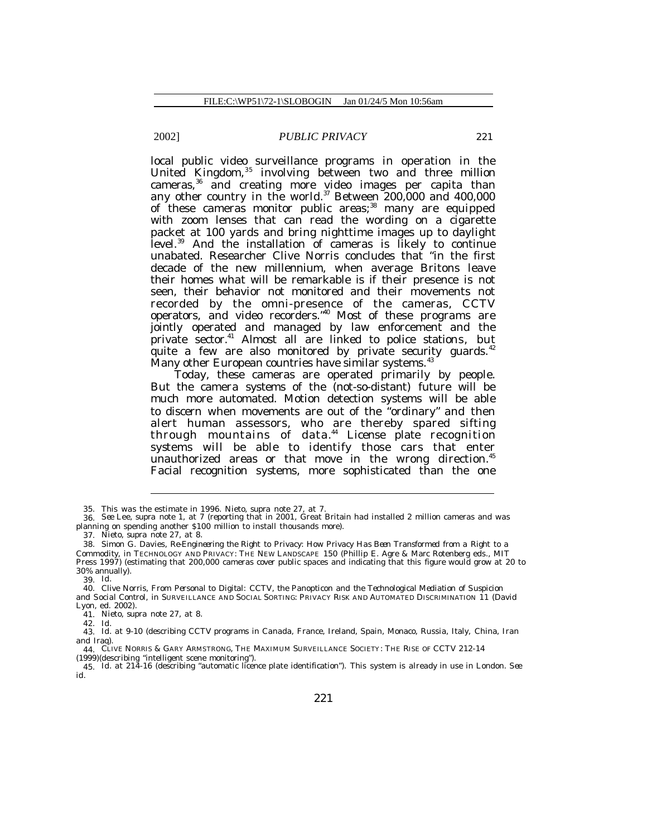local public video surveillance programs in operation in the United Kingdom, 35 involving between two and three million cameras,<sup>36</sup> and creating more video images per capita than any other country in the world.<sup>37</sup> Between  $200,000$  and  $400,000$ of these cameras monitor public areas;<sup>38</sup> many are equipped with zoom lenses that can read the wording on a cigarette packet at 100 yards and bring nighttime images up to daylight level.<sup>39</sup> And the installation of cameras is likely to continue unabated. Researcher Clive Norris concludes that "in the first decade of the new millennium, when average Britons leave their homes what will be remarkable is if their presence is not seen, their behavior not monitored and their movements not recorded by the omni-presence of the cameras, CCTV operators, and video recorders."<sup>40</sup> Most of these programs are jointly operated and managed by law enforcement and the private sector.<sup>41</sup> Almost all are linked to police stations, but quite a few are also monitored by private security guards. $42$ Many other European countries have similar systems.<sup>43</sup>

Today, these cameras are operated primarily by people. But the camera systems of the (not-so-distant) future will be much more automated. Motion detection systems will be able to discern when movements are out of the "ordinary" and then alert human assessors, who are thereby spared sifting through mountains of data.<sup>44</sup> License plate recognition systems will be able to identify those cars that enter unauthorized areas or that move in the wrong direction.<sup>45</sup> Facial recognition systems, more sophisticated than the one

39. *Id*.

41. Nieto, *supra* note 27, at 8.

42. *Id*.

<sup>35.</sup> This was the estimate in 1996. Nieto, *supra* note 27, at 7.

<sup>36.</sup> *See* Lee, *supra* note 1, at 7 (reporting that in 2001, Great Britain had installed 2 million cameras and was planning on spending another \$100 million to install thousands more).

<sup>37.</sup> Nieto, *supra* note 27, at 8.

<sup>38.</sup> Simon G. Davies, *Re-Engineering the Right to Privacy: How Privacy Has Been Transformed from a Right to a Commodity*, *in* TECHNOLOGY AND PRIVACY: THE NEW LANDSCAPE 150 (Phillip E. Agre & Marc Rotenberg eds., MIT Press 1997) (estimating that 200,000 cameras cover public spaces and indicating that this figure would grow at 20 to 30% annually).

<sup>40.</sup> Clive Norris, *From Personal to Digital: CCTV, the Panopticon and the Technological Mediation of Suspicion and Social Control*, *in* SURVEILLANCE AND SOCIAL SORTING: PRIVACY RISK AND AUTOMATED DISCRIMINATION 11 (David Lyon, ed. 2002).

<sup>43.</sup> *Id*. at 9-10 (describing CCTV programs in Canada, France, Ireland, Spain, Monaco, Russia, Italy, China, Iran and Iraq).

<sup>44.</sup> CLIVE NORRIS & GARY ARMSTRONG, THE MAXIMUM SURVEILLANCE SOCIETY: THE RISE OF CCTV 212-14

<sup>(1999)(</sup>describing "intelligent scene monitoring"). 45. *Id*. at 214-16 (describing "automatic licence plate identification"). This system is already in use in London. *See id.*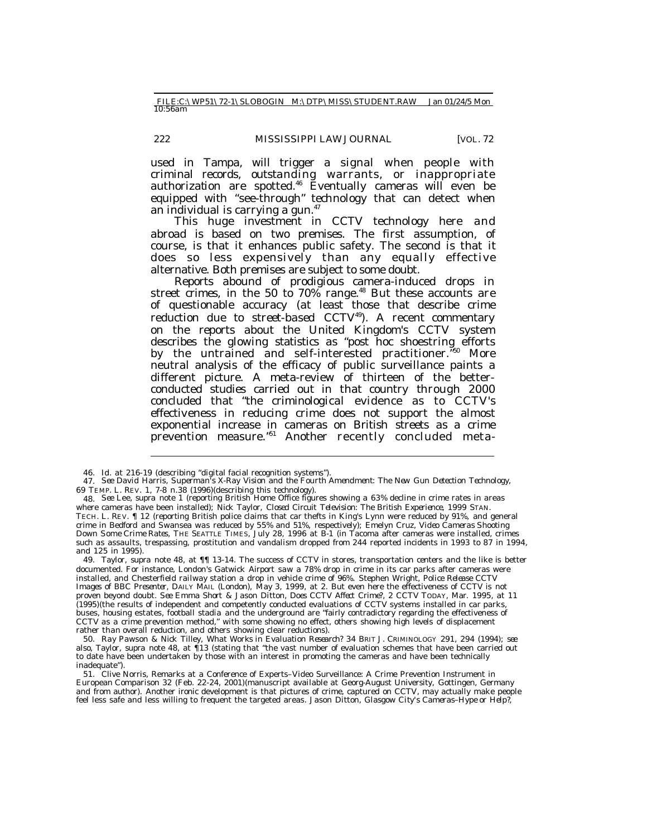used in Tampa, will trigger a signal when people with criminal records, outstanding warrants, or inappropriate authorization are spotted.<sup>46</sup> Eventually cameras will even be equipped with "see-through" technology that can detect when an individual is carrying a gun. $47$ 

This huge investment in CCTV technology here and abroad is based on two premises. The first assumption, of course, is that it enhances public safety. The second is that it does so less expensively than any equally effective alternative. Both premises are subject to some doubt.

Reports abound of prodigious camera-induced drops in street crimes, in the 50 to  $70\%$  range.<sup>48</sup> But these accounts are of questionable accuracy (at least those that describe crime reduction due to *street-based* CCTV<sup>49</sup>). A recent commentary on the reports about the United Kingdom's CCTV system describes the glowing statistics as "*post hoc* shoestring efforts by the untrained and self-interested practitioner.<sup>750</sup> More neutral analysis of the efficacy of public surveillance paints a different picture. A meta-review of thirteen of the betterconducted studies carried out in that country through 2000 concluded that "the criminological evidence as to CCTV's effectiveness in reducing crime does not support the almost exponential increase in cameras on British streets as a crime prevention measure."<sup>51</sup> Another recently concluded meta-

<sup>46.</sup> Id. at 216-19 (describing "digital facial recognition systems").<br>47. See David Harris, *Superman's X-Ray Vision and the Fourth Amendment: The New Gun Detection Technology*, 69 TEMP. L. REV. 1, 7-8 n.38 (1996)(describing this technology).

<sup>48.</sup> *See* Lee, *supra* note 1 (reporting British Home Office figures showing a 63% decline in crime rates in areas where cameras have been installed); Nick Taylor, *Closed Circuit Television: The British Experience*, 1999 STAN. TECH. L. REV. ¶ 12 (reporting British police claims that car thefts in King's Lynn were reduced by 91%, and general crime in Bedford and Swansea was reduced by 55% and 51%, respectively); Emelyn Cruz, *Video Cameras Shooting Down Some Crime Rates*, THE SEATTLE TIMES, July 28, 1996 at B-1 (in Tacoma after cameras were installed, crimes such as assaults, trespassing, prostitution and vandalism dropped from 244 reported incidents in 1993 to 87 in 1994, and 125 in 1995).

<sup>49.</sup> Taylor, *supra* note 48, at ¶¶ 13-14. The success of CCTV in stores, transportation centers and the like is better documented. For instance, London's Gatwick Airport saw a 78% drop in crime in its car parks after cameras were installed, and Chesterfield railway station a drop in vehicle crime of 96%. Stephen Wright, *Police Release CCTV Images of BBC Presenter*, DAILY MAIL (London), May 3, 1999, at 2. But even here the effectiveness of CCTV is not proven beyond doubt. *See* Emma Short & Jason Ditton, *Does CCTV Affect Crime?*, 2 CCTV TODAY, Mar. 1995, at 11 (1995)(the results of independent and competently conducted evaluations of CCTV systems installed in car parks, buses, housing estates, football stadia and the underground are "fairly contradictory regarding the effectiveness of CCTV as a crime prevention method," with some showing no effect, others showing high levels of displacement rather than overall reduction, and others showing clear reductions).

<sup>50.</sup> Ray Pawson & Nick Tilley, *What Works in Evaluation Research?* 34 BRIT J. CRIMINOLOGY 291, 294 (1994); *see also*, Taylor, *supra* note 48, at ¶13 (stating that "the vast number of evaluation schemes that have been carried out to date have been undertaken by those with an interest in promoting the cameras and have been technically inadequate").

<sup>51.</sup> Clive Norris, Remarks at a Conference of Experts–Video Surveillance: A Crime Prevention Instrument in European Comparison 32 (Feb. 22-24, 2001)(manuscript available at Georg-August University, Gottingen, Germany and from author). Another ironic development is that pictures of crime, captured on CCTV, may actually make people feel less safe and less willing to frequent the targeted areas. Jason Ditton, *Glasgow City's Cameras–Hype or Help?*,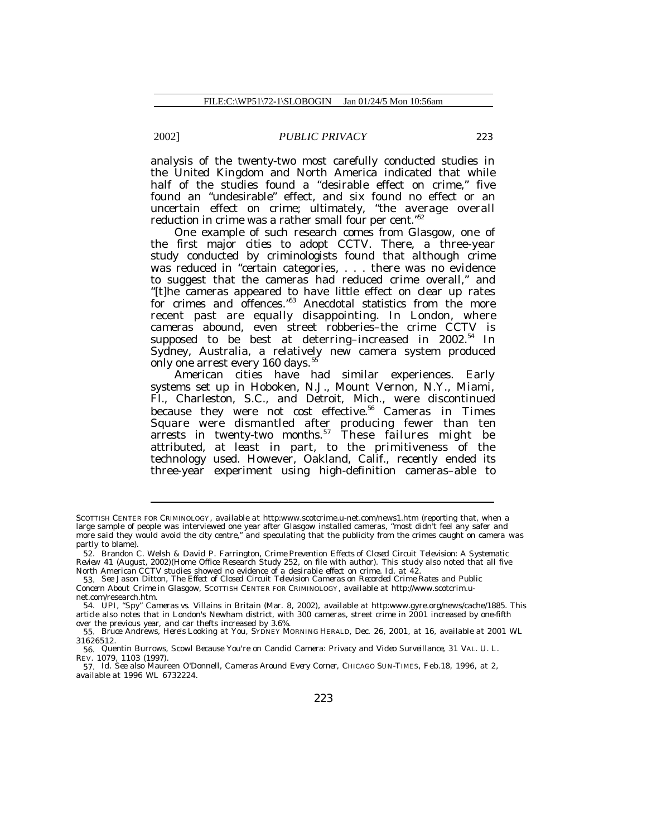analysis of the twenty-two most carefully conducted studies in the United Kingdom and North America indicated that while half of the studies found a "desirable effect on crime," five found an "undesirable" effect, and six found no effect or an uncertain effect on crime; ultimately, "the average overall reduction in crime was a rather small four per cent."<sup>52</sup>

One example of such research comes from Glasgow, one of the first major cities to adopt CCTV. There, a three-year study conducted by criminologists found that although crime was reduced in "certain categories, . . . there was no evidence to suggest that the cameras had reduced crime overall," and "[t]he cameras appeared to have little effect on clear up rates for crimes and offences."<sup>53</sup> Anecdotal statistics from the more recent past are equally disappointing. In London, where cameras abound, even street robberies–the crime CCTV is supposed to be best at deterring–increased in 2002.<sup>54</sup> In Sydney, Australia, a relatively new camera system produced only one arrest every 160 days.

American cities have had similar experiences. Early systems set up in Hoboken, N.J., Mount Vernon, N.Y., Miami, Fl., Charleston, S.C., and Detroit, Mich., were discontinued because they were not cost effective.<sup>56</sup> Cameras in Times Square were dismantled after producing fewer than ten arrests in twenty-two months.<sup>57</sup> These failures might be attributed, at least in part, to the primitiveness of the technology used. However, Oakland, Calif., recently ended its three-year experiment using high-definition cameras–able to

SCOTTISH CENTER FOR CRIMINOLOGY, *available at* http:www.scotcrime.u-net.com/news1.htm (reporting that, when a large sample of people was interviewed one year after Glasgow installed cameras, "most didn't feel any safer and more said they would avoid the city centre," and speculating that the publicity from the crimes caught on camera was partly to blame).

<sup>52.</sup> Brandon C. Welsh & David P. Farrington, *Crime Prevention Effects of Closed Circuit Television: A Systematic Review* 41 (August, 2002)(Home Office Research Study 252, on file with author). This study also noted that all five North American CCTV studies showed no evidence of a desirable effect on crime. *Id.* at 42.

<sup>53.</sup> *See* Jason Ditton, *The Effect of Closed Circuit Television Cameras on Recorded Crime Rates and Public Concern About Crime in Glasgow*, SCOTTISH CENTER FOR CRIMINOLOGY, *available at* http://www.scotcrim.unet.com/research.htm.

<sup>54.</sup> UPI, *"Spy" Cameras vs. Villains in Britain* (Mar. 8, 2002), *available at* http:www.gyre.org/news/cache/1885. This article also notes that in London's Newham district, with 300 cameras, street crime in 2001 increased by one-fifth over the previous year, and car thefts increased by 3.6%.

<sup>55.</sup> Bruce Andrews, *Here's Looking at You*, SYDNEY MORNING HERALD, Dec. 26, 2001, at 16, *available at* 2001 WL 31626512.

<sup>56.</sup> Quentin Burrows, *Scowl Because You're on Candid Camera: Privacy and Video Surveillance*, 31 VAL. U. L. REV. 1079, 1103 (1997).

<sup>57.</sup> *Id*. *See also* Maureen O'Donnell, *Cameras Around Every Corner*, CHICAGO SUN-TIMES, Feb.18, 1996, at 2, *available at* 1996 WL 6732224.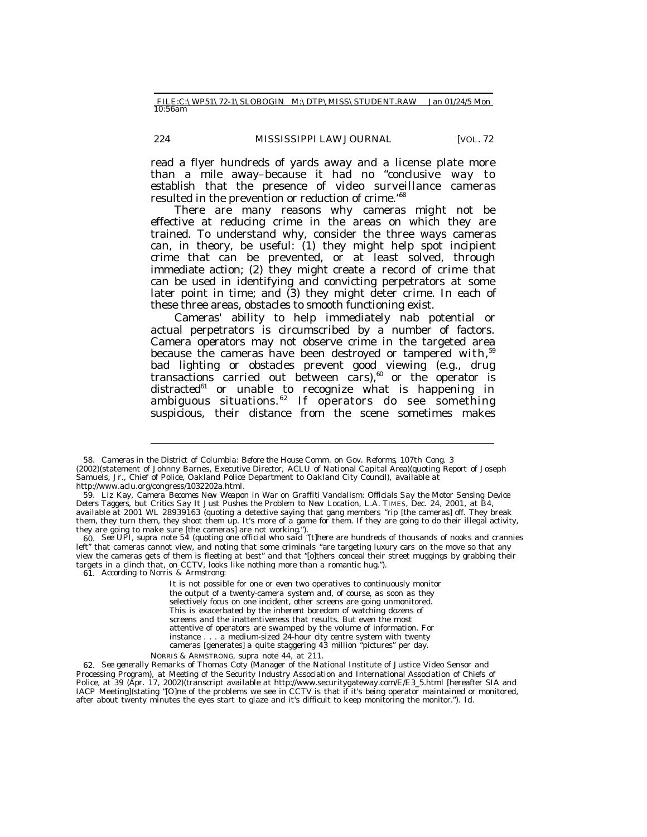read a flyer hundreds of yards away and a license plate more than a mile away–because it had no "conclusive way to establish that the presence of video surveillance cameras resulted in the prevention or reduction of crime."<sup>58</sup>

There are many reasons why cameras might not be effective at reducing crime in the areas on which they are trained. To understand why, consider the three ways cameras can, in theory, be useful: (1) they might help spot incipient crime that can be prevented, or at least solved, through immediate action; (2) they might create a record of crime that can be used in identifying and convicting perpetrators at some later point in time; and (3) they might deter crime. In each of these three areas, obstacles to smooth functioning exist.

Cameras' ability to help immediately nab potential or actual perpetrators is circumscribed by a number of factors. Camera operators may not observe crime in the targeted area because the cameras have been destroyed or tampered with,<sup>59</sup> bad lighting or obstacles prevent good viewing (e.g., drug transactions carried out between cars),<sup>60</sup> or the operator is distracted<sup>61</sup> or unable to recognize what is happening in ambiguous situations.<sup>62</sup> If operators do see something suspicious, their distance from the scene sometimes makes

they are going to make sure [the cameras] are not working."). 60. *See* UPI, *supra* note 54 (quoting one official who said "[t]here are hundreds of thousands of nooks and crannies left" that cameras cannot view, and noting that some criminals "are targeting luxury cars on the move so that any view the cameras gets of them is fleeting at best" and that "[o]thers conceal their street muggings by grabbing their targets in a clinch that, on CCTV, looks like nothing more than a romantic hug."). 61. According to Norris & Armstrong:

It is not possible for one or even two operatives to continuously monitor the output of a twenty-camera system and, of course, as soon as they selectively focus on one incident, other screens are going unmonitored. This is exacerbated by the inherent boredom of watching dozens of screens and the inattentiveness that results. But even the most attentive of operators are swamped by the volume of information. For instance . . . a medium-sized 24-hour city centre system with twenty cameras [generates] a quite staggering 43 million "pictures" per day.

NORRIS & ARMSTRONG, *supra* note 44, at 211.

62. *See generally* Remarks of Thomas Coty (Manager of the National Institute of Justice Video Sensor and Processing Program), at Meeting of the Security Industry Association and International Association of Chiefs of Police, at 39 (Apr. 17, 2002)(transcript *available at* http://www.securitygateway.com/E/E3\_5.html [hereafter SIA and IACP Meeting](stating "[O]ne of the problems we see in CCTV is that if it's being operator maintained or monitored, after about twenty minutes the eyes start to glaze and it's difficult to keep monitoring the monitor."). *Id.*

<sup>58.</sup> *Cameras in the District of Columbia: Before the House Comm. on Gov. Reforms*, 107th Cong. 3 (2002)(statement of Johnny Barnes, Executive Director, ACLU of National Capital Area)(quoting Report of Joseph Samuels, Jr., Chief of Police, Oakland Police Department to Oakland City Council), *available at* http://www.aclu.org/congress/1032202a.html.

<sup>59.</sup> Liz Kay, *Camera Becomes New Weapon in War on Graffiti Vandalism: Officials Say the Motor Sensing Device Deters Taggers, but Critics Say It Just Pushes the Problem to New Location*, L.A. TIMES, Dec. 24, 2001, at B4, *available at* 2001 WL 28939163 (quoting a detective saying that gang members "rip [the cameras] off. They break them, they turn them, they shoot them up. It's more of a game for them. If they are going to do their illegal activity,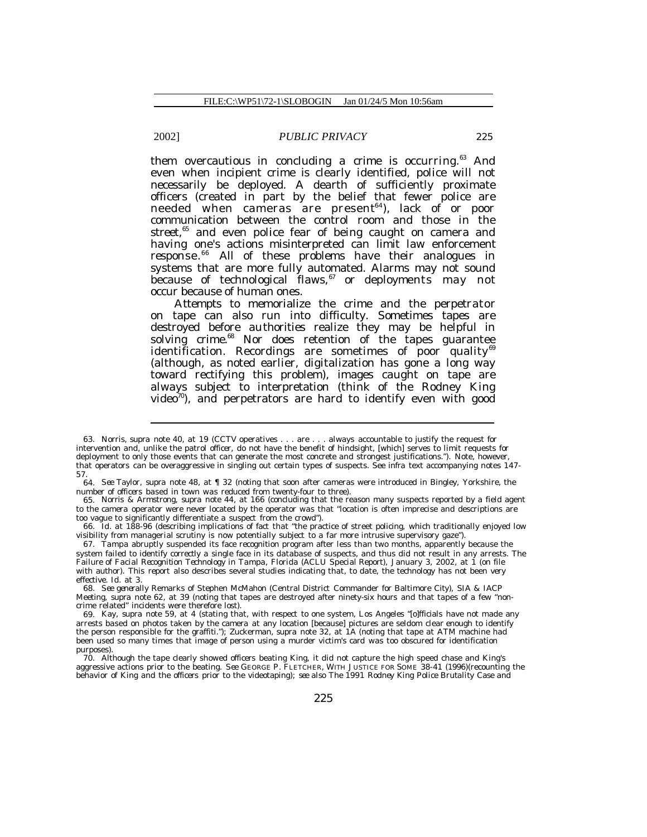them overcautious in concluding a crime is occurring. $63$  And even when incipient crime is clearly identified, police will not necessarily be deployed. A dearth of sufficiently proximate officers (created in part by the belief that fewer police are needed when cameras are present<sup>64</sup>), lack of or poor communication between the control room and those in the street,<sup>65</sup> and even police fear of being caught on camera and having one's actions misinterpreted can limit law enforcement response.<sup>66</sup> All of these problems have their analogues in systems that are more fully automated. Alarms may not sound because of technological flaws,<sup>67</sup> or deployments may not occur because of human ones.

Attempts to memorialize the crime and the perpetrator on tape can also run into difficulty. Sometimes tapes are destroyed before authorities realize they may be helpful in solving crime.<sup>68</sup> Nor does retention of the tapes guarantee identification. Recordings are sometimes of poor quality<sup>69</sup> (although, as noted earlier, digitalization has gone a long way toward rectifying this problem), images caught on tape are always subject to interpretation (think of the Rodney King video<sup>70</sup>), and perpetrators are hard to identify even with good

<sup>63.</sup> Norris, *supra* note 40, at 19 (CCTV operatives . . . are . . . always accountable to justify the request for intervention and, unlike the patrol officer, do not have the benefit of hindsight, [which] serves to limit requests for deployment to only those events that can generate the most concrete and strongest justifications."). Note, however, that operators can be overaggressive in singling out certain types of suspects. See *infra* text accompanying notes 147- 57.

<sup>64.</sup> *See* Taylor, *supra* note 48, at ¶ 32 (noting that soon after cameras were introduced in Bingley, Yorkshire, the number of officers based in town was reduced from twenty-four to three).

<sup>65.</sup> Norris & Armstrong, *supra* note 44, at 166 (concluding that the reason many suspects reported by a field agent to the camera operator were never located by the operator was that "location is often imprecise and descriptions are too vague to significantly differentiate a suspect from the crowd").

<sup>66.</sup> *Id*. at 188-96 (describing implications of fact that "the practice of street policing, which traditionally enjoyed low visibility from managerial scrutiny is now potentially subject to a far more intrusive supervisory gaze").

<sup>67.</sup> Tampa abruptly suspended its face recognition program after less than two months, apparently because the system failed to identify correctly a single face in its database of suspects, and thus did not result in any arrests. *The Failure of Facial Recognition Technology in Tampa, Florida* (ACLU Special Report), January 3, 2002, at 1 (on file with author). This report also describes several studies indicating that, to date, the technology has not been very effective. *Id*. at 3.

<sup>68.</sup> *See generally* Remarks of Stephen McMahon (Central District Commander for Baltimore City), SIA & IACP Meeting, *supra* note 62, at 39 (noting that tapes are destroyed after ninety-six hours and that tapes of a few "noncrime related" incidents were therefore lost).

<sup>69.</sup> Kay, *supra* note 59, at 4 (stating that, with respect to one system, Los Angeles "[o]fficials have not made any arrests based on photos taken by the camera at any location [because] pictures are seldom clear enough to identify the person responsible for the graffiti."); Zuckerman, *supra* note 32, at 1A (noting that tape at ATM machine had been used so many times that image of person using a murder victim's card was too obscured for identification purposes).

<sup>70.</sup> Although the tape clearly showed officers beating King, it did not capture the high speed chase and King's aggressive actions prior to the beating. *See* GEORGE P. FLETCHER, WITH JUSTICE FOR SOME 38-41 (1996)(recounting the behavior of King and the officers prior to the videotaping); *see also The 1991 Rodney King Police Brutality Case and*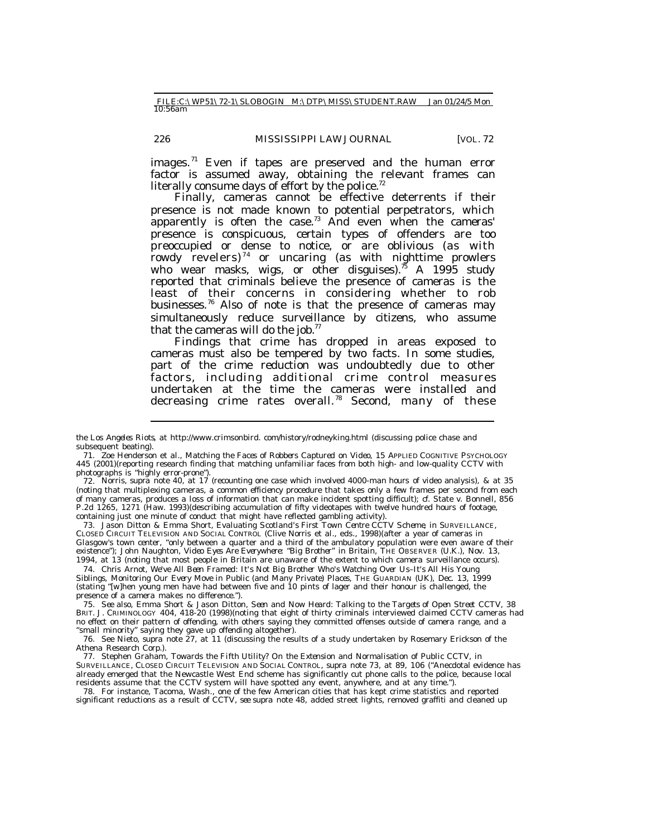images.<sup>71</sup> Even if tapes are preserved and the human error factor is assumed away, obtaining the relevant frames can literally consume days of effort by the police.<sup>72</sup>

Finally, cameras cannot be effective deterrents if their presence is not made known to potential perpetrators, which apparently is often the case.<sup>73</sup> And even when the cameras' presence is conspicuous, certain types of offenders are too preoccupied or dense to notice, or are oblivious (as with rowdy revelers) <sup>74</sup> or uncaring (as with nighttime prowlers who wear masks, wigs, or other disguises).<sup>75</sup> A 1995 study reported that criminals believe the presence of cameras is the least of their concerns in considering whether to rob businesses.<sup>76</sup> Also of note is that the presence of cameras may simultaneously *reduce* surveillance by citizens, who assume that the cameras will do the job. $77$ 

Findings that crime has dropped in areas exposed to cameras must also be tempered by two facts. In some studies, part of the crime reduction was undoubtedly due to other factors, including additional crime control measures undertaken at the time the cameras were installed and decreasing crime rates overall.<sup>78</sup> Second, many of these

73. Jason Ditton & Emma Short, *Evaluating Scotland's First Town Centre CCTV Scheme*, *in* SURVEILLANCE, CLOSED CIRCUIT TELEVISION AND SOCIAL CONTROL (Clive Norris et al., eds., 1998)(after a year of cameras in Glasgow's town center, "only between a quarter and a third of the ambulatory population were even aware of their existence"); John Naughton, *Video Eyes Are Everywhere: "Big Brother" in Britain*, THE OBSERVER (U.K.), Nov. 13, 1994, at 13 (noting that most people in Britain are unaware of the extent to which camera surveillance occurs).

74. Chris Arnot, *We've All Been Framed: It's Not Big Brother Who's Watching Over Us–It's All His Young Siblings, Monitoring Our Every Move in Public (and Many Private) Places*, THE GUARDIAN (UK), Dec. 13, 1999 (stating "[w]hen young men have had between five and 10 pints of lager and their honour is challenged, the presence of a camera makes no difference.").

75. *See also*, Emma Short & Jason Ditton, *Seen and Now Heard: Talking to the Targets of Open Street CCTV*, 38 BRIT. J. CRIMINOLOGY 404, 418-20 (1998)(noting that eight of thirty criminals interviewed claimed CCTV cameras had no effect on their pattern of offending, with others saying they committed offenses outside of camera range, and a "small minority" saying they gave up offending altogether).

76. See Nieto, *supra* note 27, at 11 (discussing the results of a study undertaken by Rosemary Erickson of the Athena Research Corp.).

77. Stephen Graham, *Towards the Fifth Utility? On the Extension and Normalisation of Public CCTV*, *in* SURVEILLANCE, CLOSED CIRCUIT TELEVISION AND SOCIAL CONTROL, *supra* note 73, at 89, 106 ("Anecdotal evidence has already emerged that the Newcastle West End scheme has significantly cut phone calls to the police, because local residents assume that the CCTV system will have spotted any event, anywhere, and at any time.").

78. For instance, Tacoma, Wash., one of the few American cities that has kept crime statistics and reported significant reductions as a result of CCTV, *see supra* note 48, added street lights, removed graffiti and cleaned up

*the Los Angeles Riots*, at http://www.crimsonbird. com/history/rodneyking.html (discussing police chase and subsequent beating).

<sup>71.</sup> Zoe Henderson et al., *Matching the Faces of Robbers Captured on Video*, 15 APPLIED COGNITIVE PSYCHOLOGY 445 (2001)(reporting research finding that matching unfamiliar faces from both high- and low-quality CCTV with photographs is "highly error-prone").

<sup>72.</sup> Norris, *supra* note 40, at 17 (recounting one case which involved 4000-man hours of video analysis), & at 35 (noting that multiplexing cameras, a common efficiency procedure that takes only a few frames per second from each of many cameras, produces a loss of information that can make incident spotting difficult); *cf*. State v. Bonnell, 856 P.2d 1265, 1271 (Haw. 1993)(describing accumulation of fifty videotapes with twelve hundred hours of footage, containing just one minute of conduct that might have reflected gambling activity).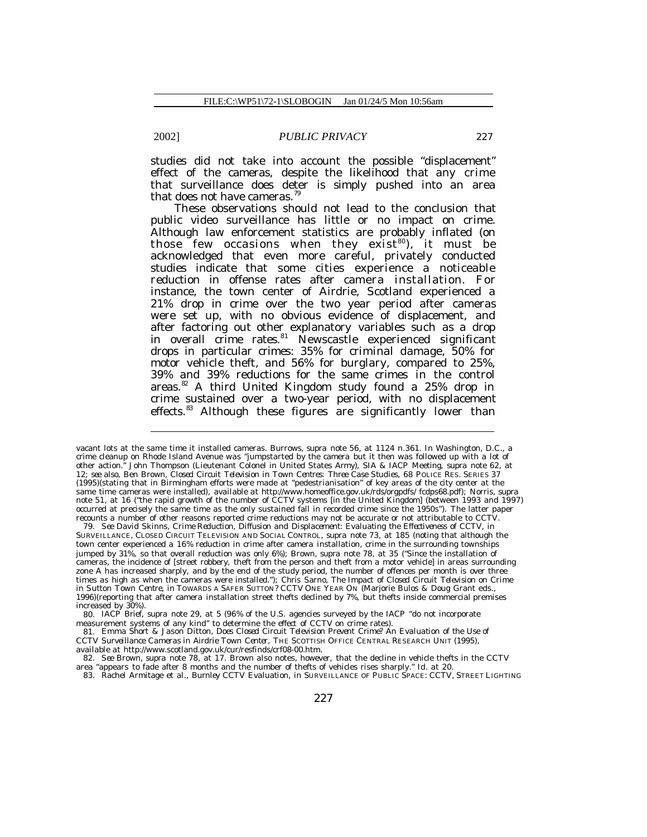studies did not take into account the possible "displacement" effect of the cameras, despite the likelihood that any crime that surveillance does deter is simply pushed into an area that does not have cameras.<sup>79</sup>

These observations should not lead to the conclusion that public video surveillance has little or no impact on crime. Although law enforcement statistics are probably inflated (on those few occasions when they exist $^{80}$ ), it must be acknowledged that even more careful, privately conducted studies indicate that some cities experience a noticeable reduction in offense rates after camera installation. For instance, the town center of Airdrie, Scotland experienced a 21% drop in crime over the two year period after cameras were set up, with no obvious evidence of displacement, and after factoring out other explanatory variables such as a drop in overall crime rates.<sup>81</sup> Newscastle experienced significant drops in particular crimes: 35% for criminal damage, 50% for motor vehicle theft, and 56% for burglary, compared to 25%, 39% and 39% reductions for the same crimes in the control areas.<sup>82</sup> A third United Kingdom study found a 25% drop in crime sustained over a two-year period, with no displacement effects.<sup>83</sup> Although these figures are significantly lower than

79. *See* David Skinns, *Crime Reduction, Diffusion and Displacement: Evaluating the Effectiveness of CCTV*, *in* SURVEILLANCE, CLOSED CIRCUIT TELEVISION AND SOCIAL CONTROL, *supra* note 73, at 185 (noting that although the town center experienced a 16% reduction in crime after camera installation, crime in the surrounding townships jumped by 31%, so that overall reduction was only 6%); Brown, *supra* note 78, at 35 ("Since the installation of cameras, the incidence of [street robbery, theft from the person and theft from a motor vehicle] in areas surrounding zone A has increased sharply, and by the end of the study period, the number of offences per month is over three times as high as when the cameras were installed."); Chris Sarno, *The Impact of Closed Circuit Television on Crime in Sutton Town Centre*, *in* TOWARDS A SAFER SUTTON? CCTV ONE YEAR ON (Marjorie Bulos & Doug Grant eds., 1996)(reporting that after camera installation street thefts declined by 7%, but thefts inside commercial premises increased by 30%).

80. IACP Brief, *supra* note 29, at 5 (*96%* of the U.S. agencies surveyed by the IACP "do not incorporate measurement systems of any kind" to determine the effect of CCTV on crime rates).

81. Emma Short & Jason Ditton, *Does Closed Circuit Television Prevent Crime? An Evaluation of the Use of CCTV Surveillance Cameras in Airdrie Town Center*, THE SCOTTISH OFFICE CENTRAL RESEARCH UNIT (1995), *available at* http://www.scotland.gov.uk/cur/resfinds/crf08-00.htm.

82. *See* Brown, *supra* note 78, at 17. Brown also notes, however, that the decline in vehicle thefts in the CCTV area "appears to fade after 8 months and the number of thefts of vehicles rises sharply." *Id*. at 20.

83. Rachel Armitage et al., *Burnley CCTV Evaluation*, *in* SURVEILLANCE OF PUBLIC SPACE: CCTV, STREET LIGHTING

vacant lots at the same time it installed cameras. Burrows, *supra* note 56, at 1124 n.361. In Washington, D.C., a crime cleanup on Rhode Island Avenue was "jumpstarted by the camera but it then was followed up with a lot of other action." John Thompson (Lieutenant Colonel in United States Army), SIA & IACP Meeting, *supra* note 62, at 12; *see also*, Ben Brown, *Closed Circuit Television in Town Centres: Three Case Studies*, 68 POLICE RES. SERIES 37 (1995)(stating that in Birmingham efforts were made at "pedestrianisation" of key areas of the city center at the same time cameras were installed), *available at* http://www.homeoffice.gov.uk/rds/orgpdfs/ fcdps68.pdf); Norris, *supra* note 51, at 16 ("the rapid growth of the number of CCTV systems [in the United Kingdom] (between 1993 and 1997) occurred at precisely the same time as the only sustained fall in recorded crime since the 1950s"). The latter paper recounts a number of other reasons reported crime reductions may not be accurate or not attributable to CCTV.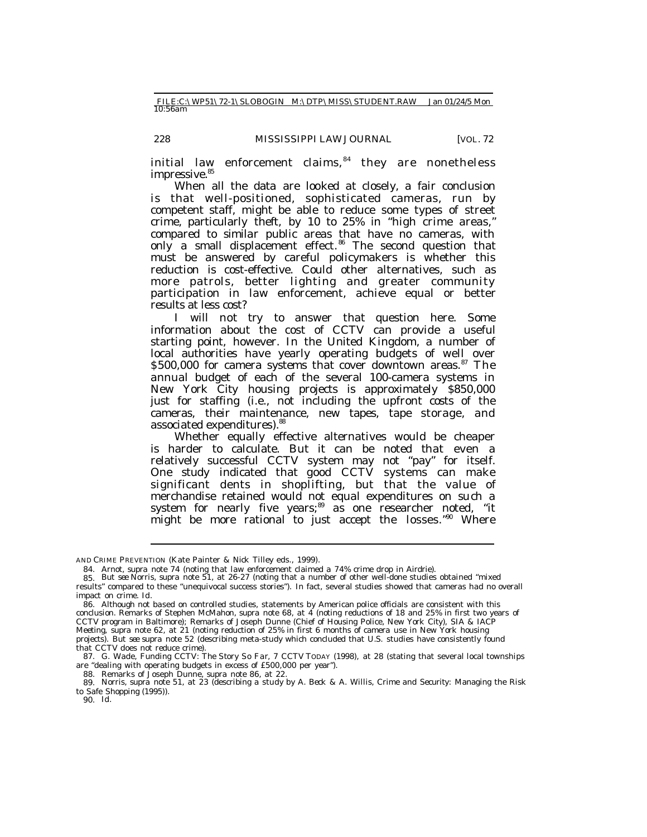initial law enforcement claims, $84$  they are nonetheless impressive.<sup>85</sup>

When all the data are looked at closely, a fair conclusion is that well-positioned, sophisticated cameras, run by competent staff, might be able to reduce some types of street crime, particularly theft, by 10 to 25% in "high crime areas," compared to similar public areas that have no cameras, with only a small displacement effect.<sup>86</sup> The second question that must be answered by careful policymakers is whether this reduction is cost-effective. Could other alternatives, such as more patrols, better lighting and greater community participation in law enforcement, achieve equal or better results at less cost?

I will not try to answer that question here. Some information about the cost of CCTV can provide a useful starting point, however. In the United Kingdom, a number of local authorities have yearly operating budgets of well over \$500,000 for camera systems that cover downtown areas.<sup>87</sup> The annual budget of each of the several 100-camera systems in New York City housing projects is approximately \$850,000 just for staffing (i.e., not including the upfront costs of the cameras, their maintenance, new tapes, tape storage, and associated expenditures).<sup>88</sup>

Whether equally effective alternatives would be cheaper is harder to calculate. But it can be noted that even a relatively successful CCTV system may not "pay" for itself. One study indicated that good CCTV systems can make significant dents in shoplifting, but that the value of merchandise retained would not equal expenditures on such a system for nearly five years;<sup>89</sup> as one researcher noted, "it might be more rational to just accept the losses."<sup>90</sup> Where

AND CRIME PREVENTION (Kate Painter & Nick Tilley eds., 1999).

<sup>84.</sup> Arnot, *supra* note 74 (noting that law enforcement claimed a 74% crime drop in Airdrie).<br>85. *But see* Norris, *supra* note 51, at 26-27 (noting that a number of other well-done studies obtained "mixed

results" compared to these "unequivocal success stories"). In fact, several studies showed that cameras had no overall impact on crime. *Id.*

<sup>86.</sup> Although not based on controlled studies, statements by American police officials are consistent with this conclusion. Remarks of Stephen McMahon, *supra* note 68, at 4 (noting reductions of 18 and 25% in first two years of CCTV program in Baltimore); Remarks of Joseph Dunne (Chief of Housing Police, New York City), SIA & IACP Meeting, *supra* note 62, at 21 (noting reduction of 25% in first 6 months of camera use in New York housing projects). *But see supra* note 52 (describing meta-study which concluded that U.S. studies have consistently found that CCTV does not reduce crime).

<sup>87.</sup> G. Wade, *Funding CCTV: The Story So Far*, 7 CCTV TODAY (1998), at 28 (stating that several local townships are "dealing with operating budgets in excess of £500,000 per year").

<sup>88.</sup> Remarks of Joseph Dunne, *supra* note 86, at 22. 89. Norris, *supra* note 51, at 23 (describing a study by A. Beck & A. Willis, Crime and Security: Managing the Risk to Safe Shopping (1995)).

<sup>90.</sup> *Id*.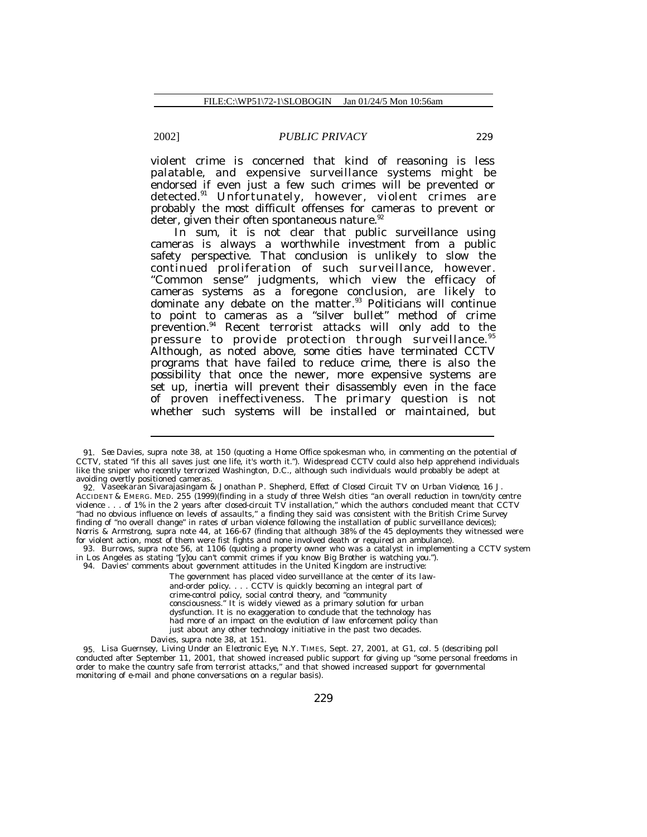violent crime is concerned that kind of reasoning is less palatable, and expensive surveillance systems might be endorsed if even just a few such crimes will be prevented or detected.<sup>91</sup> Unfortunately, however, violent crimes are probably the most difficult offenses for cameras to prevent or deter, given their often spontaneous nature. $92$ 

In sum, it is not clear that public surveillance using cameras is always a worthwhile investment from a public safety perspective. That conclusion is unlikely to slow the continued proliferation of such surveillance, however. "Common sense" judgments, which view the efficacy of cameras systems as a foregone conclusion, are likely to dominate any debate on the matter.<sup>93</sup> Politicians will continue to point to cameras as a "silver bullet" method of crime prevention.<sup>94</sup> Recent terrorist attacks will only add to the pressure to provide protection through surveillance.<sup>95</sup> Although, as noted above, some cities have terminated CCTV programs that have failed to reduce crime, there is also the possibility that once the newer, more expensive systems are set up, inertia will prevent their disassembly even in the face of proven ineffectiveness. The primary question is not whether such systems will be installed or maintained, but

92. Vaseekaran Sivarajasingam & Jonathan P. Shepherd, *Effect of Closed Circuit TV on Urban Violence*, 16 J. ACCIDENT & EMERG. MED. 255 (1999)(finding in a study of three Welsh cities "an overall reduction in town/city centre violence . . . of 1% in the 2 years after closed-circuit TV installation," which the authors concluded meant that CCTV "had no obvious influence on levels of assaults," a finding they said was consistent with the British Crime Survey finding of "no overall change" in rates of urban violence following the installation of public surveillance devices); Norris & Armstrong, *supra* note 44, at 166-67 (finding that although 38% of the 45 deployments they witnessed were for violent action, most of them were fist fights and none involved death or required an ambulance).

93. Burrows, *supra* note 56, at 1106 (quoting a property owner who was a catalyst in implementing a CCTV system in Los Angeles as stating "[y]ou can't commit crimes if you know Big Brother is watching you.").

94. Davies' comments about government attitudes in the United Kingdom are instructive:

The government has placed video surveillance at the center of its law-

and-order policy. . . . CCTV is quickly becoming an integral part of

crime-control policy, social control theory, and "community

consciousness." It is widely viewed as a primary solution for urban

dysfunction. It is no exaggeration to conclude that the technology has

had more of an impact on the evolution of law enforcement policy than

just about any other technology initiative in the past two decades.

Davies, *supra* note 38, at 151.

95. Lisa Guernsey, *Living Under an Electronic Eye*, N.Y. TIMES, Sept. 27, 2001, at G1, col. 5 (describing poll conducted after September 11, 2001, that showed increased public support for giving up "some personal freedoms in order to make the country safe from terrorist attacks," and that showed increased support for governmental monitoring of e-mail and phone conversations on a regular basis).

<sup>91.</sup> *See* Davies, *supra* note 38, at 150 (quoting a Home Office spokesman who, in commenting on the potential of CCTV, stated "if this all saves just one life, it's worth it."). Widespread CCTV could also help apprehend individuals like the sniper who recently terrorized Washington, D.C., although such individuals would probably be adept at avoiding overtly positioned cameras.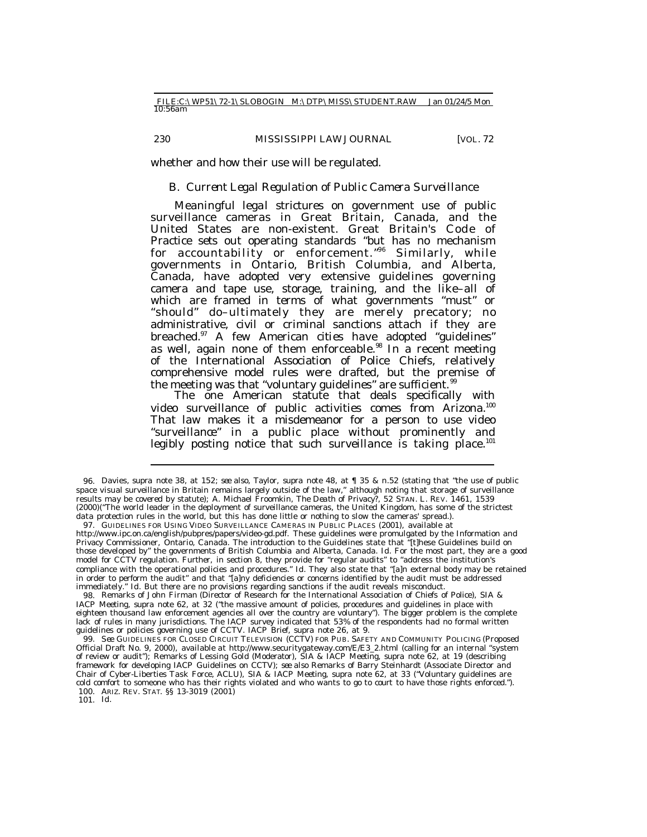whether and how their use will be regulated.

## *B. Current Legal Regulation of Public Camera Surveillance*

Meaningful legal strictures on government use of public surveillance cameras in Great Britain, Canada, and the United States are non-existent. Great Britain's *Code of Practice* sets out operating standards "but has no mechanism for accountability or enforcement."<sup>96</sup> Similarly, while governments in Ontario, British Columbia, and Alberta, Canada, have adopted very extensive guidelines governing camera and tape use, storage, training, and the like–all of which are framed in terms of what governments "must" or "should" do–ultimately they are merely precatory; no administrative, civil or criminal sanctions attach if they are breached.<sup>97</sup> A few American cities have adopted "guidelines" as well, again none of them enforceable.<sup>98</sup> In a recent meeting of the International Association of Police Chiefs, relatively comprehensive model rules were drafted, but the premise of the meeting was that "voluntary guidelines" are sufficient. $99$ 

The one American statute that deals specifically with video surveillance of public activities comes from Arizona.<sup>100</sup> That law makes it a misdemeanor for a person to use video "surveillance" in a public place without prominently and legibly posting notice that such surveillance is taking place.<sup>101</sup>

101. *Id*.

<sup>96.</sup> Davies, *supra* note 38, at 152; *see also*, Taylor, *supra* note 48, at ¶ 35 & n.52 (stating that "the use of public space visual surveillance in Britain remains largely outside of the law," although noting that storage of surveillance results may be covered by statute); A. Michael Froomkin, *The Death of Privacy?*, 52 STAN. L. REV. 1461, 1539 (2000)("The world leader in the deployment of surveillance cameras, the United Kingdom, has some of the strictest data protection rules in the world, but this has done little or nothing to slow the cameras' spread.).

<sup>97.</sup> GUIDELINES FOR USING VIDEO SURVEILLANCE CAMERAS IN PUBLIC PLACES (2001), available at http://www.ipc.on.ca/english/pubpres/papers/video-gd.pdf. These guidelines were promulgated by the Information and Privacy Commissioner, Ontario, Canada. The introduction to the Guidelines state that "[t]hese Guidelines build on those developed by" the governments of British Columbia and Alberta, Canada. *Id.* For the most part, they are a good model for CCTV regulation. Further, in section 8, they provide for "regular audits" to "address the institution's compliance with the operational policies and procedures." *Id.* They also state that "[a]n external body may be retained in order to perform the audit" and that "[a]ny deficiencies or concerns identified by the audit must be addressed immediately." *Id.* But there are no provisions regarding sanctions if the audit reveals misconduct. 98. Remarks of John Firman (Director of Research for the International Association of Chiefs of Police), SIA &

IACP Meeting, *supra* note 62, at 32 ("the massive amount of policies, procedures and guidelines in place with eighteen thousand law enforcement agencies all over the country are voluntary"). The bigger problem is the complete lack of rules in many jurisdictions. The IACP survey indicated that 53% of the respondents had no formal written guidelines or policies governing use of CCTV. IACP Brief, *supra* note 26, at 9.

<sup>99.</sup> *See* GUIDELINES FOR CLOSED CIRCUIT TELEVISION (CCTV) FOR PUB. SAFETY AND COMMUNITY POLICING (Proposed Official Draft No. 9, 2000), *available at* http://www.securitygateway.com/E/E3\_2.html (calling for an internal "system of review or audit"); Remarks of Lessing Gold (Moderator), SIA & IACP Meeting, *supra* note 62, at 19 (describing framework for developing IACP Guidelines on CCTV); *see also* Remarks of Barry Steinhardt (Associate Director and Chair of Cyber-Liberties Task Force, ACLU), SIA & IACP Meeting, *supra* note 62, at 33 ("Voluntary guidelines are cold comfort to someone who has their rights violated and who wants to go to court to have those rights enforced."). 100. ARIZ. REV. STAT. §§ 13-3019 (2001)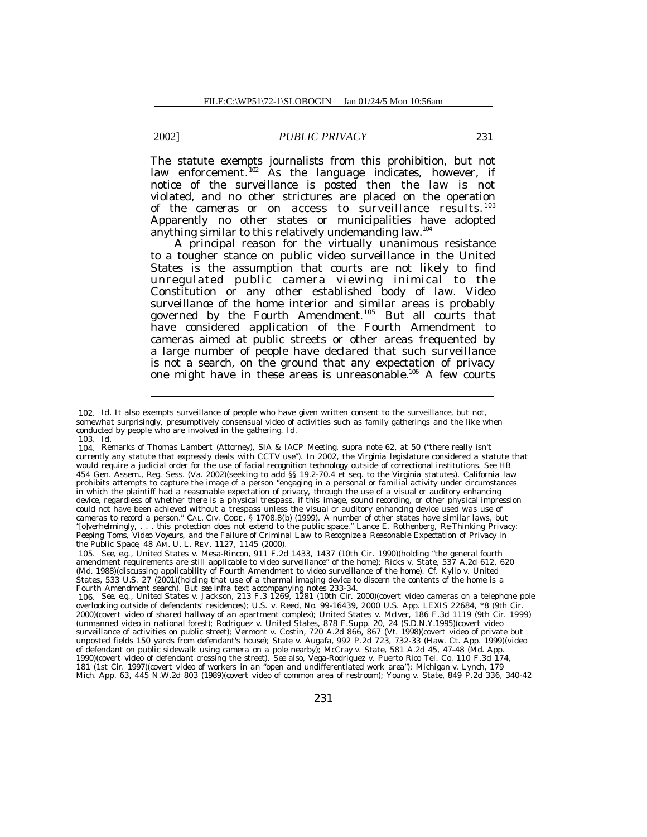The statute exempts journalists from this prohibition, but not law enforcement.<sup>102</sup> As the language indicates, however, if notice of the surveillance is posted then the law is not violated, and no other strictures are placed on the operation of the cameras or on access to surveillance results.<sup>103</sup> Apparently no other states or municipalities have adopted anything similar to this relatively undemanding law.<sup>104</sup>

A principal reason for the virtually unanimous resistance to a tougher stance on public video surveillance in the United States is the assumption that courts are not likely to find unregulated public camera viewing inimical to the Constitution or any other established body of law. Video surveillance of the home interior and similar areas is probably governed by the Fourth Amendment.<sup>105</sup> But all courts that have considered application of the Fourth Amendment to cameras aimed at public streets or other areas frequented by a large number of people have declared that such surveillance is not a search, on the ground that any expectation of privacy one might have in these areas is unreasonable.<sup>106</sup> A few courts

105. *See*, *e.g.*, United States v. Mesa-Rincon, 911 F.2d 1433, 1437 (10th Cir. 1990)(holding "the general fourth amendment requirements are still applicable to video surveillance" of the home); Ricks v. State, 537 A.2d 612, 620 (Md. 1988)(discussing applicability of Fourth Amendment to video surveillance of the home). *Cf.* Kyllo v. United States, 533 U.S. 27 (2001)(holding that use of a thermal imaging device to discern the contents of the home is a

Fourth Amendment search). *But see infra* text accompanying notes 233-34.<br>106. *See, e.g.*, United States v. Jackson, 213 F.3 1269, 1281 (10th Cir. 2000)(covert video cameras on a telephone pole overlooking outside of defendants' residences); U.S. v. Reed, No. 99-16439, 2000 U.S. App. LEXIS 22684, \*8 (9th Cir. 2000)(covert video of shared hallway of an apartment complex); United States v. McIver, 186 F.3d 1119 (9th Cir. 1999) (unmanned video in national forest); Rodriguez v. United States, 878 F.Supp. 20, 24 (S.D.N.Y.1995)(covert video surveillance of activities on public street); Vermont v. Costin, 720 A.2d 866, 867 (Vt. 1998)(covert video of private but unposted fields 150 yards from defendant's house); State v. Augafa, 992 P.2d 723, 732-33 (Haw. Ct. App. 1999)(video of defendant on public sidewalk using camera on a pole nearby); McCray v. State, 581 A.2d 45, 47-48 (Md. App. 1990)(covert video of defendant crossing the street). *See also*, Vega-Rodriguez v. Puerto Rico Tel. Co. 110 F.3d 174, 181 (1st Cir. 1997)(covert video of workers in an "open and undifferentiated work area"); Michigan v. Lynch, 179 Mich. App. 63, 445 N.W.2d 803 (1989)(covert video of common area of restroom); Young v. State, 849 P.2d 336, 340-42

<sup>102.</sup> *Id*. It also exempts surveillance of people who have given written consent to the surveillance, but not, somewhat surprisingly, presumptively consensual video of activities such as family gatherings and the like when conducted by people who are involved in the gathering. *Id.*

<sup>103.</sup> *Id*.

<sup>104.</sup> Remarks of Thomas Lambert (Attorney), SIA & IACP Meeting, *supra* note 62, at 50 ("there really isn't currently any statute that expressly deals with CCTV use"). In 2002, the Virginia legislature considered a statute that would require a judicial order for the use of facial recognition technology outside of correctional institutions. *See* HB 454 Gen. Assem., Reg. Sess. (Va. 2002)(seeking to add §§ 19.2-70.4 et seq. to the Virginia statutes). California law prohibits attempts to capture the image of a person "engaging in a personal or familial activity under circumstances in which the plaintiff had a reasonable expectation of privacy, through the use of a visual or auditory enhancing device, regardless of whether there is a physical trespass, if this image, sound recording, or other physical impression could not have been achieved without a trespass unless the visual or auditory enhancing device used was use of cameras to record a person." CAL. CIV. CODE. § 1708.8(b) (1999). A number of other states have similar laws, but "[o]verhelmingly, . . . this protection does not extend to the public space." Lance E. Rothenberg, *Re-Thinking Privacy:* Peeping Toms, Video Voyeurs, and the Failure of Criminal Law to Recognize a Reasonable Expectation of Privacy in *the Public Space*, 48 AM. U. L. REV. 1127, 1145 (2000).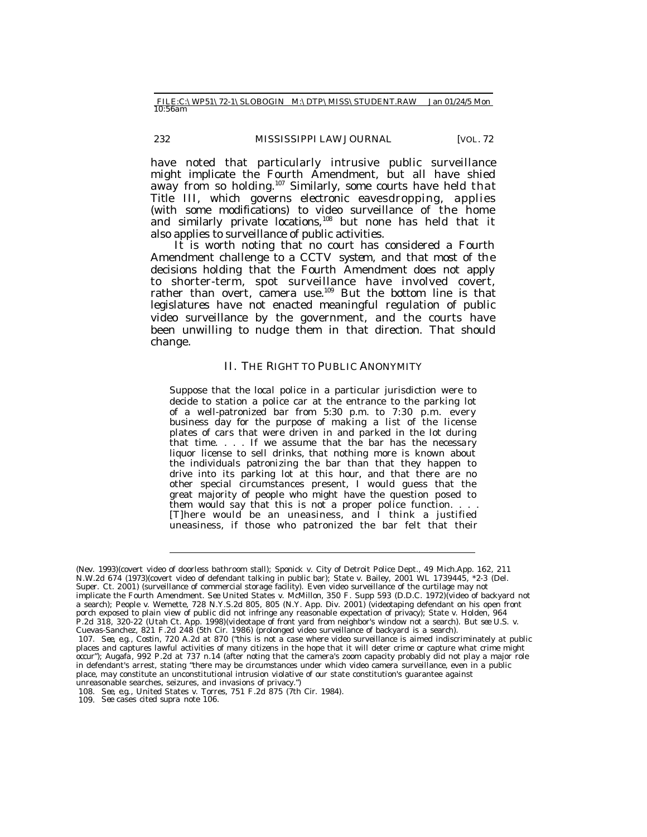have noted that particularly intrusive public surveillance might implicate the Fourth Amendment, but all have shied away from so holding.<sup>107</sup> Similarly, some courts have held that Title III, which governs electronic eavesdropping, applies (with some modifications) to video surveillance of the home and similarly private locations,<sup>108</sup> but none has held that it also applies to surveillance of public activities.

It is worth noting that no court has considered a Fourth Amendment challenge to a CCTV *system*, and that most of the decisions holding that the Fourth Amendment does not apply to shorter-term, spot surveillance have involved covert, rather than overt, camera use.<sup>109</sup> But the bottom line is that legislatures have not enacted meaningful regulation of public video surveillance by the government, and the courts have been unwilling to nudge them in that direction. That should change.

# II. THE RIGHT TO PUBLIC ANONYMITY

Suppose that the local police in a particular jurisdiction were to decide to station a police car at the entrance to the parking lot of a well-patronized bar from 5:30 p.m. to 7:30 p.m. every business day for the purpose of making a list of the license plates of cars that were driven in and parked in the lot during that time. . . . If we assume that the bar has the necessary liquor license to sell drinks, that nothing more is known about the individuals patronizing the bar than that they happen to drive into its parking lot at this hour, and that there are no other special circumstances present, I would guess that the great majority of people who might have the question posed to them would say that this is not a proper police function. . . . [T]here would be an uneasiness, and I think a justified uneasiness, if those who patronized the bar felt that their

<sup>(</sup>Nev. 1993)(covert video of doorless bathroom stall); Sponick v. City of Detroit Police Dept., 49 Mich.App. 162, 211 N.W.2d 674 (1973)(covert video of defendant talking in public bar); State v. Bailey, 2001 WL 1739445, \*2-3 (Del. Super. Ct. 2001) (surveillance of commercial storage facility). Even video surveillance of the curtilage may not implicate the Fourth Amendment. *See* United States v. McMillon, 350 F. Supp 593 (D.D.C. 1972)(video of backyard not a search); People v. Wemette, 728 N.Y.S.2d 805, 805 (N.Y. App. Div. 2001) (videotaping defendant on his open front porch exposed to plain view of public did not infringe any reasonable expectation of privacy); State v. Holden, 964 P.2d 318, 320-22 (Utah Ct. App. 1998)(videotape of front yard from neighbor's window not a search). *But see* U.S. v. Cuevas-Sanchez, 821 F.2d 248 (5th Cir. 1986) (prolonged video surveillance of backyard is a search). 107. *See*, *e.g.*, *Costin*, 720 A.2d at 870 ("this is not a case where video surveillance is aimed indiscriminately at public

places and captures lawful activities of many citizens in the hope that it will deter crime or capture what crime might occur"); *Augafa*, 992 P.2d at 737 n.14 (after noting that the camera's zoom capacity probably did not play a major role in defendant's arrest, stating "there may be circumstances under which video camera surveillance, even in a public place, may constitute an unconstitutional intrusion violative of our state constitution's guarantee against unreasonable searches, seizures, and invasions of privacy.")

<sup>108.</sup> *See*, *e.g.*, United States v. Torres, 751 F.2d 875 (7th Cir. 1984).

<sup>109.</sup> *See* cases cited *supra* note 106.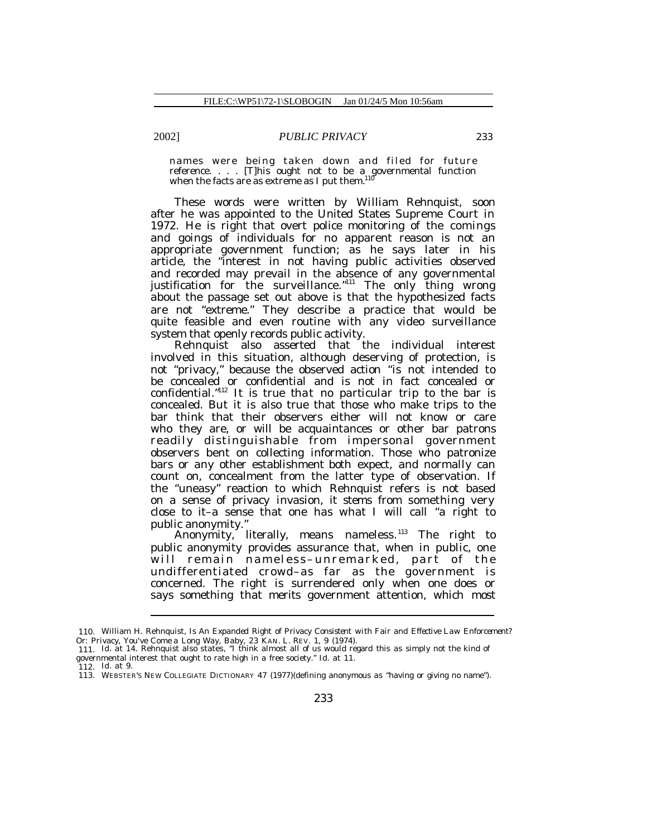names were being taken down and filed for future reference. . . . [T]his ought not to be a governmental function when the facts are as extreme as I put them. $^{110}$ 

These words were written by William Rehnquist, soon after he was appointed to the United States Supreme Court in 1972. He is right that overt police monitoring of the comings and goings of individuals for no apparent reason is not an appropriate government function; as he says later in his article, the "interest in not having public activities observed and recorded may prevail in the absence of any governmental justification for the surveillance."<sup>111</sup> The only thing wrong about the passage set out above is that the hypothesized facts are not "extreme." They describe a practice that would be quite feasible and even routine with any video surveillance system that openly records public activity.

Rehnquist also asserted that the individual interest involved in this situation, although deserving of protection, is not "privacy," because the observed action "is not intended to be concealed or confidential and is not in fact concealed or confidential."<sup>112</sup> It is true that *no particular trip* to the bar is concealed. But it is also true that those who make trips to the bar think that their observers either will not know or care who they are, or will be acquaintances or other bar patrons readily distinguishable from impersonal government observers bent on collecting information. Those who patronize bars or any other establishment both expect, and normally can count on, concealment from the latter type of observation. If the "uneasy" reaction to which Rehnquist refers is not based on a sense of privacy invasion, it stems from something very close to it–a sense that one has what I will call "a right to public anonymity."

Anonymity, literally, means nameless.<sup>113</sup> The right to public anonymity provides assurance that, when in public, one will remain nameless–unremarked, part of the undifferentiated crowd–as far as the government is concerned. The right is surrendered only when one does or says something that merits government attention, which most

112. *Id*. at 9.

<sup>110.</sup> William H. Rehnquist, *Is An Expanded Right of Privacy Consistent with Fair and Effective Law Enforcement? Or: Privacy, You've Come a Long Way, Baby*, 23 KAN. L. REV. 1, 9 (1974).

<sup>111.</sup> *Id.* at 14. Rehnquist also states, "I think almost all of us would regard this as simply not the kind of governmental interest that ought to rate high in a free society." *Id*. at 11.

<sup>113.</sup> WEBSTER'S NEW COLLEGIATE DICTIONARY 47 (1977)(defining anonymous as "having or giving no name").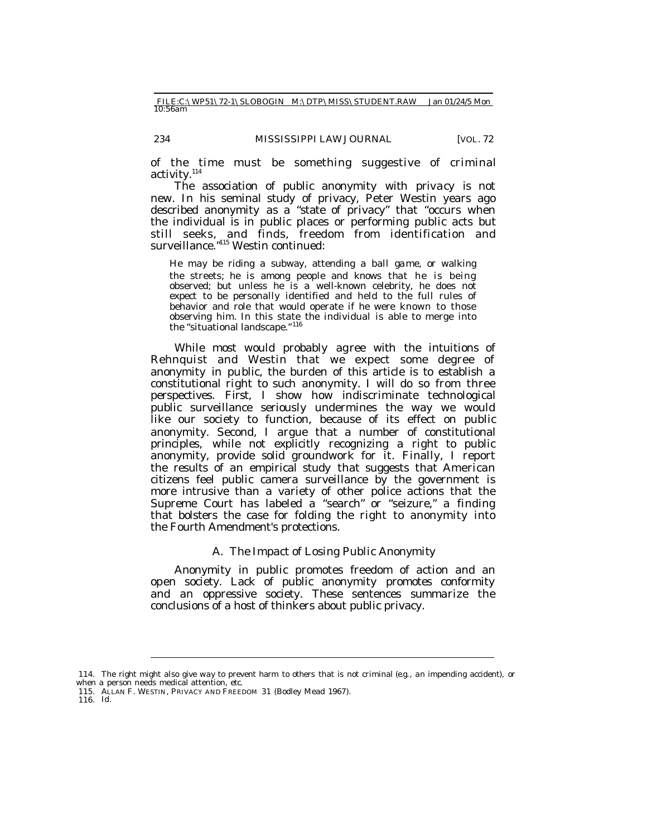of the time must be something suggestive of criminal activity.<sup>114</sup>

The association of public anonymity with privacy is not new. In his seminal study of privacy, Peter Westin years ago described anonymity as a "state of privacy" that "occurs when the individual is in public places or performing public acts but still seeks, and finds, freedom from identification and surveillance."<sup>115</sup> Westin continued:

He may be riding a subway, attending a ball game, or walking the streets; he is among people and knows that he is being observed; but unless he is a well-known celebrity, he does not expect to be personally identified and held to the full rules of behavior and role that would operate if he were known to those observing him. In this state the individual is able to merge into the "situational landscape."<sup>116</sup>

While most would probably agree with the intuitions of Rehnquist and Westin that we expect some degree of anonymity in public, the burden of this article is to establish a constitutional *right* to such anonymity. I will do so from three perspectives. First, I show how indiscriminate technological public surveillance seriously undermines the way we would like our society to function, because of its effect on public anonymity. Second, I argue that a number of constitutional principles, while not explicitly recognizing a right to public anonymity, provide solid groundwork for it. Finally, I report the results of an empirical study that suggests that American citizens feel public camera surveillance by the government is more intrusive than a variety of other police actions that the Supreme Court has labeled a "search" or "seizure," a finding that bolsters the case for folding the right to anonymity into the Fourth Amendment's protections.

## *A. The Impact of Losing Public Anonymity*

Anonymity in public promotes freedom of action and an open society. Lack of public anonymity promotes conformity and an oppressive society. These sentences summarize the conclusions of a host of thinkers about public privacy.

116. *Id*.

<sup>114.</sup> The right might also give way to prevent harm to others that is not criminal (*e.g.*, an impending accident), or when a person needs medical attention, etc.

<sup>115.</sup> ALLAN F. WESTIN, PRIVACY AND FREEDOM 31 (Bodley Mead 1967).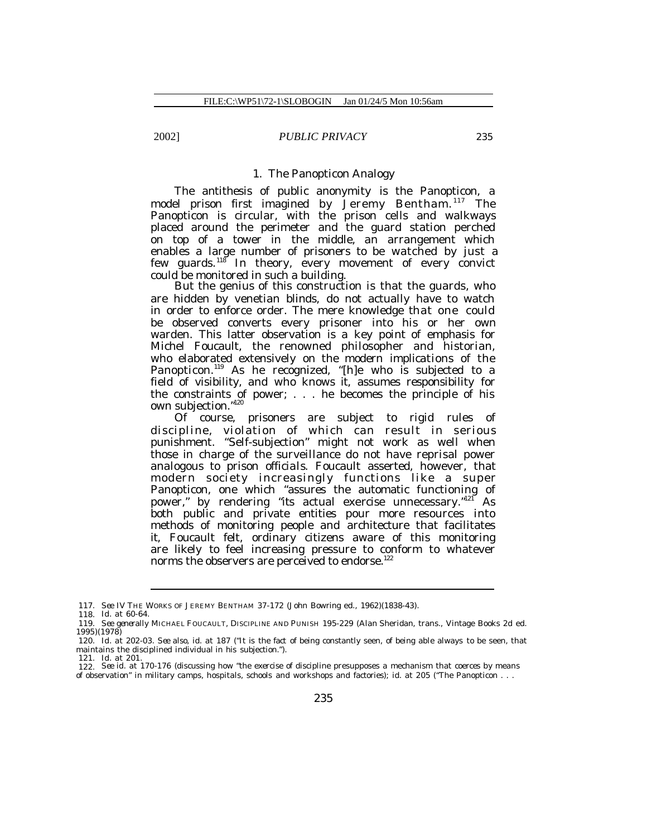## 1. The Panopticon Analogy

The antithesis of public anonymity is the Panopticon, a model prison first imagined by Jeremy Bentham.<sup>117</sup> The Panopticon is circular, with the prison cells and walkways placed around the perimeter and the guard station perched on top of a tower in the middle, an arrangement which enables a large number of prisoners to be watched by just a few guards.<sup>118</sup> In theory, every movement of every convict could be monitored in such a building.

But the genius of this construction is that the guards, who are hidden by venetian blinds, do not actually have to watch in order to enforce order. The mere knowledge that one *could* be observed converts every prisoner into his or her own warden. This latter observation is a key point of emphasis for Michel Foucault, the renowned philosopher and historian, who elaborated extensively on the modern implications of the Panopticon.<sup>119</sup> As he recognized, "[h]e who is subjected to a field of visibility, and who knows it, assumes responsibility for the constraints of power; . . . he becomes the principle of his own subjection."<sup>120</sup>

Of course, prisoners are subject to rigid rules of discipline, violation of which can result in serious punishment. "Self-subjection" might not work as well when those in charge of the surveillance do not have reprisal power analogous to prison officials. Foucault asserted, however, that modern society increasingly functions like a super Panopticon, one which "assures the automatic functioning of power," by rendering "its actual exercise unnecessary."<sup>121</sup> As both public and private entities pour more resources into methods of monitoring people and architecture that facilitates it, Foucault felt, ordinary citizens aware of this monitoring are likely to feel increasing pressure to conform to whatever norms the observers are perceived to endorse.<sup>122</sup>

<sup>117.</sup> *See* IV THE WORKS OF JEREMY BENTHAM 37-172 (John Bowring ed., 1962)(1838-43).

<sup>118.</sup> *Id*. at 60-64.

<sup>119.</sup> *See generally* MICHAEL FOUCAULT, DISCIPLINE AND PUNISH 195-229 (Alan Sheridan, trans., Vintage Books 2d ed. 1995)(1978)

<sup>120.</sup> *Id*. at 202-03. *See also*, *id*. at 187 ("It is the fact of being constantly seen, of being able always to be seen, that maintains the disciplined individual in his subjection.").

<sup>121.</sup> *Id*. at 201.

<sup>122.</sup> *See id*. at 170-176 (discussing how "the exercise of discipline presupposes a mechanism that coerces by means of observation" in military camps, hospitals, schools and workshops and factories); *id*. at 205 ("The Panopticon . . .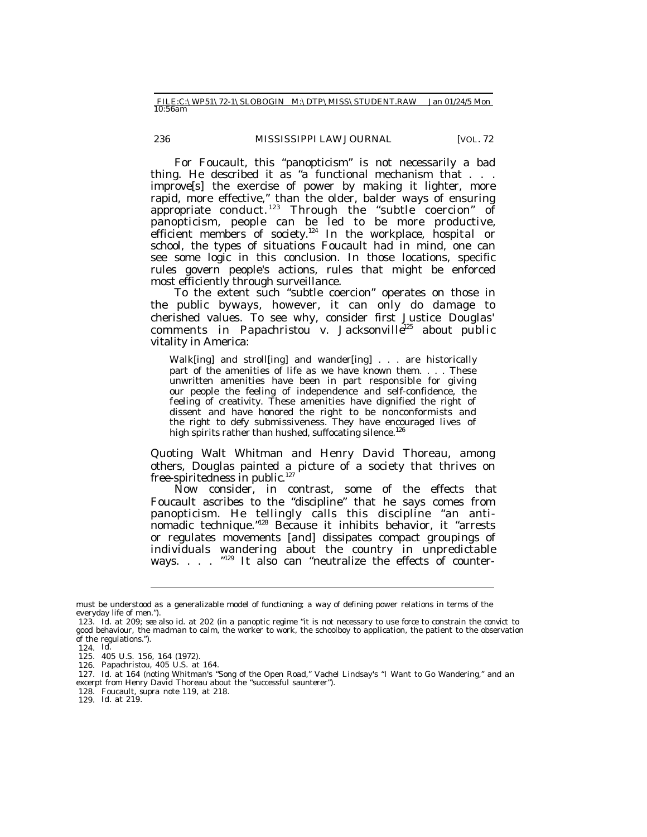For Foucault, this "panopticism" is not necessarily a bad thing. He described it as "a functional mechanism that . . . improve[s] the exercise of power by making it lighter, more rapid, more effective," than the older, balder ways of ensuring appropriate conduct.<sup>123</sup> Through the "subtle coercion" of panopticism, people can be led to be more productive, efficient members of society.<sup>124</sup> In the workplace, hospital or school, the types of situations Foucault had in mind, one can see some logic in this conclusion. In those locations, specific rules govern people's actions, rules that might be enforced most efficiently through surveillance.

To the extent such "subtle coercion" operates on those in the public byways, however, it can only do damage to cherished values. To see why, consider first Justice Douglas' comments in *Papachristou v. Jacksonville*<sup>125</sup> about public vitality in America:

Walk[ing] and stroll[ing] and wander[ing] . . . are historically part of the amenities of life as we have known them. . . . These unwritten amenities have been in part responsible for giving our people the feeling of independence and self-confidence, the feeling of creativity. These amenities have dignified the right of dissent and have honored the right to be nonconformists and the right to defy submissiveness. They have encouraged lives of high spirits rather than hushed, suffocating silence.<sup>126</sup>

Quoting Walt Whitman and Henry David Thoreau, among others, Douglas painted a picture of a society that thrives on free-spiritedness in public.<sup>127</sup>

Now consider, in contrast, some of the effects that Foucault ascribes to the "discipline" that he says comes from panopticism. He tellingly calls this discipline "an antinomadic technique."<sup>128</sup> Because it inhibits behavior, it "arrests or regulates movements [and] dissipates compact groupings of individuals wandering about the country in unpredictable ways. . . . " <sup>129</sup> It also can "neutralize the effects of counter-

128. Foucault, *supra* note 119, at 218. 129. *Id*. at 219.

must be understood as a generalizable model of functioning; a way of defining power relations in terms of the everyday life of men.").

<sup>123.</sup> *Id*. at 209; *see also id*. at 202 (in a panoptic regime "it is not necessary to use force to constrain the convict to good behaviour, the madman to calm, the worker to work, the schoolboy to application, the patient to the observation of the regulations.").

<sup>124.</sup> *Id*.

<sup>125.</sup> 405 U.S. 156, 164 (1972). 126. *Papachristou*, 405 U.S. at 164.

<sup>127.</sup> *Id*. at 164 (noting Whitman's "Song of the Open Road," Vachel Lindsay's "I Want to Go Wandering," and an excerpt from Henry David Thoreau about the "successful saunterer").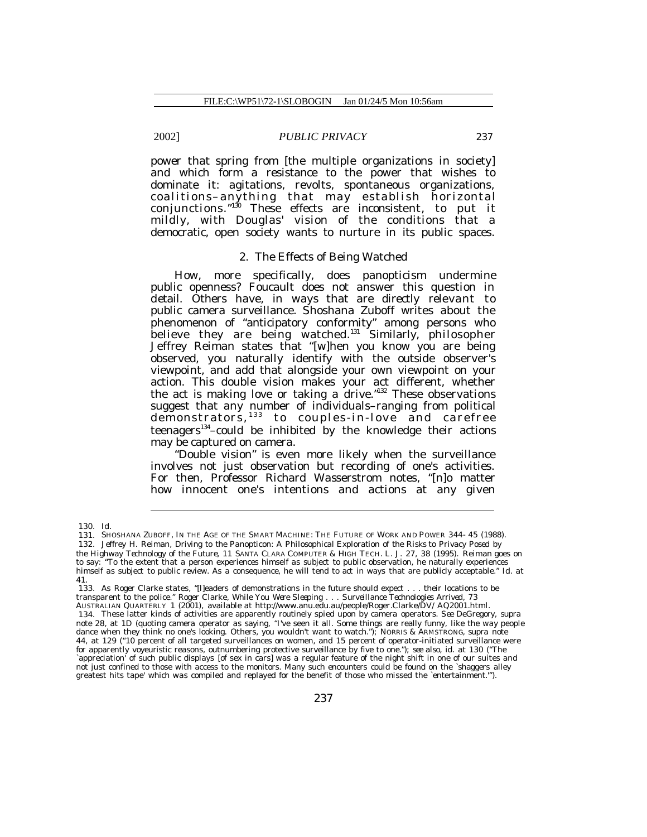power that spring from [the multiple organizations in society] and which form a resistance to the power that wishes to dominate it: agitations, revolts, spontaneous organizations, coalitions–anything that may establish horizontal conjunctions."<sup>130</sup> These effects are inconsistent, to put it mildly, with Douglas' vision of the conditions that a democratic, open society wants to nurture in its public spaces.

## 2. The Effects of Being Watched

How, more specifically, does panopticism undermine public openness? Foucault does not answer this question in detail. Others have, in ways that are directly relevant to public camera surveillance. Shoshana Zuboff writes about the phenomenon of "anticipatory conformity" among persons who believe they are being watched.<sup>131</sup> Similarly, philosopher Jeffrey Reiman states that "[w]hen you know you are being observed, you naturally identify with the outside observer's viewpoint, and add that alongside your own viewpoint on your action. This double vision makes your act different, whether the act is making love or taking a drive."<sup>132</sup> These observations suggest that any number of individuals–ranging from political demonstrators, <sup>133</sup> to couples-in-love and carefree  $teenagers<sup>134</sup>-could be inhibited by the knowledge their actions$ may be captured on camera.

"Double vision" is even more likely when the surveillance involves not just observation but recording of one's activities. For then, Professor Richard Wasserstrom notes, "[n]o matter how innocent one's intentions and actions at any given

130. *Id*.

<sup>131.</sup> SHOSHANA ZUBOFF, IN THE AGE OF THE SMART MACHINE: THE FUTURE OF WORK AND POWER 344- 45 (1988). 132. Jeffrey H. Reiman, *Driving to the Panopticon: A Philosophical Exploration of the Risks to Privacy Posed by the Highway Technology of the Future*, 11 SANTA CLARA COMPUTER & HIGH TECH. L. J. 27, 38 (1995). Reiman goes on to say: "To the extent that a person experiences himself as subject to public observation, he naturally experiences himself as subject to public review. As a consequence, he will tend to act in ways that are publicly acceptable." *Id*. at 41.

<sup>133.</sup> As Roger Clarke states, "[l]eaders of demonstrations in the future should expect . . . their locations to be transparent to the police." Roger Clarke, *While You Were Sleeping . . . Surveillance Technologies Arrived*, 73 AUSTRALIAN QUARTERLY 1 (2001), *available at* http://www.anu.edu.au/people/Roger.Clarke/DV/ AQ2001.html.

<sup>134.</sup> These latter kinds of activities are apparently routinely spied upon by camera operators. *See* DeGregory, *supra* note 28, at 1D (quoting camera operator as saying, "I've seen it all. Some things are really funny, like the way people dance when they think no one's looking. Others, you wouldn't want to watch."); NORRIS & ARMSTRONG, *supra* note 44, at 129 ("10 percent of all targeted surveillances on women, and 15 percent of operator-initiated surveillance were for apparently voyeuristic reasons, outnumbering protective surveillance by five to one."); *see also*, *id*. at 130 ("The `appreciation' of such public displays [of sex in cars] was a regular feature of the night shift in one of our suites and not just confined to those with access to the monitors. Many such encounters could be found on the `shaggers alley greatest hits tape' which was compiled and replayed for the benefit of those who missed the `entertainment.'").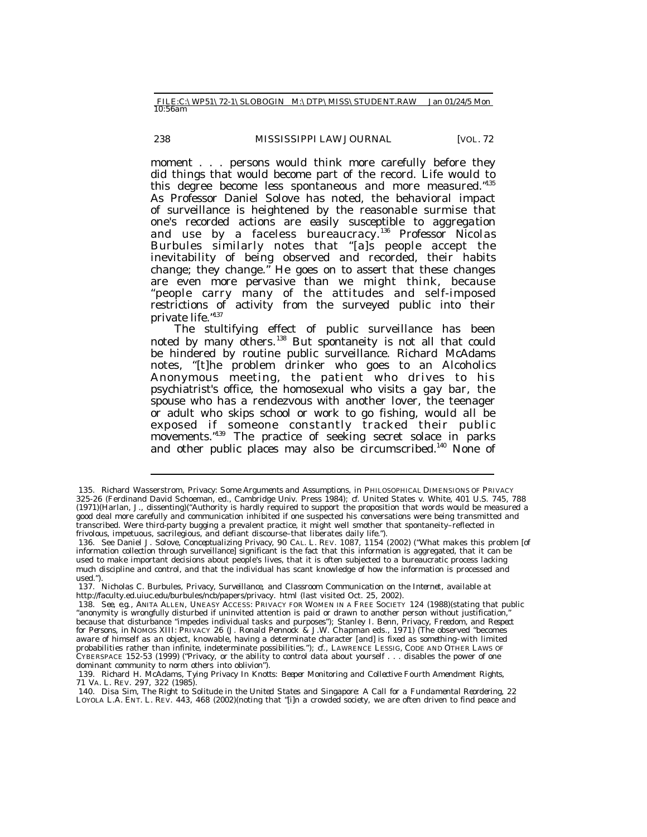moment . . . persons would think more carefully before they did things that would become part of the record. Life would to this degree become less spontaneous and more measured."<sup>135</sup> As Professor Daniel Solove has noted, the behavioral impact of surveillance is heightened by the reasonable surmise that one's recorded actions are easily susceptible to aggregation and use by a faceless bureaucracy.<sup>136</sup> Professor Nicolas Burbules similarly notes that "[a]s people accept the inevitability of being observed and recorded, their habits change; they change." He goes on to assert that these changes are even more pervasive than we might think, because "people carry many of the attitudes and self-imposed restrictions of activity from the surveyed public into their private life."<sup>137</sup>

The stultifying effect of public surveillance has been noted by many others.<sup>138</sup> But spontaneity is not all that could be hindered by routine public surveillance. Richard McAdams notes, "[t]he problem drinker who goes to an Alcoholics Anonymous meeting, the patient who drives to his psychiatrist's office, the homosexual who visits a gay bar, the spouse who has a rendezvous with another lover, the teenager or adult who skips school or work to go fishing, would all be exposed if someone constantly tracked their public movements.<sup>"139</sup> The practice of seeking secret solace in parks and other public places may also be circumscribed.<sup>140</sup> None of

140. Disa Sim, *The Right to Solitude in the United States and Singapore: A Call for a Fundamental Reordering*, 22 LOYOLA L.A. ENT. L. REV. 443, 468 (2002)(noting that "[i]n a crowded society, we are often driven to find peace and

<sup>135.</sup> Richard Wasserstrom, *Privacy: Some Arguments and Assumptions*, *in* PHILOSOPHICAL DIMENSIONS OF PRIVACY 325-26 (Ferdinand David Schoeman, ed., Cambridge Univ. Press 1984); *cf.* United States v. White, 401 U.S. 745, 788 (1971)(Harlan, J., dissenting)("Authority is hardly required to support the proposition that words would be measured a good deal more carefully and communication inhibited if one suspected his conversations were being transmitted and transcribed. Were third-party bugging a prevalent practice, it might well smother that spontaneity–reflected in frivolous, impetuous, sacrilegious, and defiant discourse–that liberates daily life.").

<sup>136.</sup> See Daniel J. Solove, *Conceptualizing Privacy*, 90 CAL. L. REV. 1087, 1154 (2002) ("What makes this problem [of information collection through surveillance] significant is the fact that this information is aggregated, that it can be used to make important decisions about people's lives, that it is often subjected to a bureaucratic process lacking much discipline and control, and that the individual has scant knowledge of how the information is processed and used.").

<sup>137.</sup> Nicholas C. Burbules, *Privacy, Surveillance, and Classroom Communication on the Internet*, *available at* http://faculty.ed.uiuc.edu/burbules/ncb/papers/privacy. html (last visited Oct. 25, 2002).

<sup>138.</sup> *See*, *e.g.*, ANITA ALLEN, UNEASY ACCESS: PRIVACY FOR WOMEN IN A FREE SOCIETY 124 (1988)(stating that public "anonymity is wrongfully disturbed if uninvited attention is paid or drawn to another person without justification," because that disturbance "impedes individual tasks and purposes"); Stanley I. Benn, *Privacy, Freedom, and Respect for Persons*, *in* NOMOS XIII: PRIVACY 26 (J. Ronald Pennock & J.W. Chapman eds., 1971) (The observed "becomes aware of himself as an object, knowable, having a determinate character [and] is fixed as *something*–with limited probabilities rather than infinite, indeterminate possibilities."); *cf.*, LAWRENCE LESSIG, CODE AND OTHER LAWS OF CYBERSPACE 152-53 (1999) ("Privacy, or the ability to control data about yourself . . . disables the power of one dominant community to norm others into oblivion").

<sup>139.</sup> Richard H. McAdams, *Tying Privacy In Knotts: Beeper Monitoring and Collective Fourth Amendment Rights,* 71 VA. L. REV. 297, 322 (1985).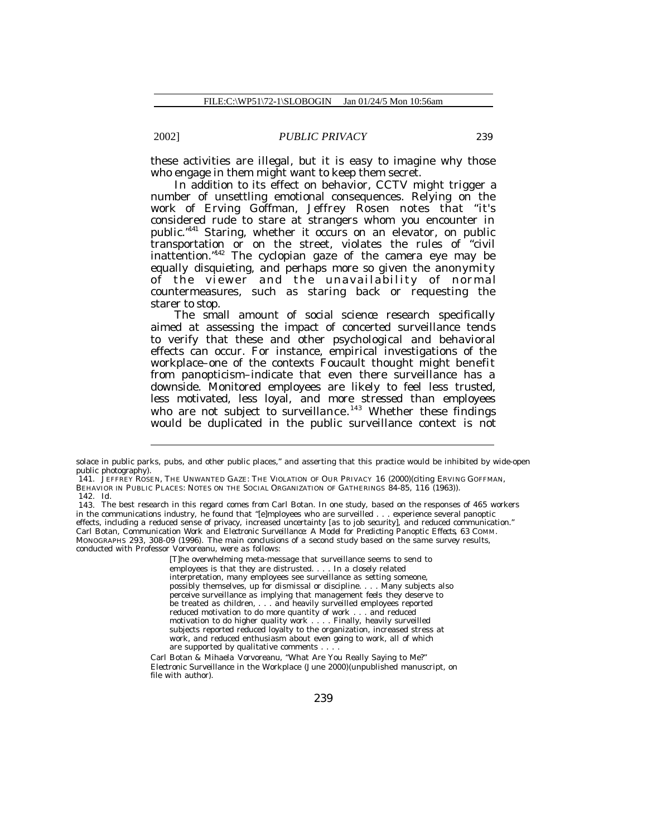these activities are illegal, but it is easy to imagine why those who engage in them might want to keep them secret.

In addition to its effect on behavior, CCTV might trigger a number of unsettling emotional consequences. Relying on the work of Erving Goffman, Jeffrey Rosen notes that "it's considered rude to stare at strangers whom you encounter in public."<sup>141</sup> Staring, whether it occurs on an elevator, on public transportation or on the street, violates the rules of "civil inattention."<sup>142</sup> The cyclopian gaze of the camera eye may be equally disquieting, and perhaps more so given the anonymity of the viewer and the unavailability of normal countermeasures, such as staring back or requesting the starer to stop.

The small amount of social science research specifically aimed at assessing the impact of concerted surveillance tends to verify that these and other psychological and behavioral effects can occur. For instance, empirical investigations of the workplace–one of the contexts Foucault thought might benefit from panopticism–indicate that even there surveillance has a downside. Monitored employees are likely to feel less trusted, less motivated, less loyal, and more stressed than employees who are not subject to surveillance.<sup>143</sup> Whether these findings would be duplicated in the public surveillance context is not

solace in public parks, pubs, and other public places," and asserting that this practice would be inhibited by wide-open public photography).

<sup>141.</sup> JEFFREY ROSEN, THE UNWANTED GAZE: THE VIOLATION OF OUR PRIVACY 16 (2000)(citing ERVING GOFFMAN, BEHAVIOR IN PUBLIC PLACES: NOTES ON THE SOCIAL ORGANIZATION OF GATHERINGS 84-85, 116 (1963)). 142. *Id*.

<sup>143.</sup> The best research in this regard comes from Carl Botan. In one study, based on the responses of 465 workers in the communications industry, he found that "[e]mployees who are surveilled . . . experience several panoptic effects, including a reduced sense of privacy, increased uncertainty [as to job security], and reduced communication." Carl Botan, *Communication Work and Electronic Surveillance: A Model for Predicting Panoptic Effects*, 63 COMM. MONOGRAPHS 293, 308-09 (1996). The main conclusions of a second study based on the same survey results, conducted with Professor Vorvoreanu, were as follows:

<sup>[</sup>T]he overwhelming meta-message that surveillance seems to send to employees is that they are distrusted. . . . In a closely related interpretation, many employees see surveillance as setting someone, possibly themselves, up for dismissal or discipline. . . . Many subjects also perceive surveillance as implying that management feels they deserve to be treated as children, . . . and heavily surveilled employees reported reduced motivation to do more quantity of work . . . and reduced motivation to do higher quality work . . . . Finally, heavily surveilled subjects reported reduced loyalty to the organization, increased stress at work, and reduced enthusiasm about even going to work, all of which are supported by qualitative comments . . . .

Carl Botan & Mihaela Vorvoreanu, "What Are You Really Saying to Me?" Electronic Surveillance in the Workplace (June 2000)(unpublished manuscript, on file with author).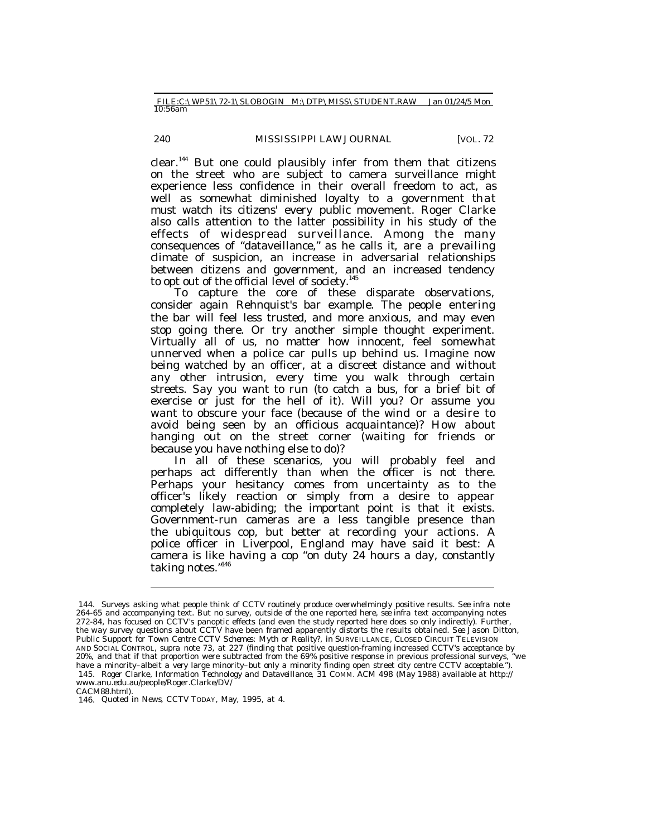clear.<sup>144</sup> But one could plausibly infer from them that citizens on the street who are subject to camera surveillance might experience less confidence in their overall freedom to act, as well as somewhat diminished loyalty to a government that must watch its citizens' every public movement. Roger Clarke also calls attention to the latter possibility in his study of the effects of widespread surveillance. Among the many consequences of "dataveillance," as he calls it, are a prevailing climate of suspicion, an increase in adversarial relationships between citizens and government, and an increased tendency to opt out of the official level of society. $145$ 

To capture the core of these disparate observations, consider again Rehnquist's bar example. The people entering the bar will feel less trusted, and more anxious, and may even stop going there. Or try another simple thought experiment. Virtually all of us, no matter how innocent, feel somewhat unnerved when a police car pulls up behind us. Imagine now being watched by an officer, at a discreet distance and without any other intrusion, every time you walk through certain streets. Say you want to run (to catch a bus, for a brief bit of exercise or just for the hell of it). Will you? Or assume you want to obscure your face (because of the wind or a desire to avoid being seen by an officious acquaintance)? How about hanging out on the street corner (waiting for friends or because you have nothing else to do)?

In all of these scenarios, you will probably feel and perhaps act differently than when the officer is not there. Perhaps your hesitancy comes from uncertainty as to the officer's likely reaction or simply from a desire to appear completely law-abiding; the important point is that it exists. Government-run cameras are a less tangible presence than the ubiquitous cop, but better at recording your actions. A police officer in Liverpool, England may have said it best: A camera is like having a cop "on duty 24 hours a day, constantly taking notes."<sup>146</sup>

<sup>144.</sup> Surveys asking what people think of CCTV routinely produce overwhelmingly positive results. *See infra* note 264-65 and accompanying text. But no survey, outside of the one reported here, *see infra* text accompanying notes 272-84, has focused on CCTV's panoptic effects (and even the study reported here does so only indirectly). Further, the way survey questions about CCTV have been framed apparently distorts the results obtained. *See* Jason Ditton, *Public Support for Town Centre CCTV Schemes: Myth or Reality?*, *in* SURVEILLANCE, CLOSED CIRCUIT TELEVISION AND SOCIAL CONTROL, *supra* note 73, at 227 (finding that positive question-framing increased CCTV's acceptance by 20%, and that if that proportion were subtracted from the 69% positive response in previous professional surveys, "we have a minority–albeit a very large minority–but only a minority finding open street city centre CCTV acceptable."). 145. Roger Clarke, *Information Technology and Dataveillance*, 31 COMM. ACM 498 (May 1988) *available at* http:// www.anu.edu.au/people/Roger.Clarke/DV/

CACM88.html).

<sup>146.</sup> Quoted in *News*, CCTV TODAY, May, 1995, at 4.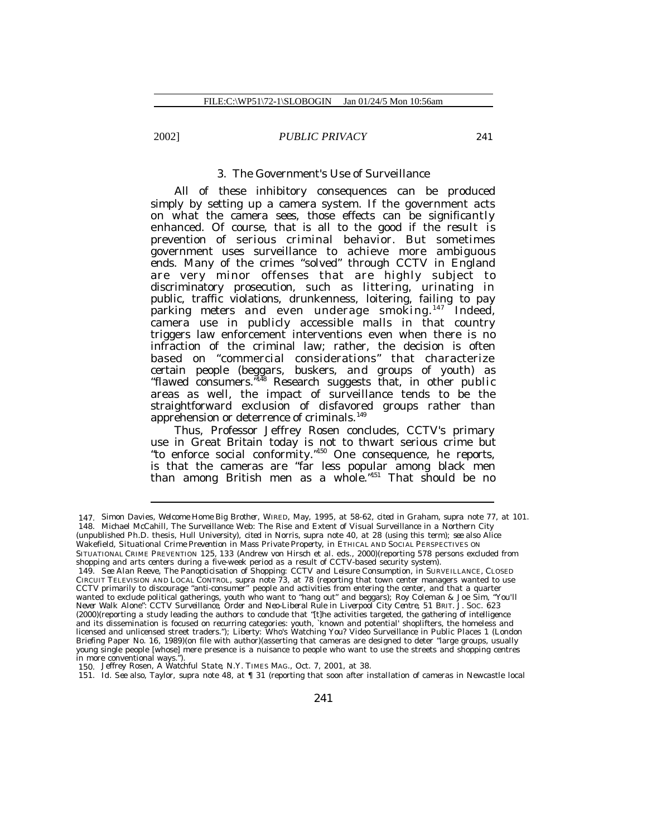#### 3. The Government's Use of Surveillance

All of these inhibitory consequences can be produced simply by setting up a camera system. If the government acts on what the camera sees, those effects can be significantly enhanced. Of course, that is all to the good if the result is prevention of serious criminal behavior. But sometimes government uses surveillance to achieve more ambiguous ends. Many of the crimes "solved" through CCTV in England are very minor offenses that are highly subject to discriminatory prosecution, such as littering, urinating in public, traffic violations, drunkenness, loitering, failing to pay parking meters and even underage smoking.<sup>147</sup> Indeed, camera use in publicly accessible malls in that country triggers law enforcement interventions even when there is *no* infraction of the criminal law; rather, the decision is often based on "commercial considerations" that characterize certain people (beggars, buskers, and groups of youth) as "flawed consumers."<sup>148</sup> Research suggests that, in other public areas as well, the impact of surveillance tends to be the straightforward exclusion of disfavored groups rather than apprehension or deterrence of criminals.<sup>149</sup>

Thus, Professor Jeffrey Rosen concludes, CCTV's primary use in Great Britain today is not to thwart serious crime but "to enforce social conformity."<sup>150</sup> One consequence, he reports, is that the cameras are "far less popular among black men than among British men as a whole."<sup>151</sup> That should be no

150. Jeffrey Rosen, *A Watchful State*, N.Y. TIMES MAG., Oct. 7, 2001, at 38.

<sup>147.</sup> Simon Davies, *Welcome Home Big Brother*, WIRED, May, 1995, at 58-62, *cited in* Graham, *supra* note 77, at 101. 148. Michael McCahill, The Surveillance Web: The Rise and Extent of Visual Surveillance in a Northern City (unpublished Ph.D. thesis, Hull University), *cited in* Norris, *supra* note 40, at 28 (using this term); *see also* Alice Wakefield, *Situational Crime Prevention in Mass Private Property*, *in* ETHICAL AND SOCIAL PERSPECTIVES ON SITUATIONAL CRIME PREVENTION 125, 133 (Andrew von Hirsch et al. eds., 2000)(reporting 578 persons excluded from

shopping and arts centers during a five-week period as a result of CCTV-based security system). 149. *See* Alan Reeve, *The Panopticisation of Shopping: CCTV and Leisure Consumption*, *in* SURVEILLANCE, CLOSED CIRCUIT TELEVISION AND LOCAL CONTROL, *supra* note 73, at 78 (reporting that town center managers wanted to use CCTV primarily to discourage "anti-consumer" people and activities from entering the center, and that a quarter wanted to exclude political gatherings, youth who want to "hang out" and beggars); Roy Coleman & Joe Sim, *"You'll Never Walk Alone": CCTV Surveillance, Order and Neo-Liberal Rule in Liverpool City Centre*, 51 BRIT. J. SOC. 623 (2000)(reporting a study leading the authors to conclude that "[t]he activities targeted, the gathering of intelligence and its dissemination is focused on recurring categories: youth, `known and potential' shoplifters, the homeless and licensed and unlicensed street traders."); Liberty: Who's Watching You? Video Surveillance in Public Places 1 (London Briefing Paper No. 16, 1989)(on file with author)(asserting that cameras are designed to deter "large groups, usually young single people [whose] mere presence is a nuisance to people who want to use the streets and shopping centres in more conventional ways.").

<sup>151.</sup> *Id*. *See also*, Taylor, *supra* note 48, at ¶ 31 (reporting that soon after installation of cameras in Newcastle local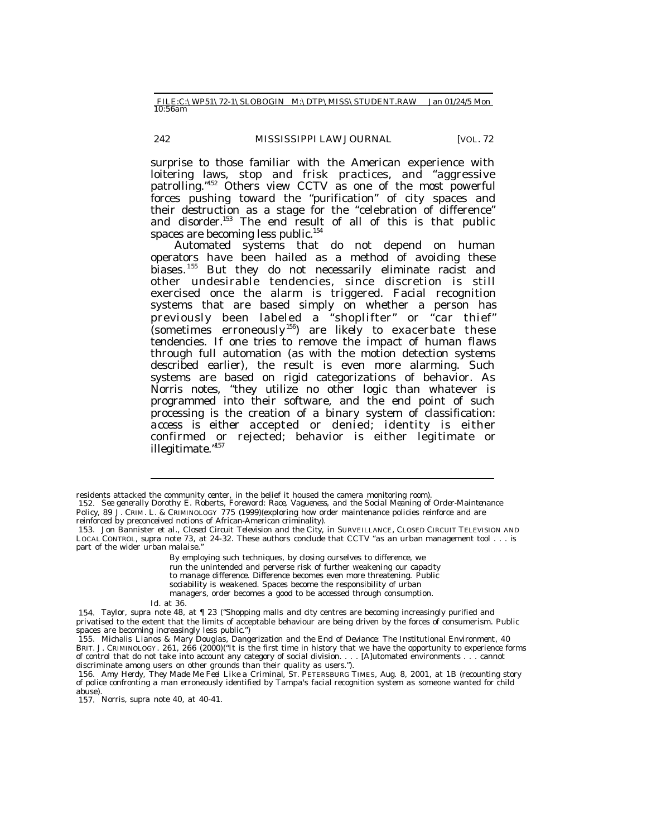surprise to those familiar with the American experience with loitering laws, stop and frisk practices, and "aggressive patrolling."<sup>152</sup> Others view CCTV as one of the most powerful forces pushing toward the "purification" of city spaces and their destruction as a stage for the "celebration of difference" and disorder.<sup>153</sup> The end result of all of this is that public spaces are becoming less public.<sup>154</sup>

Automated systems that do not depend on human operators have been hailed as a method of avoiding these biases.<sup>155</sup> But they do not necessarily eliminate racist and other undesirable tendencies, since discretion is still exercised once the alarm is triggered. Facial recognition systems that are based simply on whether a person has previously been labeled a "shoplifter" or "car thief" (sometimes erroneously $^{156}$ ) are likely to exacerbate these tendencies. If one tries to remove the impact of human flaws through full automation (as with the motion detection systems described earlier), the result is even more alarming. Such systems are based on rigid categorizations of behavior. As Norris notes, "they utilize no other logic than whatever is programmed into their software, and the end point of such processing is the creation of a binary system of classification: access is either accepted or denied; identity is either confirmed or rejected; behavior is either legitimate or illegitimate."157

By employing such techniques, by closing ourselves to difference, we run the unintended and perverse risk of further weakening our capacity to manage difference. Difference becomes even more threatening. Public sociability is weakened. Spaces become the responsibility of urban managers, order becomes a good to be accessed through consumption.

*Id.* at 36.

154. Taylor, *supra* note 48, at ¶ 23 ("Shopping malls and city centres are becoming increasingly purified and privatised to the extent that the limits of acceptable behaviour are being driven by the forces of consumerism. Public spaces are becoming increasingly less public.")

155. Michalis Lianos & Mary Douglas, *Dangerization and the End of Deviance: The Institutional Environment*, 40 BRIT. J. CRIMINOLOGY. 261, 266 (2000)("It is the first time in history that we have the opportunity to experience forms of control that do not take into account any category of social division. . . . [A]utomated environments . . . cannot discriminate among users on other grounds than their quality as users.").

156. Amy Herdy, *They Made Me Feel Like a Criminal*, ST. PETERSBURG TIMES, Aug. 8, 2001, at 1B (recounting story of police confronting a man erroneously identified by Tampa's facial recognition system as someone wanted for child abuse).

157. Norris, *supra* note 40, at 40-41.

residents attacked the community center, in the belief it housed the camera monitoring room).<br>152. See generally Dorothy E. Roberts, Foreword: Race, Vagueness, and the Social Meaning of Order-Maintenance *Policy*, 89 J. CRIM. L. & CRIMINOLOGY 775 (1999)(exploring how order maintenance policies reinforce and are reinforced by preconceived notions of African-American criminality).

<sup>153.</sup> Jon Bannister et al., *Closed Circuit Television and the City*, *in* SURVEILLANCE, CLOSED CIRCUIT TELEVISION AND LOCAL CONTROL, *supra* note 73, at 24-32. These authors conclude that CCTV "as an urban management tool . . . is part of the wider urban malaise.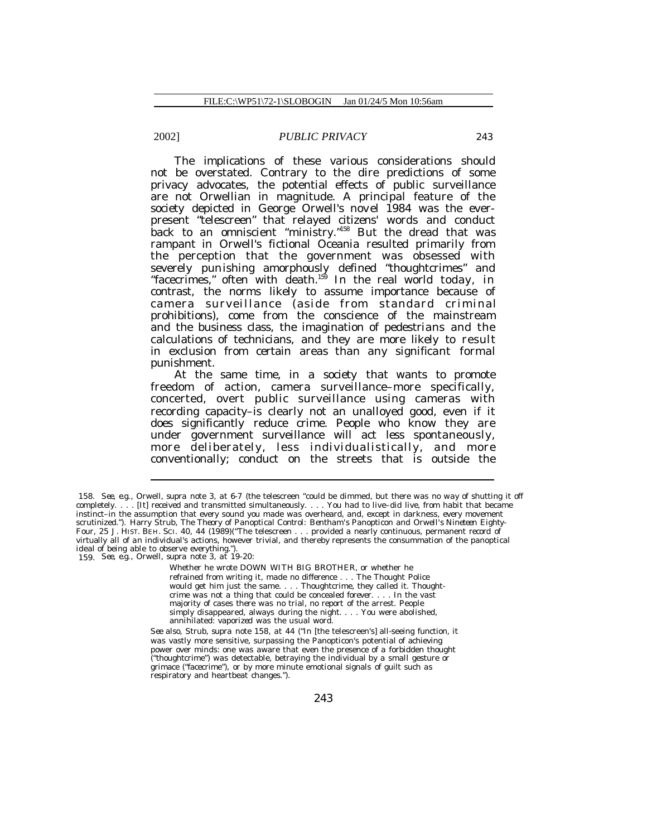The implications of these various considerations should not be overstated. Contrary to the dire predictions of some privacy advocates, the potential effects of public surveillance are not Orwellian in magnitude. A principal feature of the society depicted in George Orwell's novel *1984* was the everpresent "telescreen" that relayed citizens' words and conduct back to an omniscient "ministry."<sup>158</sup> But the dread that was rampant in Orwell's fictional Oceania resulted primarily from the perception that the government was obsessed with severely punishing amorphously defined "thoughtcrimes" and "facecrimes," often with death.<sup>159</sup> In the real world today, in contrast, the norms likely to assume importance because of camera surveillance (aside from standard criminal prohibitions), come from the conscience of the mainstream and the business class, the imagination of pedestrians and the calculations of technicians, and they are more likely to result in exclusion from certain areas than any significant formal punishment.

At the same time, in a society that wants to promote freedom of action, camera surveillance–more specifically, concerted, overt public surveillance using cameras with recording capacity–is clearly not an unalloyed good, even if it does significantly reduce crime. People who know they are under government surveillance will act less spontaneously, more deliberately, less individualistically, and more conventionally; conduct on the streets that is outside the

<sup>158.</sup> *See*, *e.g.*, Orwell, *supra* note 3, at 6-7 (the telescreen "could be dimmed, but there was no way of shutting it off completely. . . . [It] received and transmitted simultaneously. . . . You had to live–did live, from habit that became instinct–in the assumption that every sound you made was overheard, and, except in darkness, every movement scrutinized."). Harry Strub, *The Theory of Panoptical Control: Bentham's Panopticon and Orwell's Nineteen Eighty-Four*, 25 J. HIST. BEH. SCI. 40, 44 (1989)("The telescreen . . . provided a nearly continuous, permanent record of virtually all of an individual's actions, however trivial, and thereby represents the consummation of the panoptical ideal of being able to observe everything."). 159. *See*, *e.g.*, Orwell, *supra* note 3, at 19-20:

Whether he wrote DOWN WITH BIG BROTHER, or whether he refrained from writing it, made no difference . . . The Thought Police would get him just the same. . . . Thoughtcrime, they called it. Thoughtcrime was not a thing that could be concealed forever. . . . In the vast majority of cases there was no trial, no report of the arrest. People simply disappeared, always during the night. . . . You were abolished, annihilated: *vaporized* was the usual word.

*See also*, Strub, *supra* note 158, at 44 ("In [the telescreen's] all-seeing function, it was vastly more sensitive, surpassing the Panopticon's potential of achieving power over minds: one was aware that even the presence of a forbidden thought ("thoughtcrime") was detectable, betraying the individual by a small gesture or grimace ("facecrime"), or by more minute emotional signals of guilt such as respiratory and heartbeat changes.").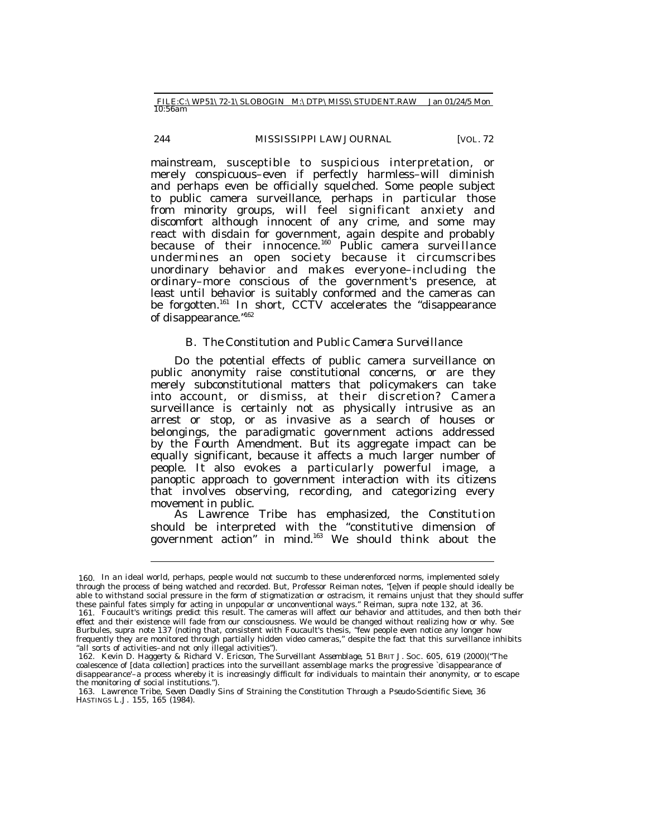mainstream, susceptible to suspicious interpretation, or merely conspicuous–even if perfectly harmless–will diminish and perhaps even be officially squelched. Some people subject to public camera surveillance, perhaps in particular those from minority groups, will feel significant anxiety and discomfort although innocent of any crime, and some may react with disdain for government, again despite and probably because of their innocence.<sup>160</sup> Public camera surveillance undermines an open society because it circumscribes unordinary behavior and makes everyone–including the ordinary–more conscious of the government's presence, at least until behavior is suitably conformed and the cameras can be forgotten.<sup>161</sup> In short, CCTV accelerates the "disappearance of disappearance."<sup>162</sup>

# *B. The Constitution and Public Camera Surveillance*

Do the potential effects of public camera surveillance on public anonymity raise constitutional concerns, or are they merely subconstitutional matters that policymakers can take into account, or dismiss, at their discretion? Camera surveillance is certainly not as physically intrusive as an arrest or stop, or as invasive as a search of houses or belongings, the paradigmatic government actions addressed by the Fourth Amendment. But its aggregate impact can be equally significant, because it affects a much larger number of people. It also evokes a particularly powerful image, a panoptic approach to government interaction with its citizens that involves observing, recording, and categorizing every movement in public.

As Lawrence Tribe has emphasized, the Constitution should be interpreted with the "constitutive dimension of government action" in mind.<sup>163</sup> We should think about the

<sup>160.</sup> In an ideal world, perhaps, people would not succumb to these underenforced norms, implemented solely through the process of being watched and recorded. But, Professor Reiman notes, "[e]ven if people should ideally be able to withstand social pressure in the form of stigmatization or ostracism, it remains unjust that they should suffer these painful fates simply for acting in unpopular or unconventional ways." Reiman, supra note 132, at 36.<br>161. Foucault's writings predict this result. The cameras will affect our behavior and attitudes, and then both the

effect and their existence will fade from our consciousness. We would be changed without realizing how or why. See Burbules, *supra* note 137 (noting that, consistent with Foucault's thesis, "few people even notice any longer how frequently they are monitored through partially hidden video cameras," despite the fact that this surveillance inhibits "all sorts of activities–and not only illegal activities").

<sup>162.</sup> Kevin D. Haggerty & Richard V. Ericson, *The Surveillant Assemblage*, 51 BRIT J. SOC. 605, 619 (2000)("The coalescence of [data collection] practices into the surveillant assemblage marks the progressive `disappearance of disappearance'–a process whereby it is increasingly difficult for individuals to maintain their anonymity, or to escape the monitoring of social institutions.").

<sup>163.</sup> Lawrence Tribe, *Seven Deadly Sins of Straining the Constitution Through a Pseudo-Scientific Sieve*, 36 HASTINGS L.J. 155, 165 (1984).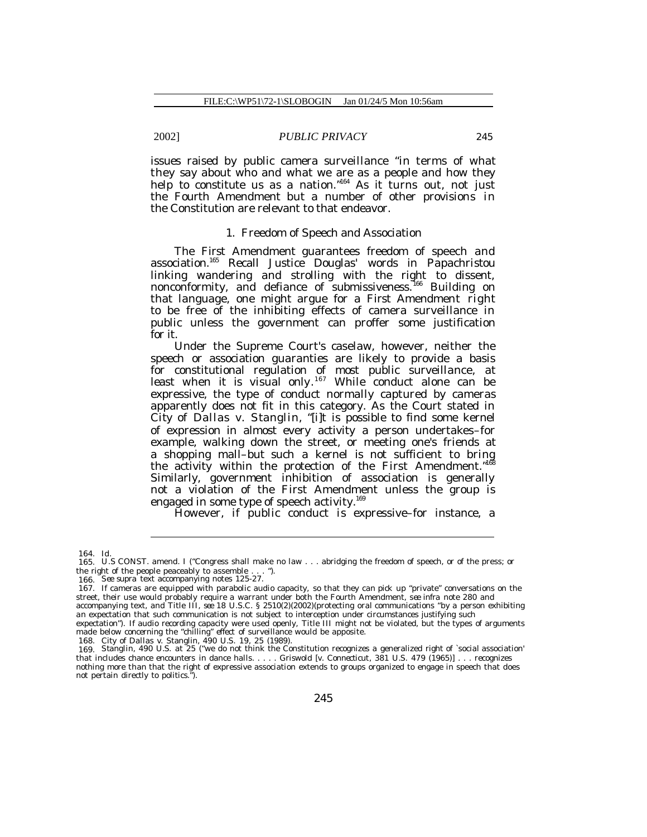issues raised by public camera surveillance "in terms of what they *say* about who and what we are as a people and how they help to constitute us as a nation."<sup>164</sup> As it turns out, not just the Fourth Amendment but a number of other provisions in the Constitution are relevant to that endeavor.

## 1. Freedom of Speech and Association

The First Amendment guarantees freedom of speech and association.<sup>165</sup> Recall Justice Douglas' words in *Papachristou* linking wandering and strolling with the right to dissent, nonconformity, and defiance of submissiveness.<sup>166</sup> Building on that language, one might argue for a First Amendment right to be free of the inhibiting effects of camera surveillance in public unless the government can proffer some justification for it.

Under the Supreme Court's caselaw, however, neither the speech or association guaranties are likely to provide a basis for constitutional regulation of most public surveillance, at least when it is visual only.<sup>167</sup> While conduct alone can be expressive, the type of conduct normally captured by cameras apparently does not fit in this category. As the Court stated in *City of Dallas v. Stanglin*, "[i]t is possible to find some kernel of expression in almost every activity a person undertakes–for example, walking down the street, or meeting one's friends at a shopping mall–but such a kernel is not sufficient to bring the activity within the protection of the First Amendment."168 Similarly, government inhibition of association is generally not a violation of the First Amendment unless the group is engaged in some type of speech activity.<sup>169</sup>

However, if public conduct *is* expressive–for instance, a

<sup>164.</sup> *Id*.

<sup>165.</sup> U.S CONST. amend. I ("Congress shall make no law . . . abridging the freedom of speech, or of the press; or

the right of the people peaceably to assemble . . . "). 166. *See supra* text accompanying notes 125-27.

<sup>167.</sup> If cameras are equipped with parabolic audio capacity, so that they can pick up "private" conversations on the street, their use would probably require a warrant under both the Fourth Amendment, s*ee infra* note 280 and accompanying text, and Title III, *see* 18 U.S.C. § 2510(2)(2002)(protecting oral communications "by a person exhibiting an expectation that such communication is not subject to interception under circumstances justifying such

expectation"). If audio recording capacity were used openly, Title III might not be violated, but the types of arguments made below concerning the "chilling" effect of surveillance would be apposite.

<sup>168.</sup> City of Dallas v. Stanglin, 490 U.S. 19, 25 (1989). 169. *Stanglin*, 490 U.S. at 25 ("we do not think the Constitution recognizes a generalized right of `social association' that includes chance encounters in dance halls. . . . . *Griswold* [*v. Connecticut*, 381 U.S. 479 (1965)] . . . recognizes nothing more than that the right of expressive association extends to groups organized to engage in speech that does not pertain directly to politics.").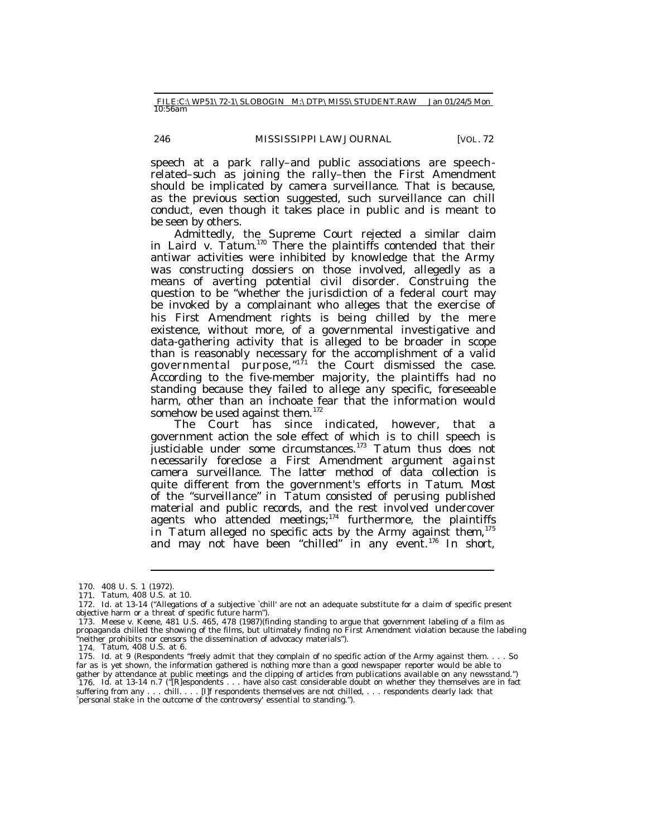speech at a park rally–and public associations *are* speechrelated–such as joining the rally–then the First Amendment should be implicated by camera surveillance. That is because, as the previous section suggested, such surveillance can chill conduct, even though it takes place in public and is meant to be seen by others.

Admittedly, the Supreme Court rejected a similar claim in *Laird v. Tatum*. <sup>170</sup> There the plaintiffs contended that their antiwar activities were inhibited by knowledge that the Army was constructing dossiers on those involved, allegedly as a means of averting potential civil disorder. Construing the question to be "whether the jurisdiction of a federal court may be invoked by a complainant who alleges that the exercise of his First Amendment rights is being chilled by the mere existence, without more, of a governmental investigative and data-gathering activity that is alleged to be broader in scope than is reasonably necessary for the accomplishment of a valid governmental purpose,"<sup>171</sup> the Court dismissed the case. According to the five-member majority, the plaintiffs had no standing because they failed to allege any specific, foreseeable harm, other than an inchoate fear that the information would somehow be used against them.<sup>172</sup>

The Court has since indicated, however, that a government action the sole effect of which is to chill speech is justiciable under some circumstances.<sup>173</sup> *Tatum* thus does not necessarily foreclose a First Amendment argument against camera surveillance. The latter method of data collection is quite different from the government's efforts in *Tatum*. Most of the "surveillance" in *Tatum* consisted of perusing published material and public records, and the rest involved undercover agents who attended meetings; $174$  furthermore, the plaintiffs in *Tatum* alleged no specific acts by the Army against them,<sup>175</sup> and may not have been "chilled" in any event. <sup>176</sup> In short,

<sup>170.</sup> 408 U. S. 1 (1972). 171. *Tatum*, 408 U.S. at 10.

<sup>172.</sup> *Id*. at 13-14 ("Allegations of a subjective `chill' are not an adequate substitute for a claim of specific present objective harm or a threat of specific future harm").

<sup>173.</sup> Meese v. Keene, 481 U.S. 465, 478 (1987)(finding standing to argue that government labeling of a film as propaganda chilled the showing of the films, but ultimately finding no First Amendment violation because the labeling "neither prohibits nor censors the dissemination of advocacy materials").

<sup>174.</sup> *Tatum*, 408 U.S. at 6.

<sup>175.</sup> *Id*. at 9 (Respondents "freely admit that they complain of no specific action of the Army against them. . . . So far as is yet shown, the information gathered is nothing more than a good newspaper reporter would be able to gather by attendance at public meetings and the clipping of articles from publications available on any newsstand.") 176. *Id*. at 13-14 n.7 ("[R]espondents . . . have also cast considerable doubt on whether they themselves are in fact suffering from any . . . chill. . . . [I]f respondents themselves are not chilled, . . . respondents clearly lack that `personal stake in the outcome of the controversy' essential to standing.").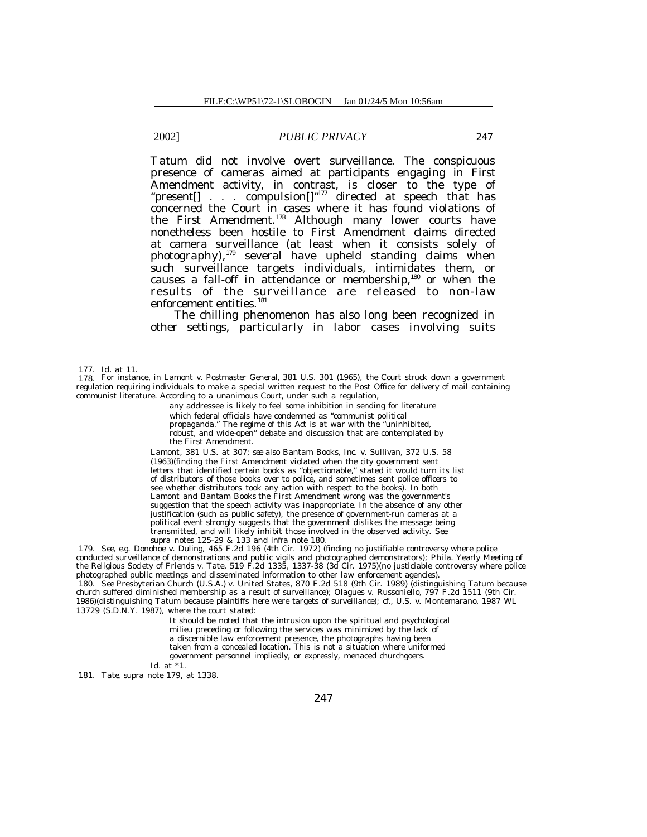*Tatum* did not involve overt surveillance. The conspicuous presence of cameras aimed at participants engaging in First Amendment activity, in contrast, is closer to the type of "present[] . . . compulsion[]"<sup>177</sup> directed at speech that has concerned the Court in cases where it has found violations of the First Amendment.<sup>178</sup> Although many lower courts have nonetheless been hostile to First Amendment claims directed at camera surveillance (at least when it consists solely of photography),<sup>179</sup> several have upheld standing claims when such surveillance targets individuals, intimidates them, or causes a fall-off in attendance or membership, $180$  or when the results of the surveillance are released to non-law enforcement entities.<sup>181</sup>

The chilling phenomenon has also long been recognized in other settings, particularly in labor cases involving suits

177. *Id*. at 11. 178. For instance, in *Lamont v. Postmaster General*, 381 U.S. 301 (1965), the Court struck down a government regulation requiring individuals to make a special written request to the Post Office for delivery of mail containing communist literature. According to a unanimous Court, under such a regulation,

> any addressee is likely to feel some inhibition in sending for literature which federal officials have condemned as "communist political propaganda." The regime of this Act is at war with the "uninhibited, robust, and wide-open" debate and discussion that are contemplated by the First Amendment.

*Lamont*, 381 U.S. at 307; *see also* Bantam Books, Inc. v. Sullivan, 372 U.S. 58 (1963)(finding the First Amendment violated when the city government sent letters that identified certain books as "objectionable," stated it would turn its list of distributors of those books over to police, and sometimes sent police officers to see whether distributors took any action with respect to the books). In both *Lamont* and *Bantam Books* the First Amendment wrong was the government's suggestion that the speech activity was inappropriate. In the absence of any other justification (such as public safety), the presence of government-run cameras at a political event strongly suggests that the government dislikes the message being transmitted, and will likely inhibit those involved in the observed activity. *See supra* notes 125-29 & 133 and *infra* note 180.

179. *See*, *e.g.* Donohoe v. Duling, 465 F.2d 196 (4th Cir. 1972) (finding no justifiable controversy where police conducted surveillance of demonstrations and public vigils and photographed demonstrators); Phila. Yearly Meeting of the Religious Society of Friends v. Tate, 519 F.2d 1335, 1337-38 (3d Cir. 1975)(no justiciable controversy where police photographed public meetings and disseminated information to other law enforcement agencies). 180. *See* Presbyterian Church (U.S.A.) v. United States, 870 F.2d 518 (9th Cir. 1989) (distinguishing *Tatum* because church suffered diminished membership as a result of surveillance); Olagues v. Russoniello, 797 F.2d 1511 (9th Cir. 1986)(distinguishing *Tatum* because plaintiffs here were targets of surveillance); *cf*., U.S. v. Montemarano, 1987 WL 13729 (S.D.N.Y. 1987), where the court stated:

> It should be noted that the intrusion upon the spiritual and psychological milieu preceding or following the services was minimized by the lack of a discernible law enforcement presence, the photographs having been taken from a concealed location. This is not a situation where uniformed government personnel impliedly, or expressly, menaced churchgoers. *Id*. at \*1.

181. *Tate*, *supra* note 179, at 1338.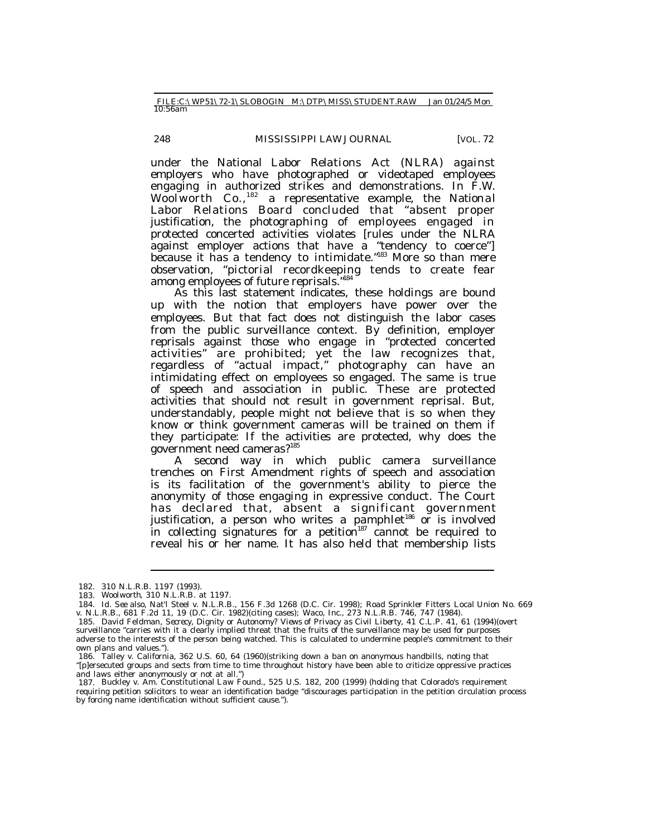under the National Labor Relations Act (NLRA) against employers who have photographed or videotaped employees engaging in authorized strikes and demonstrations. In *F.W. Woolworth Co.*, <sup>182</sup> a representative example, the National Labor Relations Board concluded that "absent proper justification, the photographing of employees engaged in protected concerted activities violates [rules under the NLRA against employer actions that have a "tendency to coerce"] because it has a tendency to intimidate."<sup>183</sup> More so than mere observation, "pictorial recordkeeping tends to create fear among employees of future reprisals."<sup>184</sup>

As this last statement indicates, these holdings are bound up with the notion that employers have power over the employees. But that fact does not distinguish the labor cases from the public surveillance context. By definition, employer reprisals against those who engage in "protected concerted activities" are prohibited; yet the law recognizes that, regardless of "actual impact," photography can have an intimidating effect on employees so engaged. The same is true of speech and association in public. These are protected activities that should not result in government reprisal. But, understandably, people might not believe that is so when they know or think government cameras will be trained on them if they participate: If the activities are protected, why does the government need cameras?<sup>185</sup>

A second way in which public camera surveillance trenches on First Amendment rights of speech and association is its facilitation of the government's ability to pierce the anonymity of those engaging in expressive conduct. The Court has declared that, absent a significant government justification, a person who writes a pamphlet<sup>186</sup> or is involved in collecting signatures for a petition<sup>187</sup> cannot be required to reveal his or her name. It has also held that membership lists

<sup>182.</sup> 310 N.L.R.B. 1197 (1993). 183. *Woolworth*, 310 N.L.R.B. at 1197.

<sup>184.</sup> *Id*. *See also*, Nat'l Steel v. N.L.R.B., 156 F.3d 1268 (D.C. Cir. 1998); Road Sprinkler Fitters Local Union No. 669 v. N.L.R.B., 681 F.2d 11, 19 (D.C. Cir. 1982)(citing cases); Waco, Inc., 273 N.L.R.B. 746, 747 (1984).

<sup>185.</sup> David Feldman, *Secrecy, Dignity or Autonomy? Views of Privacy as Civil Liberty*, 41 C.L.P. 41, 61 (1994)(overt surveillance "carries with it a clearly implied threat that the fruits of the surveillance may be used for purposes adverse to the interests of the person being watched. This is calculated to undermine people's commitment to their own plans and values.").

<sup>186.</sup> Talley v. California, 362 U.S. 60, 64 (1960)(striking down a ban on anonymous handbills, noting that "[p]ersecuted groups and sects from time to time throughout history have been able to criticize oppressive practices and laws either anonymously or not at all.")

<sup>187.</sup> Buckley v. Am. Constitutional Law Found., 525 U.S. 182, 200 (1999) (holding that Colorado's requirement requiring petition solicitors to wear an identification badge "discourages participation in the petition circulation process by forcing name identification without sufficient cause.").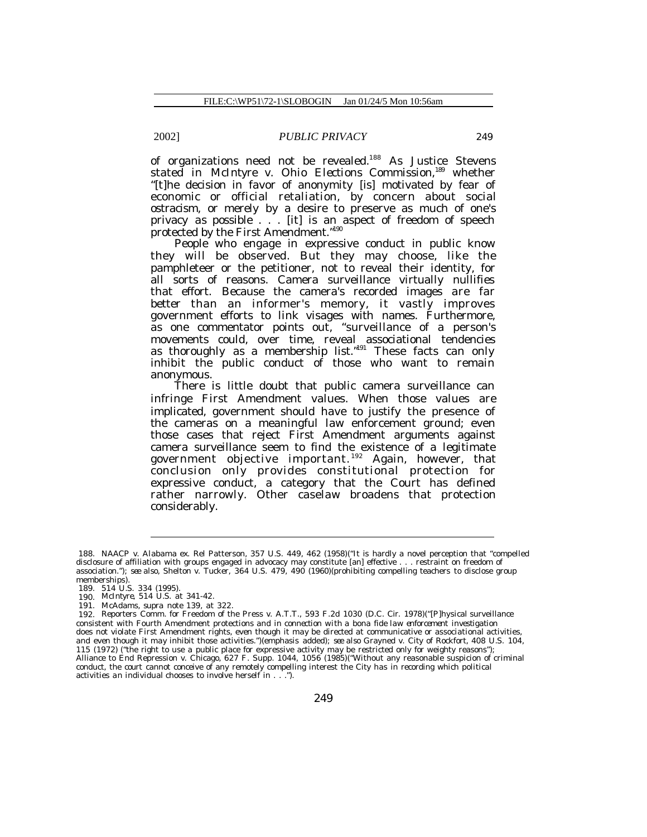of organizations need not be revealed.<sup>188</sup> As Justice Stevens stated in *McIntyre v. Ohio Elections Commission*, <sup>189</sup> whether "[t]he decision in favor of anonymity [is] motivated by fear of economic or official retaliation, by concern about social ostracism, or merely by a desire to preserve as much of one's privacy as possible . . . [it] is an aspect of freedom of speech protected by the First Amendment."<sup>190</sup>

People who engage in expressive conduct in public know they will be observed. But they may choose, like the pamphleteer or the petitioner, not to reveal their identity, for all sorts of reasons. Camera surveillance virtually nullifies that effort. Because the camera's recorded images are far better than an informer's memory, it vastly improves government efforts to link visages with names. Furthermore, as one commentator points out, "surveillance of a person's movements could, over time, reveal associational tendencies as thoroughly as a membership list."<sup>191</sup> These facts can only inhibit the public conduct of those who want to remain anonymous.

There is little doubt that public camera surveillance can infringe First Amendment values. When those values are implicated, government should have to justify the presence of the cameras on a meaningful law enforcement ground; even those cases that reject First Amendment arguments against camera surveillance seem to find the existence of a legitimate government objective important. <sup>192</sup> Again, however, that conclusion only provides constitutional protection for expressive conduct, a category that the Court has defined rather narrowly. Other caselaw broadens that protection considerably.

<sup>188.</sup> NAACP v. Alabama ex. Rel Patterson, 357 U.S. 449, 462 (1958)("It is hardly a novel perception that "compelled disclosure of affiliation with groups engaged in advocacy may constitute [an] effective . . . restraint on freedom of association."); *see also*, Shelton v. Tucker, 364 U.S. 479, 490 (1960)(prohibiting compelling teachers to disclose group memberships).

<sup>189.</sup> 514 U.S. 334 (1995).

<sup>190.</sup> *McIntyre*, 514 U.S. at 341-42.

<sup>191.</sup> McAdams, *supra* note 139, at 322.

<sup>192.</sup> Reporters Comm. for Freedom of the Press v. A.T.T., 593 F.2d 1030 (D.C. Cir. 1978)("[P]hysical surveillance consistent with Fourth Amendment protections and *in connection with a bona fide law enforcement investigation* does not violate First Amendment rights, even though it may be directed at communicative or associational activities, and even though it may inhibit those activities.")(emphasis added); *see also* Grayned v. City of Rockfort, 408 U.S. 104, 115 (1972) ("the right to use a public place for expressive activity may be restricted only for weighty reasons"); Alliance to End Repression v. Chicago, 627 F. Supp. 1044, 1056 (1985)("Without any reasonable suspicion of criminal conduct, the court cannot conceive of any remotely compelling interest the City has in recording which political activities an individual chooses to involve herself in . . .").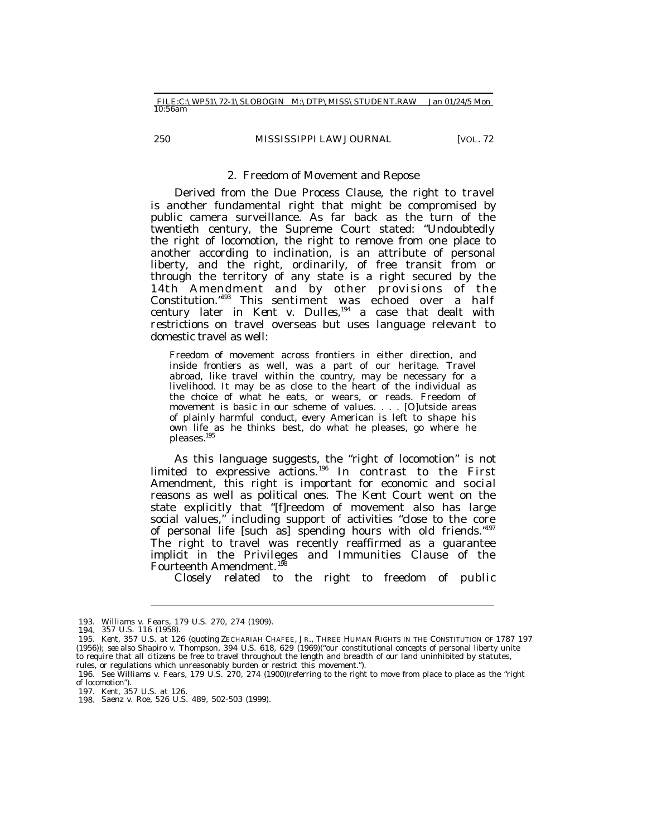# 2. Freedom of Movement and Repose

Derived from the Due Process Clause, the right to travel is another fundamental right that might be compromised by public camera surveillance. As far back as the turn of the twentieth century, the Supreme Court stated: "Undoubtedly the right of locomotion, the right to remove from one place to another according to inclination, is an attribute of personal liberty, and the right, ordinarily, of free transit from or through the territory of any state is a right secured by the 14th Amendment and by other provisions of the Constitution."<sup>193</sup> This sentiment was echoed over a half century later in *Kent v. Dulles*, <sup>194</sup> a case that dealt with restrictions on travel overseas but uses language relevant to domestic travel as well:

Freedom of movement across frontiers in either direction, and inside frontiers as well, was a part of our heritage. Travel abroad, like travel within the country, may be necessary for a livelihood. It may be as close to the heart of the individual as the choice of what he eats, or wears, or reads. Freedom of movement is basic in our scheme of values. . . . [O]utside areas of plainly harmful conduct, every American is left to shape his own life as he thinks best, do what he pleases, go where he pleases.<sup>195</sup>

As this language suggests, the "right of locomotion" is not limited to expressive actions.<sup>196</sup> In contrast to the First Amendment, this right is important for economic and social reasons as well as political ones. The *Kent* Court went on the state explicitly that "[f]reedom of movement also has large social values," including support of activities "close to the core of personal life [such as] spending hours with old friends."<sup>197</sup> The right to travel was recently reaffirmed as a guarantee implicit in the Privileges and Immunities Clause of the Fourteenth Amendment.<sup>198</sup>

Closely related to the right to freedom of public

<sup>193.</sup> Williams v. Fears, 179 U.S. 270, 274 (1909).

<sup>194.</sup> 357 U.S. 116 (1958).

<sup>195.</sup> *Kent*, 357 U.S. at 126 (quoting ZECHARIAH CHAFEE, JR., THREE HUMAN RIGHTS IN THE CONSTITUTION OF 1787 197 (1956)); *see also* Shapiro v. Thompson, 394 U.S. 618, 629 (1969)("our constitutional concepts of personal liberty unite to require that all citizens be free to travel throughout the length and breadth of our land uninhibited by statutes, rules, or regulations which unreasonably burden or restrict this movement.").

<sup>196.</sup> See Williams v. Fears, 179 U.S. 270, 274 (1900)(referring to the right to move from place to place as the "right of locomotion").

<sup>197.</sup> *Kent*, 357 U.S. at 126.

<sup>198.</sup> Saenz v. Roe, 526 U.S. 489, 502-503 (1999).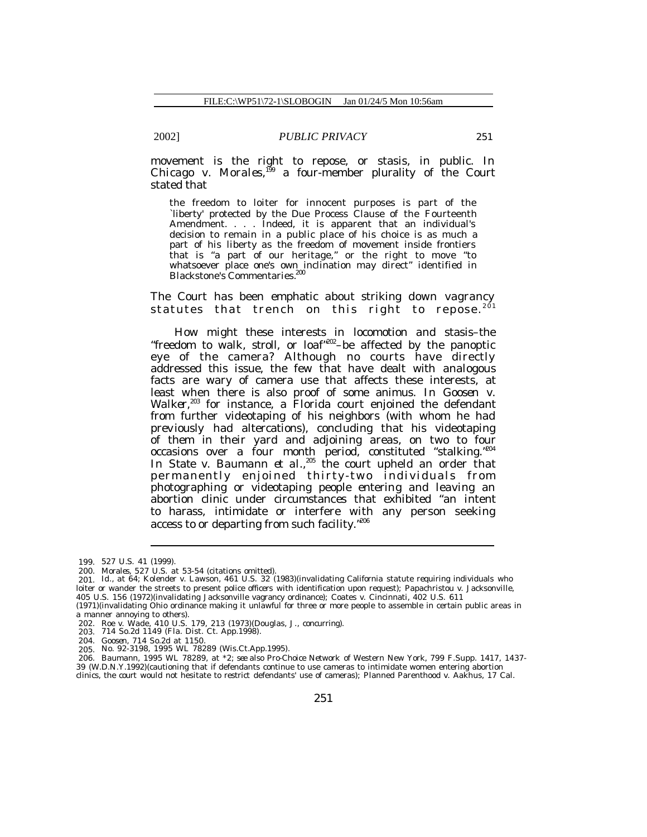movement is the right to repose, or stasis, in public. In *Chicago v. Morales*, <sup>199</sup> a four-member plurality of the Court stated that

the freedom to loiter for innocent purposes is part of the `liberty' protected by the Due Process Clause of the Fourteenth Amendment. . . . Indeed, it is apparent that an individual's decision to remain in a public place of his choice is as much a part of his liberty as the freedom of movement inside frontiers that is "a part of our heritage," or the right to move "to whatsoever place one's own inclination may direct" identified in Blackstone's Commentaries.<sup>200</sup>

The Court has been emphatic about striking down vagrancy statutes that trench on this right to repose.<sup>201</sup>

How might these interests in locomotion and stasis–the "freedom to walk, stroll, or loaf"<sup>202</sup>–be affected by the panoptic eye of the camera? Although no courts have directly addressed this issue, the few that have dealt with analogous facts are wary of camera use that affects these interests, at least when there is also proof of some animus. In *Goosen v. Walker*, <sup>203</sup> for instance, a Florida court enjoined the defendant from further videotaping of his neighbors (with whom he had previously had altercations), concluding that his videotaping of them in their yard and adjoining areas, on two to four occasions over a four month period, constituted "stalking."<sup>204</sup> In *State v. Baumann et al.*, <sup>205</sup> the court upheld an order that permanently enjoined thirty-two individuals from photographing or videotaping people entering and leaving an abortion clinic under circumstances that exhibited "an intent to harass, intimidate or interfere with any person seeking access to or departing from such facility."206

<sup>199.</sup> 527 U.S. 41 (1999).

<sup>200.</sup> *Morales*, 527 U.S. at 53-54 (citations omitted). 201. *Id*., at 64; Kolender v. Lawson, 461 U.S. 32 (1983)(invalidating California statute requiring individuals who loiter or wander the streets to present police officers with identification upon request); Papachristou v. Jacksonville, 405 U.S. 156 (1972)(invalidating Jacksonville vagrancy ordinance); Coates v. Cincinnati, 402 U.S. 611 (1971)(invalidating Ohio ordinance making it unlawful for three or more people to assemble in certain public areas in

a manner annoying to others).

<sup>202.</sup> Roe v. Wade, 410 U.S. 179, 213 (1973)(Douglas, J., concurring). 203. 714 So.2d 1149 (Fla. Dist. Ct. App.1998).

<sup>204.</sup> *Goosen*, 714 So.2d at 1150.

<sup>205.</sup> No. 92-3198, 1995 WL 78289 (Wis.Ct.App.1995).

<sup>206.</sup> *Baumann*, 1995 WL 78289, at \*2; *see also* Pro-Choice Network of Western New York, 799 F.Supp. 1417, 1437- 39 (W.D.N.Y.1992)(cautioning that if defendants continue to use cameras to intimidate women entering abortion clinics, the court would not hesitate to restrict defendants' use of cameras); Planned Parenthood v. Aakhus, 17 Cal.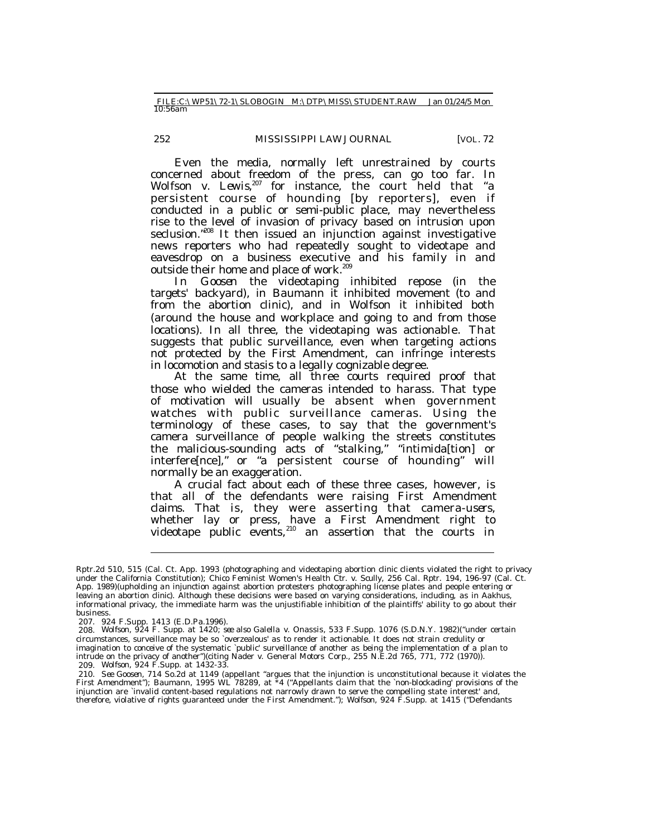Even the media, normally left unrestrained by courts concerned about freedom of the press, can go too far. In *Wolfson v. Lewis*, <sup>207</sup> for instance, the court held that "a persistent course of hounding [by reporters], even if conducted in a public or semi-public place, may nevertheless rise to the level of invasion of privacy based on intrusion upon seclusion."<sup>208</sup> It then issued an injunction against investigative news reporters who had repeatedly sought to videotape and eavesdrop on a business executive and his family in and outside their home and place of work.<sup>209</sup>

In *Goosen* the videotaping inhibited repose (in the targets' backyard), in *Baumann* it inhibited movement (to and from the abortion clinic), and in *Wolfson* it inhibited both (around the house and workplace and going to and from those locations). In all three, the videotaping was actionable. That suggests that public surveillance, even when targeting actions not protected by the First Amendment, can infringe interests in locomotion and stasis to a legally cognizable degree.

At the same time, all three courts required proof that those who wielded the cameras intended to harass. That type of motivation will usually be absent when government watches with public surveillance cameras. Using the terminology of these cases, to say that the government's camera surveillance of people walking the streets constitutes the malicious-sounding acts of "stalking," "intimida[tion] or interfere[nce]," or "a persistent course of hounding" will normally be an exaggeration.

A crucial fact about each of these three cases, however, is that all of the defendants were raising First Amendment claims. That is, they were asserting that camera-*users*, whether lay or press, have a First Amendment right to videotape public events,<sup>210</sup> an assertion that the courts in

Rptr.2d 510, 515 (Cal. Ct. App. 1993 (photographing and videotaping abortion clinic clients violated the right to privacy under the California Constitution); Chico Feminist Women's Health Ctr. v. Scully, 256 Cal. Rptr. 194, 196-97 (Cal. Ct. App. 1989)(upholding an injunction against abortion protesters photographing license plates and people entering or leaving an abortion clinic). Although these decisions were based on varying considerations, including, as in *Aakhus*, informational privacy, the immediate harm was the unjustifiable inhibition of the plaintiffs' ability to go about their business.

<sup>207.</sup> 924 F.Supp. 1413 (E.D.Pa.1996).

<sup>208.</sup> *Wolfson*, 924 F. Supp. at 1420; *see also* Galella v. Onassis, 533 F.Supp. 1076 (S.D.N.Y. 1982)("under certain circumstances, surveillance may be so `overzealous' as to render it actionable. It does not strain credulity or imagination to conceive of the systematic `public' surveillance of another as being the implementation of a plan to intrude on the privacy of another")(citing Nader v. General Motors Corp., 255 N.E.2d 765, 771, 772 (1970)). 209. *Wolfson*, 924 F.Supp. at 1432-33.

<sup>210.</sup> *See Goosen*, 714 So.2d at 1149 (appellant "argues that the injunction is unconstitutional because it violates the First Amendment"); *Baumann*, 1995 WL 78289, at \*4 ("Appellants claim that the `non-blockading' provisions of the injunction are `invalid content-based regulations not narrowly drawn to serve the compelling state interest' and, therefore, violative of rights guaranteed under the First Amendment."); *Wolfson*, 924 F.Supp. at 1415 ("Defendants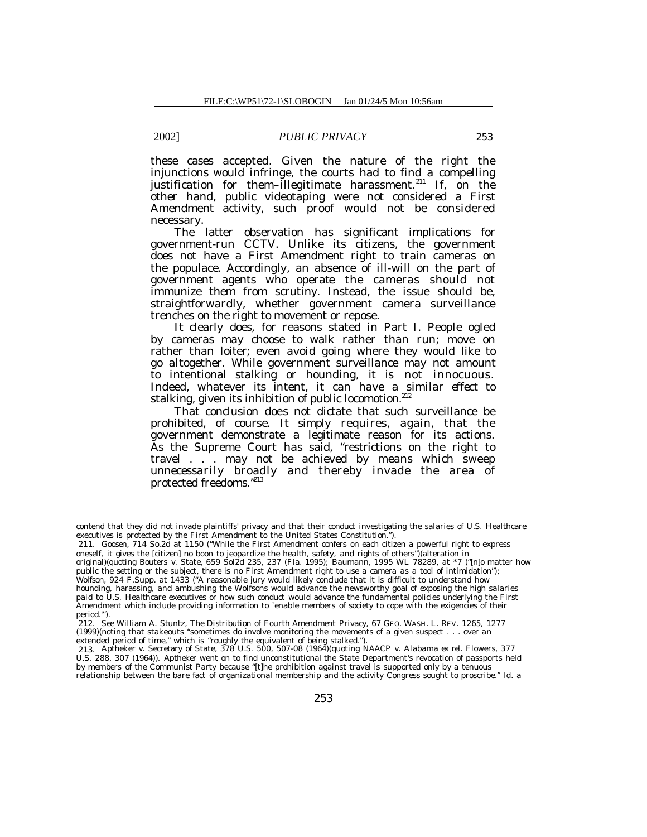these cases accepted. Given the nature of the right the injunctions would infringe, the courts had to find a compelling justification for them–illegitimate harassment. <sup>211</sup> If, on the other hand, public videotaping were not considered a First Amendment activity, such proof would not be considered necessary.

The latter observation has significant implications for government-run CCTV. Unlike its citizens, the government does not have a First Amendment right to train cameras on the populace. Accordingly, an absence of ill-will on the part of government agents who operate the cameras should not immunize them from scrutiny. Instead, the issue should be, straightforwardly, whether government camera surveillance trenches on the right to movement or repose.

It clearly does, for reasons stated in Part I. People ogled by cameras may choose to walk rather than run; move on rather than loiter; even avoid going where they would like to go altogether. While government surveillance may not amount to intentional stalking or hounding, it is not innocuous. Indeed, whatever its intent, it can have a similar *effect* to stalking, given its inhibition of public locomotion.<sup>212</sup>

That conclusion does not dictate that such surveillance be prohibited, of course. It simply requires, again, that the government demonstrate a legitimate reason for its actions. As the Supreme Court has said, "restrictions on the right to travel . . . may not be achieved by means which sweep unnecessarily broadly and thereby invade the area of protected freedoms."213

contend that they did not invade plaintiffs' privacy and that their conduct investigating the salaries of U.S. Healthcare executives is protected by the First Amendment to the United States Constitution.").

<sup>211.</sup> *Goosen*, 714 So.2d at 1150 ("While the First Amendment confers on each citizen a powerful right to express oneself, it gives the [citizen] no boon to jeopardize the health, safety, and rights of others")(alteration in

original)(quoting Bouters v. State, 659 Sol2d 235, 237 (Fla. 1995); *Baumann*, 1995 WL 78289, at \*7 ("[n]o matter how public the setting or the subject, there is no First Amendment right to use a camera as a tool of intimidation"); *Wolfson*, 924 F.Supp. at 1433 ("A reasonable jury would likely conclude that it is difficult to understand how hounding, harassing, and ambushing the Wolfsons would advance the newsworthy goal of exposing the high salaries paid to U.S. Healthcare executives or how such conduct would advance the fundamental policies underlying the First Amendment which include providing information to `enable members of society to cope with the exigencies of their period.'").

<sup>212.</sup> *See* William A. Stuntz, *The Distribution of Fourth Amendment Privacy*, 67 GEO. WASH. L. REV. 1265, 1277 (1999)(noting that stakeouts "sometimes do involve monitoring the movements of a given suspect . . . over an

extended period of time," which is "roughly the equivalent of being stalked."). 213. Aptheker v. Secretary of State, 378 U.S. 500, 507-08 (1964)(quoting NAACP v. Alabama *ex rel*. Flowers, 377 U.S. 288, 307 (1964)). *Aptheker* went on to find unconstitutional the State Department's revocation of passports held by members of the Communist Party because "[t]he prohibition against travel is supported only by a tenuous relationship between the bare fact of organizational membership and the activity Congress sought to proscribe." *Id*. a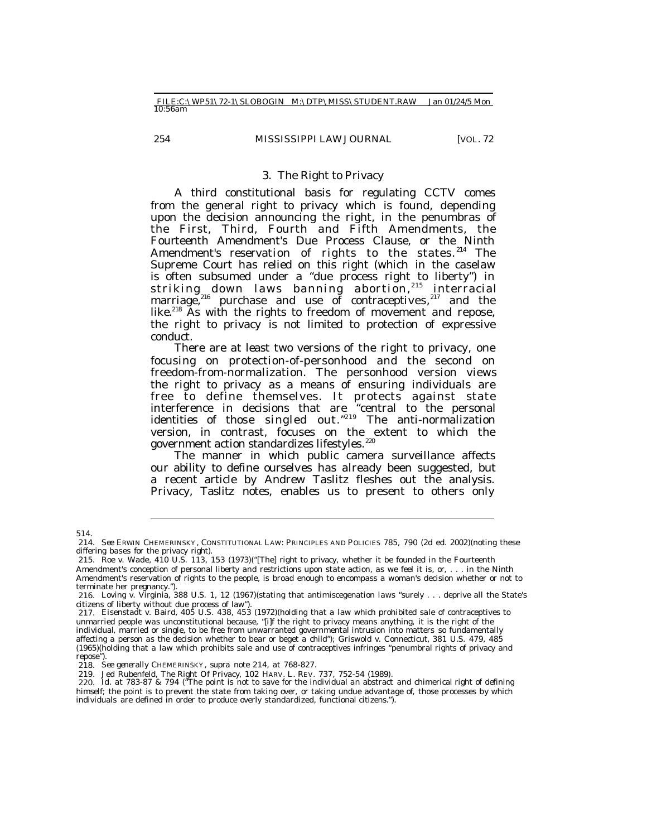### 3. The Right to Privacy

A third constitutional basis for regulating CCTV comes from the general right to privacy which is found, depending upon the decision announcing the right, in the penumbras of the First, Third, Fourth and Fifth Amendments, the Fourteenth Amendment's Due Process Clause, or the Ninth Amendment's reservation of rights to the states.<sup>214</sup> The Supreme Court has relied on this right (which in the caselaw is often subsumed under a "due process right to liberty") in striking down laws banning abortion,<sup>215</sup> interracial marriage, $^{216}$  purchase and use of contraceptives, $^{217}$  and the like.<sup>218</sup> As with the rights to freedom of movement and repose, the right to privacy is not limited to protection of expressive conduct.

There are at least two versions of the right to privacy, one focusing on protection-of-personhood and the second on freedom-from-normalization. The personhood version views the right to privacy as a means of ensuring individuals are free to define themselves. It protects against state interference in decisions that are "central to the personal identities of those singled out."<sup>219</sup> The anti-normalization version, in contrast, focuses on the extent to which the government action standardizes lifestyles.<sup>220</sup>

The manner in which public camera surveillance affects our ability to define ourselves has already been suggested, but a recent article by Andrew Taslitz fleshes out the analysis. Privacy, Taslitz notes, enables us to present to others only

514.

<sup>214.</sup> *See* ERWIN CHEMERINSKY, CONSTITUTIONAL LAW: PRINCIPLES AND POLICIES 785, 790 (2d ed. 2002)(noting these differing bases for the privacy right).

<sup>215.</sup> Roe v. Wade, 410 U.S. 113, 153 (1973)("[The] right to privacy, whether it be founded in the Fourteenth Amendment's conception of personal liberty and restrictions upon state action, as we feel it is, or, . . . in the Ninth Amendment's reservation of rights to the people, is broad enough to encompass a woman's decision whether or not to

terminate her pregnancy."). 216. Loving v. Virginia, 388 U.S. 1, 12 (1967)(stating that antimiscegenation laws "surely . . . deprive all the State's

citizens of liberty without due process of law"). 217. Eisenstadt v. Baird, 405 U.S. 438, 453 (1972)(holding that a law which prohibited sale of contraceptives to unmarried people was unconstitutional because, "[i]f the right to privacy means anything, it is the right of the *individual*, married or single, to be free from unwarranted governmental intrusion into matters so fundamentally affecting a person as the decision whether to bear or beget a child"); Griswold v. Connecticut, 381 U.S. 479, 485 (1965)(holding that a law which prohibits sale and use of contraceptives infringes "penumbral rights of privacy and repose"). 218. *See generally* CHEMERINSKY, *supra* note 214, at 768-827.

<sup>219.</sup> Jed Rubenfeld, *The Right Of Privacy*, 102 HARV. L. REV. 737, 752-54 (1989).

<sup>220.</sup> *Id*. at 783-87 & 794 ("The point is not to save for the individual an abstract and chimerical right of defining himself; the point is to prevent the state from taking over, or taking undue advantage of, those processes by which individuals are defined in order to produce overly standardized, functional citizens.").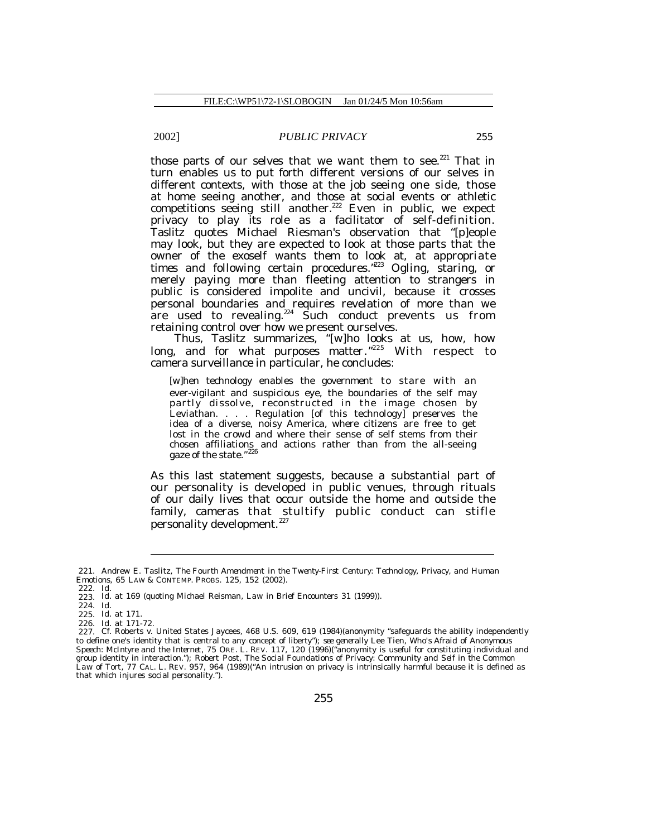those parts of our selves that we want them to see.<sup>221</sup> That in turn enables us to put forth different versions of our selves in different contexts, with those at the job seeing one side, those at home seeing another, and those at social events or athletic competitions seeing still another.<sup>222</sup> Even in public, we expect privacy to play its role as a facilitator of self-definition. Taslitz quotes Michael Riesman's observation that "[p]eople may look, but they are expected to look at those parts that the owner of the exoself wants them to look at, at appropriate times and following certain procedures."<sup>223</sup> Ogling, staring, or merely paying more than fleeting attention to strangers in public is considered impolite and uncivil, because it crosses personal boundaries and requires revelation of more than we are used to revealing.<sup>224</sup> Such conduct prevents us from retaining control over how we present ourselves.

Thus, Taslitz summarizes, "[w]ho looks at us, how, how long, and for what purposes matter."<sup>225</sup> With respect to camera surveillance in particular, he concludes:

[w]hen technology enables the government to stare with an ever-vigilant and suspicious eye, the boundaries of the self may partly dissolve, reconstructed in the image chosen by Leviathan. . . . Regulation [of this technology] preserves the idea of a diverse, noisy America, where citizens are free to get lost in the crowd and where their sense of self stems from their chosen affiliations and actions rather than from the all-seeing gaze of the state."  $^{226}$ 

As this last statement suggests, because a substantial part of our personality is developed in public venues, through rituals of our daily lives that occur outside the home and outside the family, cameras that stultify public conduct can stifle personality development.<sup>227</sup>

<sup>221.</sup> Andrew E. Taslitz, *The Fourth Amendment in the Twenty-First Century: Technology, Privacy, and Human Emotions*, 65 LAW & CONTEMP. PROBS. 125, 152 (2002).

<sup>222.</sup> *Id*. 223. *Id*. at 169 (quoting Michael Reisman, Law in Brief Encounters 31 (1999)).

<sup>224.</sup> *Id*.

<sup>225.</sup> *Id*. at 171.

<sup>226.</sup> *Id*. at 171-72.

<sup>227.</sup> *Cf*. Roberts v. United States Jaycees, 468 U.S. 609, 619 (1984)(anonymity "safeguards the ability independently to define one's identity that is central to any concept of liberty"); *see generally* Lee Tien, *Who's Afraid of Anonymous Speech: McIntyre and the Internet*, 75 ORE. L. REV. 117, 120 (1996)("anonymity is useful for constituting individual and group identity in interaction."); Robert Post, *The Social Foundations of Privacy: Community and Self in the Common Law of Tort*, 77 CAL. L. REV. 957, 964 (1989)("An intrusion on privacy is intrinsically harmful because it is defined as that which injures social personality.").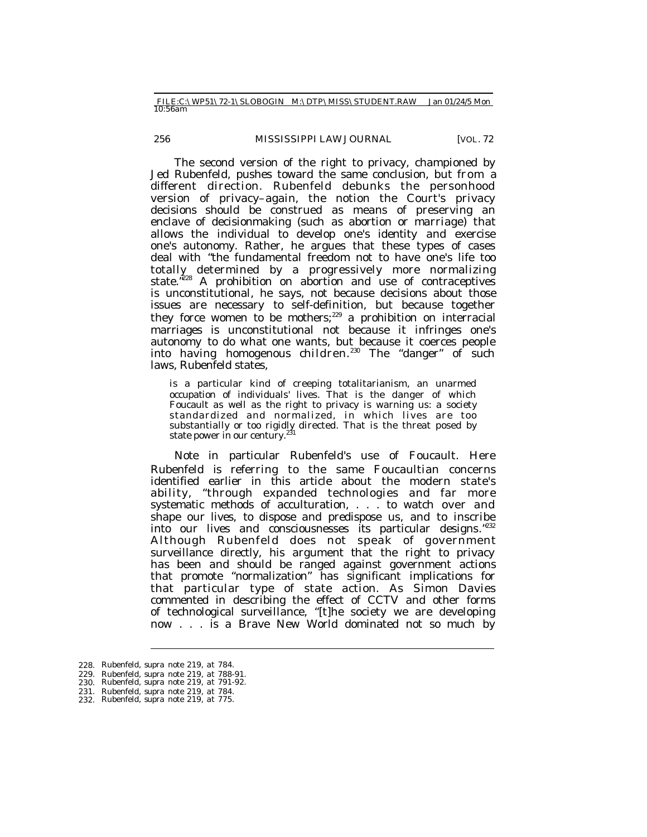The second version of the right to privacy, championed by Jed Rubenfeld, pushes toward the same conclusion, but from a different direction. Rubenfeld debunks the personhood version of privacy–again, the notion the Court's privacy decisions should be construed as means of preserving an enclave of decisionmaking (such as abortion or marriage) that allows the individual to develop one's identity and exercise one's autonomy. Rather, he argues that these types of cases deal with "the fundamental freedom not to have one's life too totally determined by a progressively more normalizing state.<sup>"228</sup> A prohibition on abortion and use of contraceptives is unconstitutional, he says, not because decisions about those issues are necessary to self-definition, but because together they force women to be mothers;<sup>229</sup> a prohibition on interracial marriages is unconstitutional not because it infringes one's autonomy to do what one wants, but because it coerces people into having homogenous children.<sup>230</sup> The "danger" of such laws, Rubenfeld states,

is a particular kind of creeping totalitarianism, an unarmed *occupation* of individuals' lives. That is the danger of which Foucault as well as the right to privacy is warning us: a society standardized and normalized, in which lives are too substantially or too rigidly directed. That is the threat posed by state power in our century. $2$ 

Note in particular Rubenfeld's use of Foucault. Here Rubenfeld is referring to the same Foucaultian concerns identified earlier in this article about the modern state's ability, "through expanded technologies and far more systematic methods of acculturation, . . . to watch over and shape our lives, to dispose and predispose us, and to inscribe into our lives and consciousnesses its particular designs."<sup>232</sup> Although Rubenfeld does not speak of government surveillance directly, his argument that the right to privacy has been and should be ranged against government actions that promote "normalization" has significant implications for that particular type of state action. As Simon Davies commented in describing the effect of CCTV and other forms of technological surveillance, "[t]he society we are developing now . . . is a Brave New World dominated not so much by

<sup>228.</sup> Rubenfeld, *supra* note 219, at 784.

<sup>229.</sup> Rubenfeld, *supra* note 219, at 788-91.

<sup>230.</sup> Rubenfeld, *supra* note 219, at 791-92. 231. Rubenfeld, *supra* note 219, at 784.

<sup>232.</sup> Rubenfeld, *supra* note 219, at 775.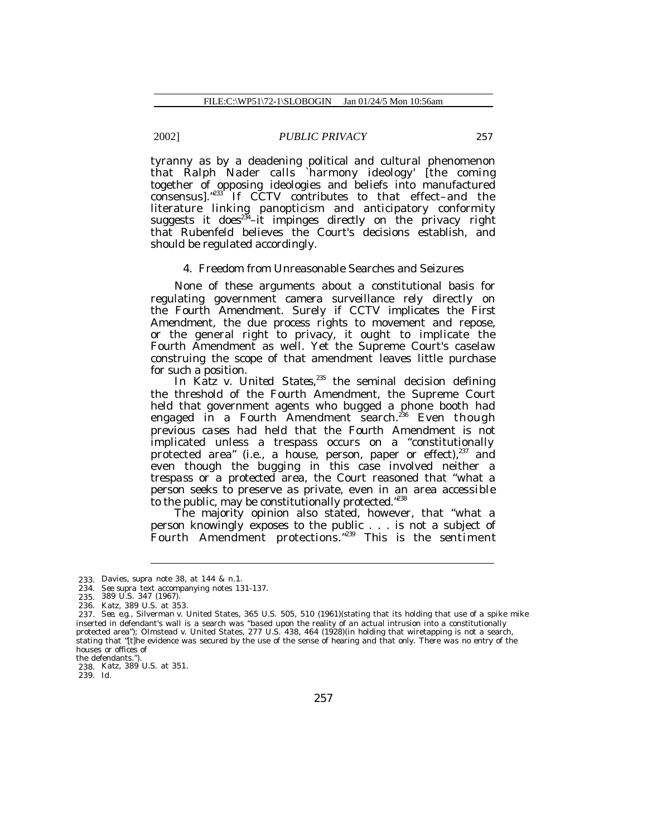tyranny as by a deadening political and cultural phenomenon that Ralph Nader calls `harmony ideology' [the coming together of opposing ideologies and beliefs into manufactured consensus]."<sup>233</sup> If CCTV contributes to that effect–and the literature linking panopticism and anticipatory conformity suggests it does<sup>234</sup>–it impinges directly on the privacy right that Rubenfeld believes the Court's decisions establish, and should be regulated accordingly.

# 4. Freedom from Unreasonable Searches and Seizures

None of these arguments about a constitutional basis for regulating government camera surveillance rely directly on the Fourth Amendment. Surely if CCTV implicates the First Amendment, the due process rights to movement and repose, or the general right to privacy, it ought to implicate the Fourth Amendment as well. Yet the Supreme Court's caselaw construing the scope of that amendment leaves little purchase for such a position.

In *Katz v. United States*, <sup>235</sup> the seminal decision defining the threshold of the Fourth Amendment, the Supreme Court held that government agents who bugged a phone booth had engaged in a Fourth Amendment search.<sup>236</sup> Even though previous cases had held that the Fourth Amendment is not implicated unless a trespass occurs on a "constitutionally protected area" (i.e., a house, person, paper or effect), $237$  and even though the bugging in this case involved neither a trespass or a protected area, the Court reasoned that "what a person seeks to preserve as private, even in an area accessible to the public, may be constitutionally protected."<sup>238</sup>

The majority opinion also stated, however, that "what a person knowingly exposes to the public . . . is not a subject of Fourth Amendment protections."<sup>239</sup> This is the sentiment

239. *Id*.

<sup>233.</sup> Davies, *supra* note 38, at 144 & n.1.

<sup>234.</sup> *See supra* text accompanying notes 131-137. 235. 389 U.S. 347 (1967).

<sup>236.</sup> *Katz*, 389 U.S. at 353.

<sup>237.</sup> *See*, *e.g.*, Silverman v. United States, 365 U.S. 505, 510 (1961)(stating that its holding that use of a spike mike inserted in defendant's wall is a search was "based upon the reality of an actual intrusion into a constitutionally protected area"); Olmstead v. United States, 277 U.S. 438, 464 (1928)(in holding that wiretapping is not a search, stating that "[t]he evidence was secured by the use of the sense of hearing and that only. There was no entry of the houses or offices of

the defendants.").

<sup>238.</sup> *Katz*, 389 U.S. at 351.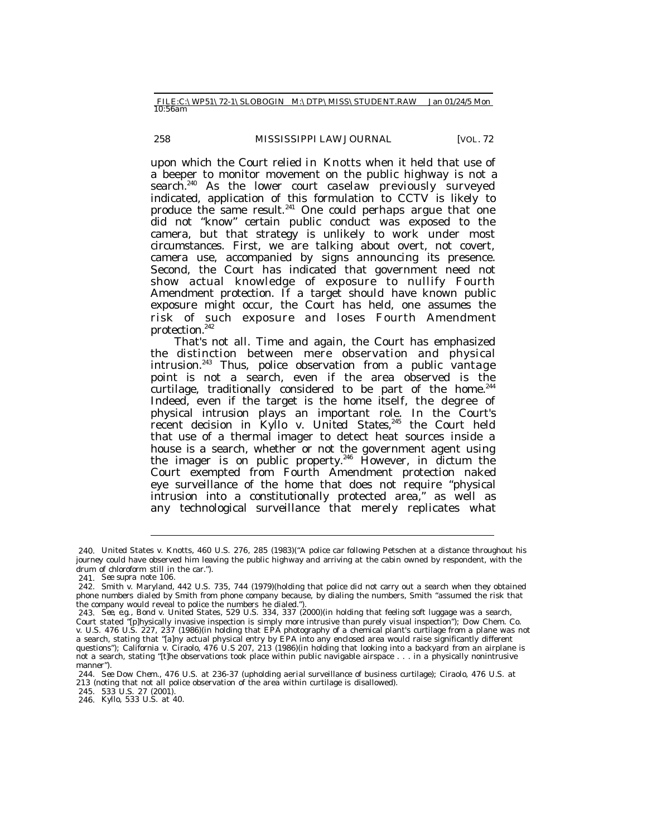upon which the Court relied in *Knotts* when it held that use of a beeper to monitor movement on the public highway is not a search.<sup>240</sup> As the lower court caselaw previously surveyed indicated, application of this formulation to  $\overrightarrow{C}$ CTV is likely to produce the same result.<sup>241</sup> One could perhaps argue that one did not "know" certain public conduct was exposed to the camera, but that strategy is unlikely to work under most circumstances. First, we are talking about overt, not covert, camera use, accompanied by signs announcing its presence. Second, the Court has indicated that government need not show actual knowledge of exposure to nullify Fourth Amendment protection. If a target *should have* known public exposure might occur, the Court has held, one assumes the risk of such exposure and loses Fourth Amendment  $\,$  protection.  $^{242}$ 

That's not all. Time and again, the Court has emphasized the distinction between mere observation and physical intrusion.<sup>243</sup> Thus, police observation from a public vantage point is not a search, even if the area observed is the curtilage, traditionally considered to be part of the home.<sup>244</sup> Indeed, even if the target is the home itself, the degree of physical intrusion plays an important role. In the Court's recent decision in *Kyllo v. United States*, <sup>245</sup> the Court held that use of a thermal imager to detect heat sources inside a house is a search, whether or not the government agent using the imager is on public property.<sup>246</sup> However, in dictum the Court exempted from Fourth Amendment protection naked eye surveillance of the home that does not require "physical intrusion into a constitutionally protected area," as well as any technological surveillance that merely replicates what

245. 533 U.S. 27 (2001).

246. *Kyllo*, 533 U.S. at 40.

<sup>240.</sup> United States v. Knotts, 460 U.S. 276, 285 (1983)("A police car following Petschen at a distance throughout his journey could have observed him leaving the public highway and arriving at the cabin owned by respondent, with the drum of chloroform still in the car.").

<sup>241.</sup> *See supra* note 106.

<sup>242.</sup> Smith v. Maryland, 442 U.S. 735, 744 (1979)(holding that police did not carry out a search when they obtained phone numbers dialed by Smith from phone company because, by dialing the numbers, Smith "assumed the risk that

the company would reveal to police the numbers he dialed."). 243. *See*, *e.g.*, Bond v. United States, 529 U.S. 334, 337 (2000)(in holding that feeling soft luggage was a search, Court stated "[p]hysically invasive inspection is simply more intrusive than purely visual inspection"); Dow Chem. Co. v. U.S. 476 U.S. 227, 237 (1986)(in holding that EPA photography of a chemical plant's curtilage from a plane was not a search, stating that "[a]ny actual physical entry by EPA into any enclosed area would raise significantly different questions"); California v. Ciraolo, 476 U.S 207, 213 (1986)(in holding that looking into a backyard from an airplane is not a search, stating "[t]he observations took place within public navigable airspace . . . in a physically nonintrusive manner").

<sup>244.</sup> *See Dow Chem.*, 476 U.S. at 236-37 (upholding aerial surveillance of business curtilage); *Ciraolo*, 476 U.S. at 213 (noting that not all police observation of the area within curtilage is disallowed).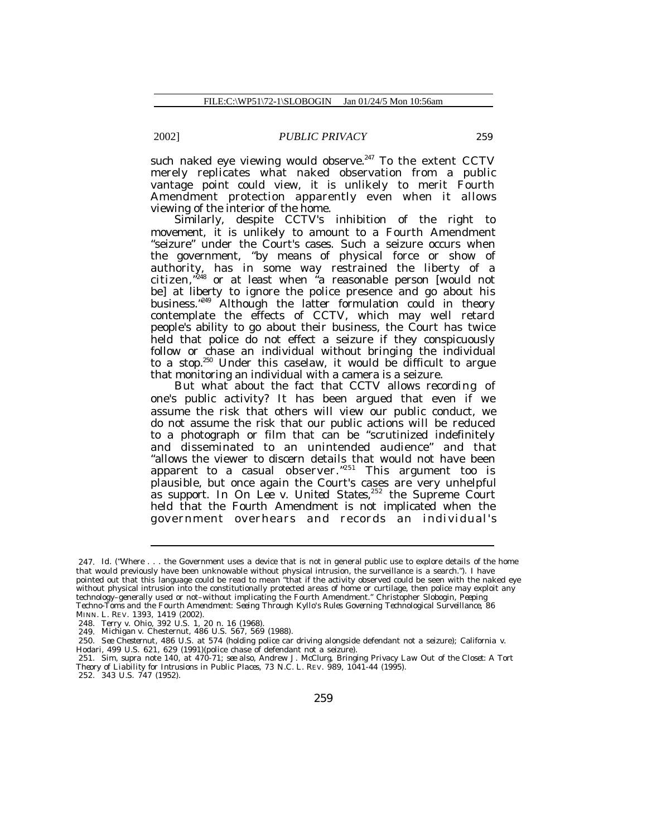such naked eye viewing would observe.<sup>247</sup> To the extent CCTV merely replicates what naked observation from a public vantage point could view, it is unlikely to merit Fourth Amendment protection apparently even when it allows viewing of the interior of the home.

Similarly, despite CCTV's inhibition of the right to movement, it is unlikely to amount to a Fourth Amendment "seizure" under the Court's cases. Such a seizure occurs when the government, "by means of physical force or show of authority, has in some way restrained the liberty of a citizen,"<sup>248</sup> or at least when "a reasonable person [would not be] at liberty to ignore the police presence and go about his business."<sup>249</sup> Although the latter formulation could in theory contemplate the effects of CCTV, which may well retard people's ability to go about their business, the Court has twice held that police do not effect a seizure if they conspicuously follow or chase an individual without bringing the individual to a stop.<sup>250</sup> Under this caselaw, it would be difficult to argue that monitoring an individual with a camera is a seizure.

But what about the fact that CCTV allows recording of one's public activity? It has been argued that even if we assume the risk that others will view our public conduct, we do not assume the risk that our public actions will be reduced to a photograph or film that can be "scrutinized indefinitely and disseminated to an unintended audience" and that "allows the viewer to discern details that would not have been apparent to a casual observer." $251$  This argument too is plausible, but once again the Court's cases are very unhelpful as support. In *On Lee v. United States*, <sup>252</sup> the Supreme Court held that the Fourth Amendment is not implicated when the government overhears and records an individual's

250. *See Chesternut*, 486 U.S. at 574 (holding police car driving alongside defendant not a seizure); California v. Hodari, 499 U.S. 621, 629 (1991)(police chase of defendant not a seizure).

251. Sim, *supra* note 140, at 470-71; *see also*, Andrew J. McClurg, *Bringing Privacy Law Out of the Closet: A Tort Theory of Liability for Intrusions in Public Places*, 73 N.C. L. REV. 989, 1041-44 (1995). 252. 343 U.S. 747 (1952).

<sup>247.</sup> *Id*. ("Where . . . the Government uses a device that is not in general public use to explore details of the home that would previously have been unknowable without physical intrusion, the surveillance is a search."). I have pointed out that this language could be read to mean "that if the activity observed could be seen with the naked eye without physical intrusion into the constitutionally protected areas of home or curtilage, then police may exploit *any* technology–generally used or not–without implicating the Fourth Amendment." Christopher Slobogin, *Peeping Techno-Toms and the Fourth Amendment: Seeing Through Kyllo's Rules Governing Technological Surveillance*, 86 MINN. L. REV. 1393, 1419 (2002).

<sup>248.</sup> Terry v. Ohio, 392 U.S. 1, 20 n. 16 (1968). 249. Michigan v. Chesternut, 486 U.S. 567, 569 (1988).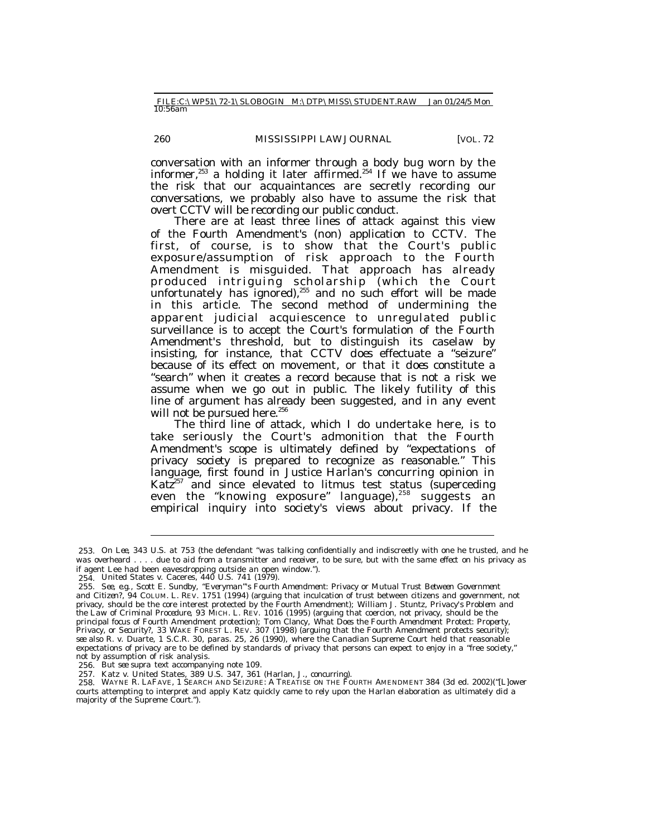conversation with an informer through a body bug worn by the informer,<sup>253</sup> a holding it later affirmed.<sup>254</sup> If we have to assume the risk that our acquaintances are secretly recording our conversations, we probably also have to assume the risk that overt CCTV will be recording our public conduct.

There are at least three lines of attack against this view of the Fourth Amendment's (non) application to CCTV. The first, of course, is to show that the Court's public exposure/assumption of risk approach to the Fourth Amendment is misguided. That approach has already produced intriguing scholarship (which the Court unfortunately has ignored), $255$  and no such effort will be made in this article. The second method of undermining the apparent judicial acquiescence to unregulated public surveillance is to accept the Court's formulation of the Fourth Amendment's threshold, but to distinguish its caselaw by insisting, for instance, that CCTV *does* effectuate a "seizure" because of its effect on movement, or that it *does* constitute a "search" when it creates a record because that is not a risk we assume when we go out in public. The likely futility of this line of argument has already been suggested, and in any event will not be pursued here. $256$ 

The third line of attack, which I do undertake here, is to take seriously the Court's admonition that the Fourth Amendment's scope is ultimately defined by "expectations of privacy society is prepared to recognize as reasonable." This language, first found in Justice Harlan's concurring opinion in Katz<sup>257</sup> and since elevated to litmus test status (superceding even the "knowing exposure" language),<sup>258</sup> suggests an empirical inquiry into society's views about privacy. If the

256. But *see supra* text accompanying note 109.

<sup>253.</sup> *On Lee*, 343 U.S. at 753 (the defendant "was talking confidentially and indiscreetly with one he trusted, and he was overheard . . . . due to aid from a transmitter and receiver, to be sure, but with the same effect on his privacy as if agent Lee had been eavesdropping outside an open window."). 254. United States v. Caceres, 440 U.S. 741 (1979).

<sup>255.</sup> *See*, *e.g.*, Scott E. Sundby, *"Everyman"'s Fourth Amendment: Privacy or Mutual Trust Between Government and Citizen?*, 94 COLUM. L. REV. 1751 (1994) (arguing that inculcation of trust between citizens and government, not privacy, should be the core interest protected by the Fourth Amendment); William J. Stuntz, *Privacy's Problem and the Law of Criminal Procedure*, 93 MICH. L. REV. 1016 (1995) (arguing that coercion, not privacy, should be the principal focus of Fourth Amendment protection); Tom Clancy, *What Does the Fourth Amendment Protect: Property, Privacy, or Security?,* 33 WAKE FOREST L. REV. 307 (1998) (arguing that the Fourth Amendment protects security); *see also* R. v. Duarte, 1 S.C.R. 30, paras. 25, 26 (1990), where the Canadian Supreme Court held that reasonable expectations of privacy are to be defined by standards of privacy that persons can expect to enjoy in a "free society," not by assumption of risk analysis.

<sup>257.</sup> Katz v. United States, 389 U.S. 347, 361 (Harlan, J., concurring).<br>258. WAYNE R. LAFAVE, 1 SEARCH AND SEIZURE: A TREATISE ON THE FOURTH AMENDMENT 384 (3d ed. 2002)("[L]ower courts attempting to interpret and apply *Katz* quickly came to rely upon the Harlan elaboration as ultimately did a majority of the Supreme Court.").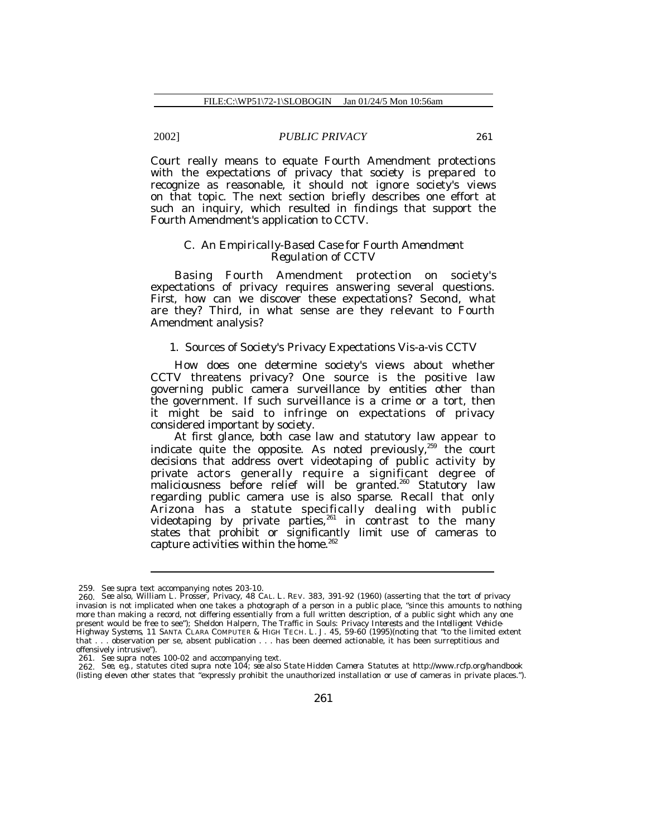Court really means to equate Fourth Amendment protections with the expectations of privacy that society is prepared to recognize as reasonable, it should not ignore society's views on that topic. The next section briefly describes one effort at such an inquiry, which resulted in findings that support the Fourth Amendment's application to CCTV.

# *C. An Empirically-Based Case for Fourth Amendment Regulation of CCTV*

Basing Fourth Amendment protection on society's expectations of privacy requires answering several questions. First, how can we discover these expectations? Second, what are they? Third, in what sense are they relevant to Fourth Amendment analysis?

1. Sources of Society's Privacy Expectations Vis-a-vis CCTV

How does one determine society's views about whether CCTV threatens privacy? One source is the positive law governing public camera surveillance by entities other than the government. If such surveillance is a crime or a tort, then it might be said to infringe on expectations of privacy considered important by society.

At first glance, both case law and statutory law appear to indicate quite the opposite. As noted previously, $259$  the court decisions that address overt videotaping of public activity by private actors generally require a significant degree of maliciousness before relief will be granted.<sup>260</sup> Statutory law regarding public camera use is also sparse. Recall that only Arizona has a statute specifically dealing with public videotaping by private parties, $261$  in contrast to the many states that prohibit or significantly limit use of cameras to capture activities within the home.<sup>262</sup>

<sup>259.</sup> *See supra* text accompanying notes 203-10. 260. *See also*, William L. Prosser, *Privacy*, 48 CAL. L. REV. 383, 391-92 (1960) (asserting that the tort of privacy invasion is not implicated when one takes a photograph of a person in a public place, "since this amounts to nothing more than making a record, not differing essentially from a full written description, of a public sight which any one present would be free to see"); Sheldon Halpern, *The Traffic in Souls: Privacy Interests and the Intelligent Vehicle-Highway Systems*, 11 SANTA CLARA COMPUTER & HIGH TECH. L. J. 45, 59-60 (1995)(noting that "to the limited extent that . . . observation per se, absent publication . . . has been deemed actionable, it has been surreptitious and offensively intrusive").

<sup>261.</sup> *See supra* notes 100-02 and accompanying text.

<sup>262.</sup> *See*, *e.g.*, statutes cited *supra* note 104; *see also State Hidden Camera Statutes at* http://www.rcfp.org/handbook (listing eleven other states that "expressly prohibit the unauthorized installation or use of cameras in private places.").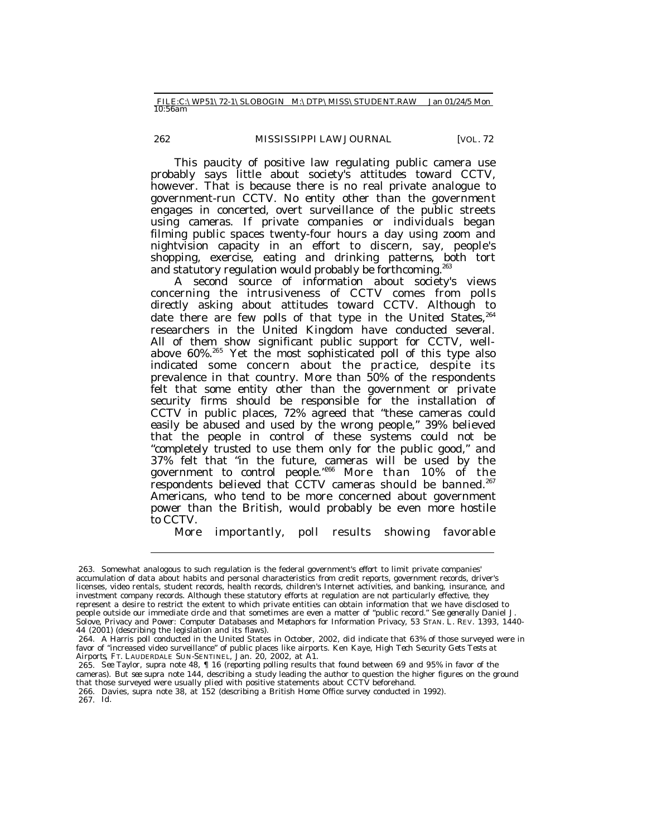This paucity of positive law regulating public camera use probably says little about society's attitudes toward CCTV, however. That is because there is no real private analogue to government-run CCTV. No entity other than the government engages in concerted, overt surveillance of the public streets using cameras. If private companies or individuals began filming public spaces twenty-four hours a day using zoom and nightvision capacity in an effort to discern, say, people's shopping, exercise, eating and drinking patterns, both tort and statutory regulation would probably be forthcoming.<sup>263</sup>

A second source of information about society's views concerning the intrusiveness of CCTV comes from polls directly asking about attitudes toward CCTV. Although to date there are few polls of that type in the United States, 264 researchers in the United Kingdom have conducted several. All of them show significant public support for CCTV, wellabove 60%.<sup>265</sup> Yet the most sophisticated poll of this type also indicated some concern about the practice, despite its prevalence in that country. More than 50% of the respondents felt that some entity other than the government or private security firms should be responsible for the installation of CCTV in public places, 72% agreed that "these cameras could easily be abused and used by the wrong people," 39% believed that the people in control of these systems could not be "completely trusted to use them only for the public good," and 37% felt that "in the future, cameras will be used by the government to control people."<sup>266</sup> More than 10% of the respondents believed that CCTV cameras should be banned.<sup>267</sup> Americans, who tend to be more concerned about government power than the British, would probably be even more hostile to CCTV.

More importantly, poll results showing favorable

264. A Harris poll conducted in the United States in October, 2002, did indicate that 63% of those surveyed were in favor of "increased video surveillance" of public places like airports. Ken Kaye, *High Tech Security Gets Tests at Airports*, FT. LAUDERDALE SUN-SENTINEL, Jan. 20, 2002, at A1.

265. *See* Taylor, *supra* note 48, ¶ 16 (reporting polling results that found between 69 and 95% in favor of the cameras). *But see supra* note 144, describing a study leading the author to question the higher figures on the ground that those surveyed were usually plied with positive statements about CCTV beforehand.

266. Davies, *supra* note 38, at 152 (describing a British Home Office survey conducted in 1992). 267. *Id*.

<sup>263.</sup> Somewhat analogous to such regulation is the federal government's effort to limit private companies' accumulation of data about habits and personal characteristics from credit reports, government records, driver's licenses, video rentals, student records, health records, children's Internet activities, and banking, insurance, and investment company records. Although these statutory efforts at regulation are not particularly effective, they represent a desire to restrict the extent to which private entities can obtain information that we have disclosed to people outside our immediate circle and that sometimes are even a matter of "public record." *See generally* Daniel J. Solove, *Privacy and Power: Computer Databases and Metaphors for Information Privacy*, 53 STAN. L. REV. 1393, 1440- 44 (2001) (describing the legislation and its flaws).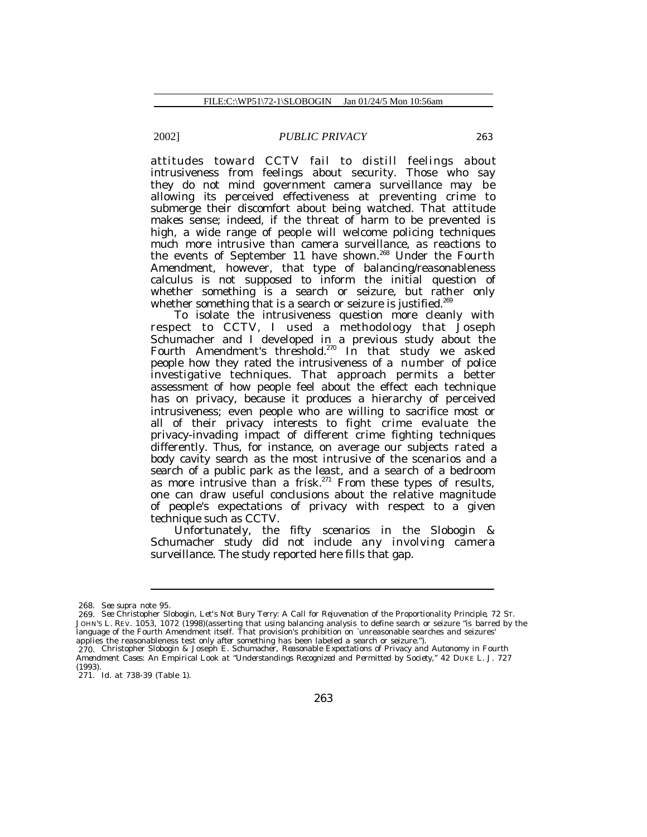attitudes toward CCTV fail to distill feelings about intrusiveness from feelings about security. Those who say they do not mind government camera surveillance may be allowing its perceived effectiveness at preventing crime to submerge their discomfort about being watched. That attitude makes sense; indeed, if the threat of harm to be prevented is high, a wide range of people will welcome policing techniques much more intrusive than camera surveillance, as reactions to the events of September 11 have shown.<sup>268</sup> Under the Fourth Amendment, however, that type of balancing/reasonableness calculus is not supposed to inform the initial question of whether something is a search or seizure, but rather only whether something that is a search or seizure is justified.<sup>269</sup>

To isolate the intrusiveness question more cleanly with respect to CCTV, I used a methodology that Joseph Schumacher and I developed in a previous study about the Fourth Amendment's threshold.<sup>270</sup> In that study we asked people how they rated the intrusiveness of a *number* of police investigative techniques. That approach permits a better assessment of how people feel about the effect each technique has on privacy, because it produces a hierarchy of perceived intrusiveness; even people who are willing to sacrifice most or all of their privacy interests to fight crime evaluate the privacy-invading impact of different crime fighting techniques differently. Thus, for instance, on average our subjects rated a body cavity search as the most intrusive of the scenarios and a search of a public park as the least, and a search of a bedroom as more intrusive than a frisk. $271$  From these types of results, one can draw useful conclusions about the relative magnitude of people's expectations of privacy with respect to a given technique such as CCTV.

Unfortunately, the fifty scenarios in the Slobogin & Schumacher study did not include any involving camera surveillance. The study reported here fills that gap.

<sup>268.</sup> *See supra* note 95.

<sup>269.</sup> *See* Christopher Slobogin, *Let's Not Bury Terry: A Call for Rejuvenation of the Proportionality Principle*, 72 ST. JOHN'S L. REV. 1053, 1072 (1998)(asserting that using balancing analysis to define search or seizure "is barred by the language of the Fourth Amendment itself. That provision's prohibition on `unreasonable searches and seizures' applies the reasonableness test only *after* something has been labeled a search or seizure.").<br>270. Christopher Slobogin & Joseph E. Schumacher, *Reasonable Expectations of Privacy and Autonomy in Fourth* 

*Amendment Cases: An Empirical Look at "Understandings Recognized and Permitted by Society*," 42 DUKE L. J. 727 (1993).

<sup>271.</sup> *Id*. at 738-39 (Table 1).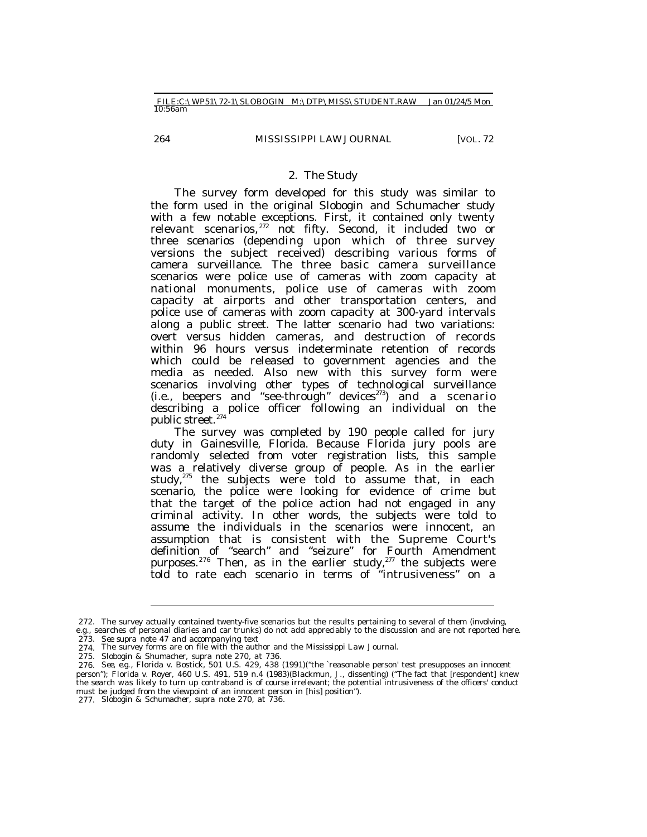# 2. The Study

The survey form developed for this study was similar to the form used in the original Slobogin and Schumacher study with a few notable exceptions. First, it contained only twenty relevant scenarios,<sup>272</sup> not fifty. Second, it included two or three scenarios (depending upon which of three survey versions the subject received) describing various forms of camera surveillance. The three basic camera surveillance scenarios were police use of cameras with zoom capacity at national monuments, police use of cameras with zoom capacity at airports and other transportation centers, and police use of cameras with zoom capacity at 300-yard intervals along a public street. The latter scenario had two variations: overt versus hidden cameras, and destruction of records within 96 hours versus indeterminate retention of records which could be released to government agencies and the media as needed. Also new with this survey form were scenarios involving other types of technological surveillance (i.e., beepers and "see-through" devices<sup> $273$ </sup>) and a scenario describing a police officer following an individual on the public street.<sup>274</sup>

The survey was completed by 190 people called for jury duty in Gainesville, Florida. Because Florida jury pools are randomly selected from voter registration lists, this sample was a relatively diverse group of people. As in the earlier study,<sup>275</sup> the subjects were told to assume that, in each scenario, the police were looking for evidence of crime but that the target of the police action had not engaged in any criminal activity. In other words, the subjects were told to assume the individuals in the scenarios were innocent, an assumption that is consistent with the Supreme Court's definition of "search" and "seizure" for Fourth Amendment purposes.<sup>276</sup> Then, as in the earlier study,<sup>277</sup> the subjects were told to rate each scenario in terms of "intrusiveness" on a

<sup>272.</sup> The survey actually contained twenty-five scenarios but the results pertaining to several of them (involving, e.g., searches of personal diaries and car trunks) do not add appreciably to the discussion and are not reported here. 273. *See supra* note 47 and accompanying text

<sup>274.</sup> The survey forms are on file with the author and the *Mississippi Law Journal*.

<sup>275.</sup> Slobogin & Shumacher, *supra* note 270, at 736.<br>276. *See, e.g.*, Florida v. Bostick, 501 U.S. 429, 438 (1991)("the `reasonable person' test presupposes an *innocent* person"); Florida v. Royer, 460 U.S. 491, 519 n.4 (1983)(Blackmun, J., dissenting) ("The fact that [respondent] knew the search was likely to turn up contraband is of course irrelevant; the potential intrusiveness of the officers' conduct must be judged from the viewpoint of an innocent person in [his] position").

<sup>277.</sup> Slobogin & Schumacher, *supra* note 270, at 736.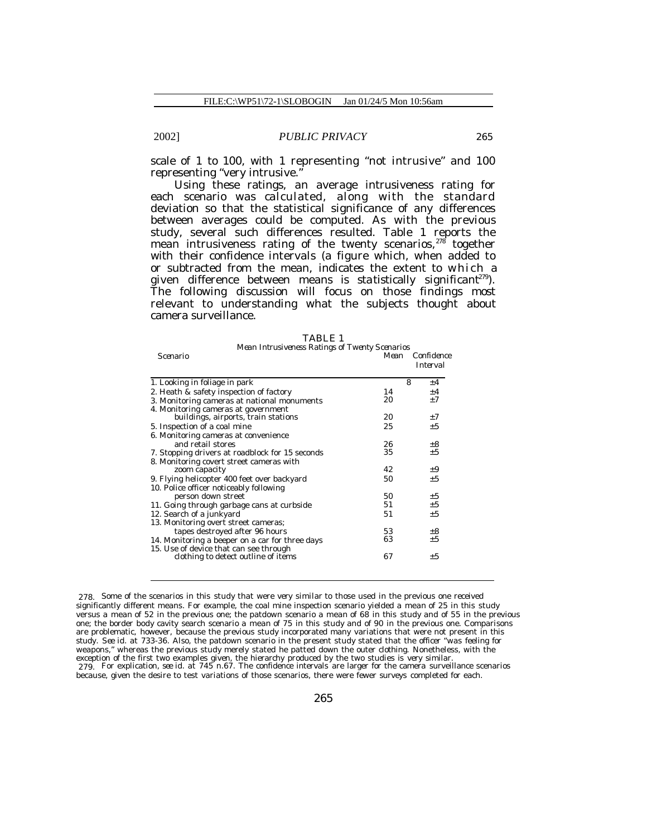scale of 1 to 100, with 1 representing "not intrusive" and 100 representing "very intrusive."

Using these ratings, an average intrusiveness rating for each scenario was calculated, along with the standard deviation so that the statistical significance of any differences between averages could be computed. As with the previous study, several such differences resulted. Table 1 reports the mean intrusiveness rating of the twenty scenarios,  $278$  together with their confidence intervals (a figure which, when added to or subtracted from the mean, indicates the extent to which a given difference between means is statistically significant<sup>279</sup>). The following discussion will focus on those findings most relevant to understanding what the subjects thought about camera surveillance.

| Scenario                                        | Mean | Confidence<br>Interval |
|-------------------------------------------------|------|------------------------|
| 1. Looking in foliage in park                   |      | 8<br>±4                |
| 2. Heath & safety inspection of factory         | 14   | ±4                     |
| 3. Monitoring cameras at national monuments     | 20   | $\pm 7$                |
| 4. Monitoring cameras at government             |      |                        |
| buildings, airports, train stations             | 20   | ±7                     |
| 5. Inspection of a coal mine                    | 25   | $\pm 5$                |
| 6. Monitoring cameras at convenience            |      |                        |
| and retail stores                               | 26   | $\pm 8$                |
| 7. Stopping drivers at roadblock for 15 seconds | 35   | $\pm 5$                |
| 8. Monitoring covert street cameras with        |      |                        |
| zoom capacity                                   | 42   | $\pm 9$                |
| 9. Flying helicopter 400 feet over backyard     | 50   | $\pm 5$                |
| 10. Police officer noticeably following         |      |                        |
| person down street                              | 50   | $\pm 5$                |
| 11. Going through garbage cans at curbside      | 51   | $\pm 5$                |
| 12. Search of a junkyard                        | 51   | $\pm 5$                |
| 13. Monitoring overt street cameras;            |      |                        |
| tapes destroyed after 96 hours                  | 53   | $\pm 8$                |
| 14. Monitoring a beeper on a car for three days | 63   | $\pm 5$                |
| 15. Use of device that can see through          |      |                        |
| clothing to detect outline of items             | 67   | $\pm 5$                |
|                                                 |      |                        |

| TABLE 1                                        |  |
|------------------------------------------------|--|
|                                                |  |
| Mean Intrusiveness Ratings of Twenty Scenarios |  |

278. Some of the scenarios in this study that were very similar to those used in the previous one received significantly different means. For example, the coal mine inspection scenario yielded a mean of 25 in this study versus a mean of 52 in the previous one; the patdown scenario a mean of 68 in this study and of 55 in the previous one; the border body cavity search scenario a mean of 75 in this study and of 90 in the previous one. Comparisons are problematic, however, because the previous study incorporated many variations that were not present in this study. *See id*. at 733-36. Also, the patdown scenario in the present study stated that the officer "was feeling for weapons," whereas the previous study merely stated he patted down the outer clothing. Nonetheless, with the exception of the first two examples given, the hierarchy produced by the two studies is very similar.<br>279. For explication, see id. at 745 n.67. The confidence intervals are larger for the camera surveillance scenarios because, given the desire to test variations of those scenarios, there were fewer surveys completed for each.

265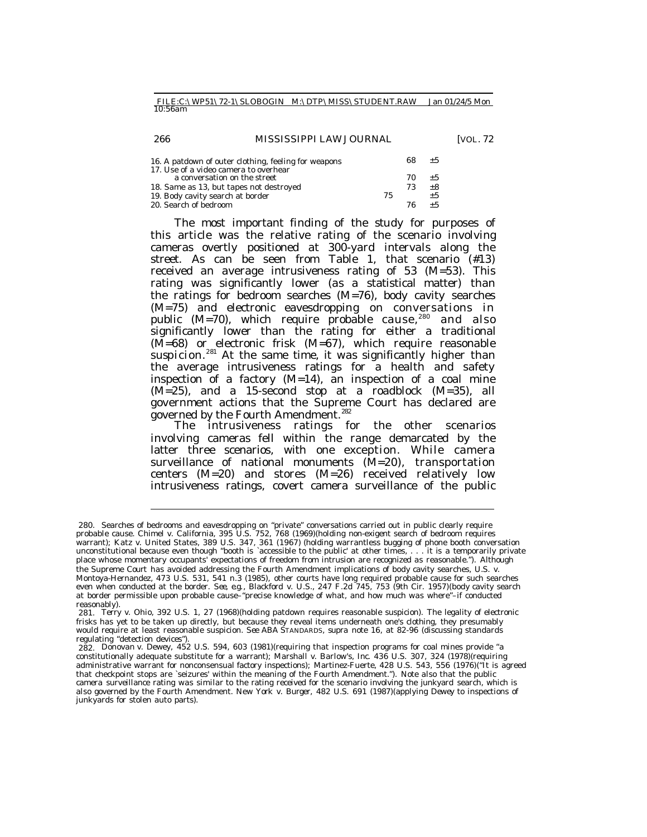FILE:C:\WP51\72-1\SLOBOGIN M:\DTP\MISS\STUDENT.RAW Jan 01/24/5 Mon 10:56am

266 *MISSISSIPPI LAW JOURNAL* [VOL. 72

16. A patdown of outer clothing, feeling for weapons 68  $\pm$  5 17. Use of a video camera to overhear a conversation on the street  $70 \tpm 5$ 18. Same as 13, but tapes not destroyed 73 ±8 19. Body cavity search at border  $\frac{1}{20}$  Search of bedroom  $\frac{75}{6}$ 20. Search of bedroom  $\overline{76}$   $\pm 5$ 

The most important finding of the study for purposes of this article was the relative rating of the scenario involving cameras overtly positioned at 300-yard intervals along the street. As can be seen from Table 1, that scenario  $(413)$ received an average intrusiveness rating of 53 (M=53). This rating was significantly lower (as a statistical matter) than the ratings for bedroom searches (M=76), body cavity searches (M=75) and electronic eavesdropping on conversations in public  $(M=70)$ , which require probable cause,<sup>280</sup> and also significantly lower than the rating for either a traditional (M=68) or electronic frisk (M=67), which require reasonable suspicion.<sup>281</sup> At the same time, it was significantly higher than the average intrusiveness ratings for a health and safety inspection of a factory  $(M=14)$ , an inspection of a coal mine (M=25), and a 15-second stop at a roadblock (M=35), all government actions that the Supreme Court has declared are governed by the Fourth Amendment.<sup>282</sup>

The intrusiveness ratings for the other scenarios involving cameras fell within the range demarcated by the latter three scenarios, with one exception. While camera surveillance of national monuments (M=20), transportation centers (M=20) and stores (M=26) received relatively low intrusiveness ratings, covert camera surveillance of the public

<sup>280.</sup> Searches of bedrooms and eavesdropping on "private" conversations carried out in public clearly require probable cause. Chimel v. California, 395 U.S. 752, 768 (1969)(holding non-exigent search of bedroom requires warrant); Katz v. United States, 389 U.S. 347, 361 (1967) (holding warrantless bugging of phone booth conversation unconstitutional because even though "booth is `accessible to the public' at other times, . . . it is a temporarily private place whose momentary occupants' expectations of freedom from intrusion are recognized as reasonable."). Although the Supreme Court has avoided addressing the Fourth Amendment implications of body cavity searches, U.S. v. Montoya-Hernandez, 473 U.S. 531, 541 n.3 (1985), other courts have long required probable cause for such searches even when conducted at the border. *See*, *e.g.*, Blackford v. U.S., 247 F.2d 745, 753 (9th Cir. 1957)(body cavity search at border permissible upon probable cause–"precise knowledge of what, and how much was where"–if conducted reasonably).

<sup>281.</sup> Terry v. Ohio, 392 U.S. 1, 27 (1968)(holding patdown requires reasonable suspicion). The legality of electronic frisks has yet to be taken up directly, but because they reveal items underneath one's clothing, they presumably would require at least reasonable suspicion. *See* ABA STANDARDS, *supra* note 16, at 82-96 (discussing standards regulating "detection devices").

<sup>282.</sup> Donovan v. Dewey, 452 U.S. 594, 603 (1981)(requiring that inspection programs for coal mines provide "a constitutionally adequate substitute for a warrant); Marshall v. Barlow's, Inc. 436 U.S. 307, 324 (1978)(requiring administrative warrant for nonconsensual factory inspections); Martinez-Fuerte, 428 U.S. 543, 556 (1976)("It is agreed that checkpoint stops are `seizures' within the meaning of the Fourth Amendment."). Note also that the public camera surveillance rating was similar to the rating received for the scenario involving the junkyard search, which is also governed by the Fourth Amendment. New York v. Burger, 482 U.S. 691 (1987)(applying *Dewey* to inspections of junkyards for stolen auto parts).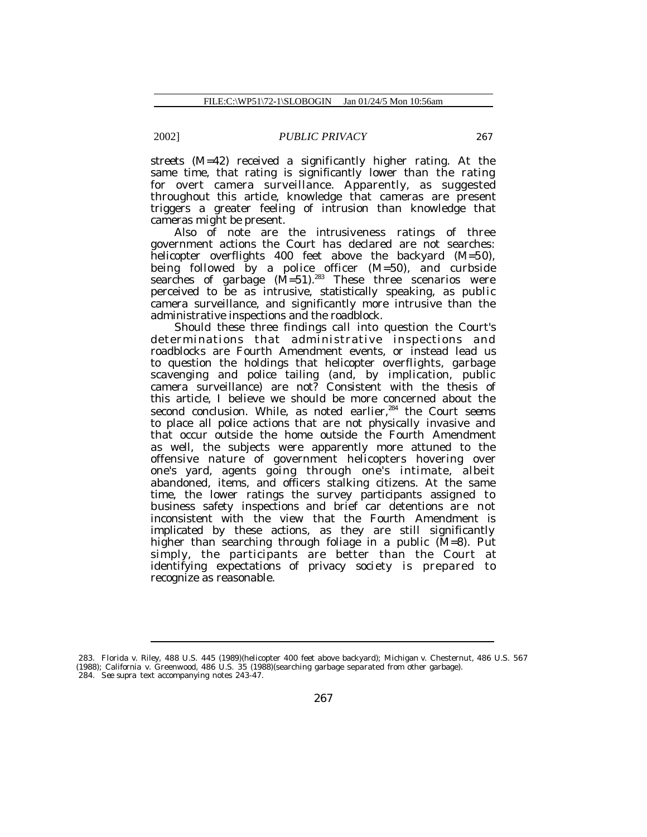streets (M=42) received a significantly higher rating. At the same time, that rating is significantly lower than the rating for overt camera surveillance. Apparently, as suggested throughout this article, knowledge that cameras are present triggers a greater feeling of intrusion than knowledge that cameras *might* be present.

Also of note are the intrusiveness ratings of three government actions the Court has declared are not searches: helicopter overflights 400 feet above the backyard (M=50), being followed by a police officer (M=50), and curbside searches of garbage  $(M=51)$ .<sup>283</sup> These three scenarios were perceived to be as intrusive, statistically speaking, as public camera surveillance, and significantly more intrusive than the administrative inspections and the roadblock.

Should these three findings call into question the Court's determinations that administrative inspections and roadblocks are Fourth Amendment events, or instead lead us to question the holdings that helicopter overflights, garbage scavenging and police tailing (and, by implication, public camera surveillance) are not? Consistent with the thesis of this article, I believe we should be more concerned about the second conclusion. While, as noted earlier,<sup>284</sup> the Court seems to place all police actions that are not physically invasive and that occur outside the home outside the Fourth Amendment as well, the subjects were apparently more attuned to the offensive nature of government helicopters hovering over one's yard, agents going through one's intimate, albeit abandoned, items, and officers stalking citizens. At the same time, the lower ratings the survey participants assigned to business safety inspections and brief car detentions are not inconsistent with the view that the Fourth Amendment is implicated by these actions, as they are still significantly higher than searching through foliage in a public (M=8). Put simply, the participants are better than the Court at identifying expectations of privacy *society* is prepared to recognize as reasonable.

<sup>283.</sup> Florida v. Riley, 488 U.S. 445 (1989)(helicopter 400 feet above backyard); Michigan v. Chesternut, 486 U.S. 567 (1988); California v. Greenwood, 486 U.S. 35 (1988)(searching garbage separated from other garbage). 284. *See supra* text accompanying notes 243-47.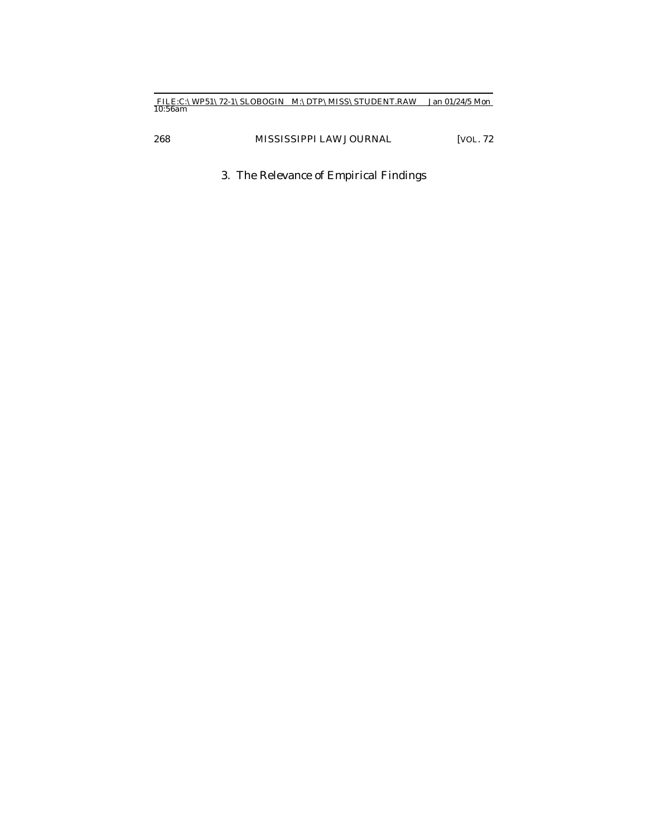FILE:C:\WP51\72-1\SLOBOGIN M:\DTP\MISS\STUDENT.RAW Jan 01/24/5 Mon 10:56am

268 *MISSISSIPPI LAW JOURNAL* [VOL. 72

3. The Relevance of Empirical Findings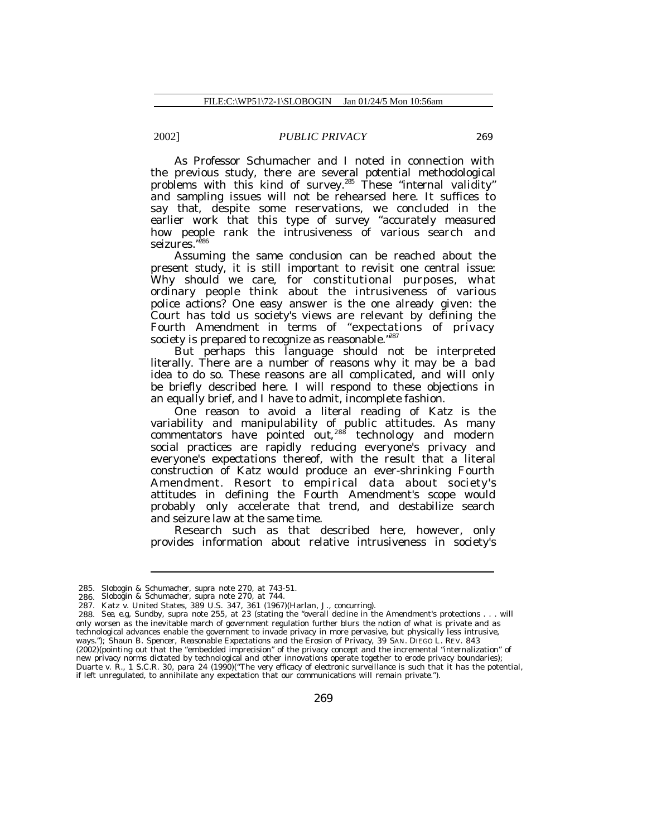As Professor Schumacher and I noted in connection with the previous study, there are several potential methodological problems with this kind of survey.<sup>285</sup> These "internal validity" and sampling issues will not be rehearsed here. It suffices to say that, despite some reservations, we concluded in the earlier work that this type of survey "accurately measured how people rank the intrusiveness of various search and seizures."<sup>286</sup>

Assuming the same conclusion can be reached about the present study, it is still important to revisit one central issue: Why should we care, for constitutional purposes, what ordinary people think about the intrusiveness of various police actions? One easy answer is the one already given: the Court has told us society's views are relevant by defining the Fourth Amendment in terms of "expectations of privacy society is prepared to recognize as reasonable."<sup>287</sup>

But perhaps this language should not be interpreted literally. There are a number of reasons why it may be a bad idea to do so. These reasons are all complicated, and will only be briefly described here. I will respond to these objections in an equally brief, and I have to admit, incomplete fashion.

One reason to avoid a literal reading of *Katz* is the variability and manipulability of public attitudes. As many commentators have pointed out,<sup>288</sup> technology and modern social practices are rapidly reducing everyone's privacy and everyone's expectations thereof, with the result that a literal construction of *Katz* would produce an ever-shrinking Fourth Amendment. Resort to empirical data about society's attitudes in defining the Fourth Amendment's scope would probably only accelerate that trend, and destabilize search and seizure law at the same time.

Research such as that described here, however, only provides information about relative intrusiveness in society's

<sup>285.</sup> Slobogin & Schumacher, *supra* note 270, at 743-51.

<sup>286.</sup> Slobogin & Schumacher, *supra* note 270, at 744.

<sup>287.</sup> Katz v. United States, 389 U.S. 347, 361 (1967)(Harlan, J., concurring).

<sup>288.</sup> *See*, e.g, Sundby, *supra* note 255, at 23 (stating the "overall decline in the Amendment's protections . . . will only worsen as the inevitable march of government regulation further blurs the notion of what is private and as technological advances enable the government to invade privacy in more pervasive, but physically less intrusive, ways."); Shaun B. Spencer, *Reasonable Expectations and the Erosion of Privacy*, 39 SAN. DIEGO L. REV. 843 (2002)(pointing out that the "embedded imprecision" of the privacy concept and the incremental "internalization" of new privacy norms dictated by technological and other innovations operate together to erode privacy boundaries); Duarte v. R., 1 S.C.R. 30, para 24 (1990)("The very efficacy of electronic surveillance is such that it has the potential, if left unregulated, to annihilate any expectation that our communications will remain private.").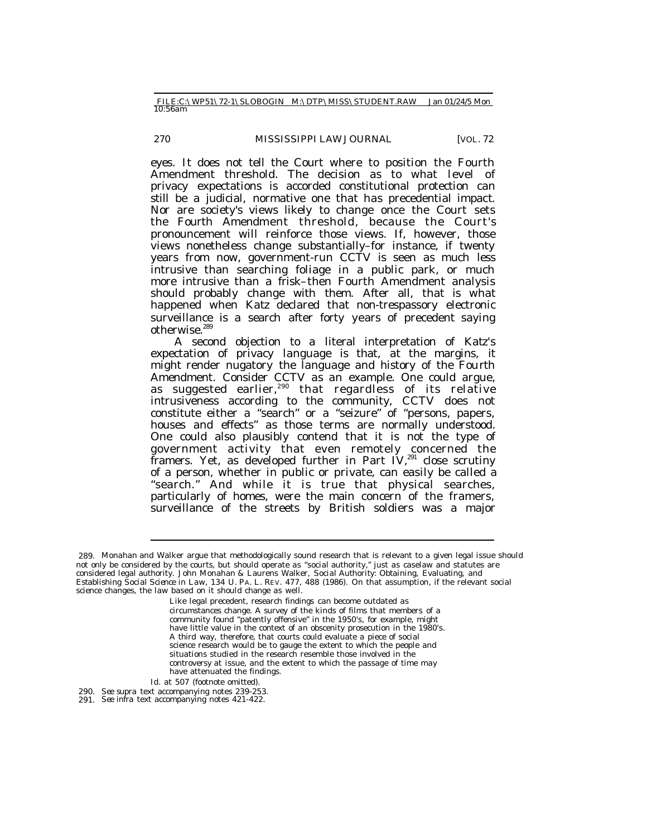eyes. It does not tell the Court where to position the Fourth Amendment threshold. The decision as to what *level* of privacy expectations is accorded constitutional protection can still be a judicial, normative one that has precedential impact. Nor are society's views likely to change once the Court sets the Fourth Amendment threshold, because the Court's pronouncement will reinforce those views. If, however, those views nonetheless change substantially–for instance, if twenty years from now, government-run CCTV is seen as much less intrusive than searching foliage in a public park, or much more intrusive than a frisk–then Fourth Amendment analysis should probably change with them. After all, that is what happened when *Katz* declared that non-trespassory electronic surveillance is a search after forty years of precedent saying otherwise.<sup>289</sup>

A second objection to a literal interpretation of *Katz's* expectation of privacy language is that, at the margins, it might render nugatory the language and history of the Fourth Amendment. Consider CCTV as an example. One could argue, as suggested earlier,<sup>290</sup> that regardless of its relative intrusiveness according to the community, CCTV does not constitute either a "search" or a "seizure" of "persons, papers, houses and effects" as those terms are normally understood. One could also plausibly contend that it is not the type of government activity that even remotely concerned the framers. Yet, as developed further in Part IV,<sup>291</sup> close scrutiny of a person, whether in public or private, can easily be called a "search." And while it is true that physical searches, particularly of homes, were the main concern of the framers, surveillance of the streets by British soldiers was a major

Like legal precedent, research findings can become outdated as circumstances change. A survey of the kinds of films that members of a community found "patently offensive" in the 1950's, for example, might have little value in the context of an obscenity prosecution in the 1980's. A third way, therefore, that courts could evaluate a piece of social science research would be to gauge the extent to which the people and situations studied in the research resemble those involved in the controversy at issue, and the extent to which the passage of time may have attenuated the findings.

*Id*. at 507 (footnote omitted).

290. *See supra* text accompanying notes 239-253.

<sup>289.</sup> Monahan and Walker argue that methodologically sound research that is relevant to a given legal issue should not only be considered by the courts, but should operate as "social authority," just as caselaw and statutes are considered legal authority. John Monahan & Laurens Walker, *Social Authority: Obtaining, Evaluating, and Establishing Social Science in Law*, 134 U. PA. L. REV. 477, 488 (1986). On that assumption, if the relevant social science changes, the law based on it should change as well.

<sup>291.</sup> *See infra* text accompanying notes 421-422.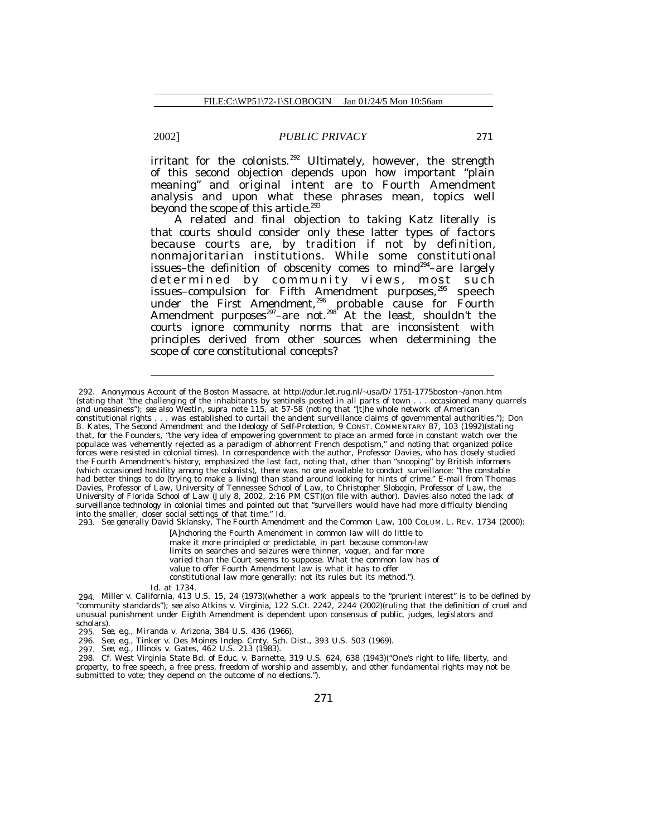irritant for the colonists.<sup>292</sup> Ultimately, however, the strength of this second objection depends upon how important "plain meaning" and original intent are to Fourth Amendment analysis and upon what these phrases mean, topics well beyond the scope of this article.<sup>293</sup>

A related and final objection to taking *Katz* literally is that courts should consider *only* these latter types of factors because courts are, by tradition if not by definition, nonmajoritarian institutions. While some constitutional issues-the definition of obscenity comes to mind<sup>294</sup>-are largely determined by community views, most such issues–compulsion for Fifth Amendment purposes,<sup>295</sup> speech under the First Amendment,<sup>296</sup> probable cause for Fourth Amendment purposes<sup>297</sup>–are not.<sup>298</sup> At the least, shouldn't the courts ignore community norms that are inconsistent with principles derived from other sources when determining the scope of core constitutional concepts?

[A]nchoring the Fourth Amendment in common law will do little to

make it more principled or predictable, in part because common-law

limits on searches and seizures were thinner, vaguer, and far more varied than the Court seems to suppose. What the common law has of

value to offer Fourth Amendment law is what it has to offer

constitutional law more generally: not its rules but its method.").

*Id.* at 1734.

298. *Cf.* West Virginia State Bd. of Educ. v. Barnette, 319 U.S. 624, 638 (1943)("One's right to life, liberty, and property, to free speech, a free press, freedom of worship and assembly, and other fundamental rights may not be submitted to vote; they depend on the outcome of no elections.").

<sup>292.</sup> Anonymous Account of the Boston Massacre, *at* http://odur.let.rug.nl/~usa/D/ 1751-1775boston~/anon.htm (stating that "the challenging of the inhabitants by sentinels posted in all parts of town . . . occasioned many quarrels and uneasiness"); *see also* Westin, *supra* note 115, at 57-58 (noting that "[t]he whole network of American constitutional rights . . . was established to curtail the ancient surveillance claims of governmental authorities."); Don B. Kates, *The Second Amendment and the Ideology of Self-Protection*, 9 CONST. COMMENTARY 87, 103 (1992)(stating that, for the Founders, "the very idea of empowering government to place an armed force in constant watch over the populace was vehemently rejected as a paradigm of abhorrent French despotism," and noting that organized police forces were resisted in colonial times). In correspondence with the author, Professor Davies, who has closely studied the Fourth Amendment's history, emphasized the last fact, noting that, other than "snooping" by British informers (which occasioned hostility among the colonists), there was no one available to conduct surveillance: "the constable had better things to do (trying to make a living) than stand around looking for hints of crime." E-mail from Thomas Davies, Professor of Law, University of Tennessee School of Law, to Christopher Slobogin, Professor of Law, the University of Florida School of Law (July 8, 2002, 2:16 PM CST)(on file with author). Davies also noted the lack of surveillance technology in colonial times and pointed out that "surveillers would have had more difficulty blending into the smaller, closer social settings of that time." Id.<br>293. See generally David Sklansky, The Fourth Amendment and the Common Law, 100 COLUM. L. REV. 1734 (2000):

<sup>294.</sup> Miller v. California, 413 U.S. 15, 24 (1973)(whether a work appeals to the "prurient interest" is to be defined by "community standards"); *see also* Atkins v. Virginia, 122 S.Ct. 2242, 2244 (2002)(ruling that the definition of cruel and unusual punishment under Eighth Amendment is dependent upon consensus of public, judges, legislators and scholars).

<sup>295.</sup> *See*, *e.g.*, Miranda v. Arizona, 384 U.S. 436 (1966).

<sup>296.</sup> *See*, *e.g.*, Tinker v. Des Moines Indep. Cmty. Sch. Dist., 393 U.S. 503 (1969). 297. *See*, *e.g.*, Illinois v. Gates, 462 U.S. 213 (1983).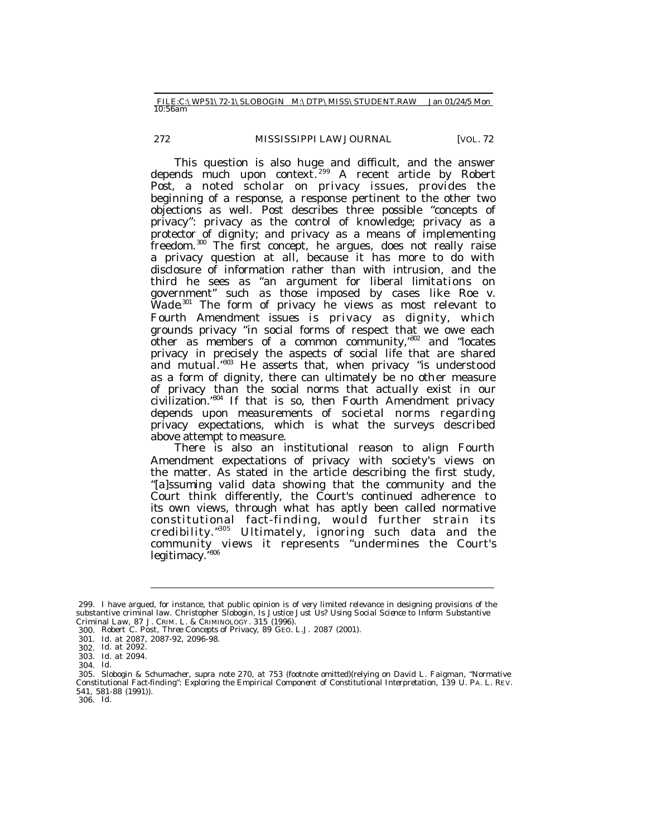This question is also huge and difficult, and the answer depends much upon context.<sup>299</sup> A recent article by Robert Post, a noted scholar on privacy issues, provides the beginning of a response, a response pertinent to the other two objections as well. Post describes three possible "concepts of privacy": privacy as the control of knowledge; privacy as a protector of dignity; and privacy as a means of implementing freedom.<sup>300</sup> The first concept, he argues, does not really raise a privacy question at all, because it has more to do with disclosure of information rather than with intrusion, and the third he sees as "an argument for liberal limitations on government" such as those imposed by cases like *Roe v. Wade*. <sup>301</sup> The form of privacy he views as most relevant to Fourth Amendment issues is privacy as dignity, which grounds privacy "in social forms of respect that we owe each other as members of a common community,"<sup>302</sup> and "locates privacy in precisely the aspects of social life that are shared and mutual."303 He asserts that, when privacy "is understood as a form of dignity, there can ultimately be no other measure of privacy than the social norms that actually exist in our civilization."<sup>304</sup> If that is so, then Fourth Amendment privacy depends upon measurements of societal norms regarding privacy expectations, which is what the surveys described above attempt to measure.

There is also an institutional reason to align Fourth Amendment expectations of privacy with society's views on the matter. As stated in the article describing the first study, "[a]ssuming valid data showing that the community and the Court think differently, the Court's continued adherence to its own views, through what has aptly been called normative constitutional fact-finding, would further strain its<br>credibility."305 Ultimately, ignoring such data and the credibility."<sup>305</sup> Ultimately, ignoring such data and the community views it represents "undermines the Court's legitimacy."306

<sup>299.</sup> I have argued, for instance, that public opinion is of very limited relevance in designing provisions of the substantive criminal law. Christopher Slobogin, *Is Justice Just Us? Using Social Science to Inform Substantive Criminal Law*, 87 J. CRIM. L. & CRIMINOLOGY. 315 (1996).

<sup>300.</sup> Robert C. Post, *Three Concepts of Privacy*, 89 GEO. L.J. 2087 (2001).

<sup>301.</sup> *Id*. at 2087, 2087-92, 2096-98.

<sup>302.</sup> *Id*. at 2092.

<sup>303.</sup> *Id*. at 2094.

<sup>304.</sup> *Id*.

<sup>305.</sup> Slobogin & Schumacher, *supra* note 270, at 753 (footnote omitted)(relying on David L. Faigman, *"Normative Constitutional Fact-finding": Exploring the Empirical Component of Constitutional Interpretation*, 139 U. PA. L. REV. 541, 581-88 (1991)).

<sup>306.</sup> *Id*.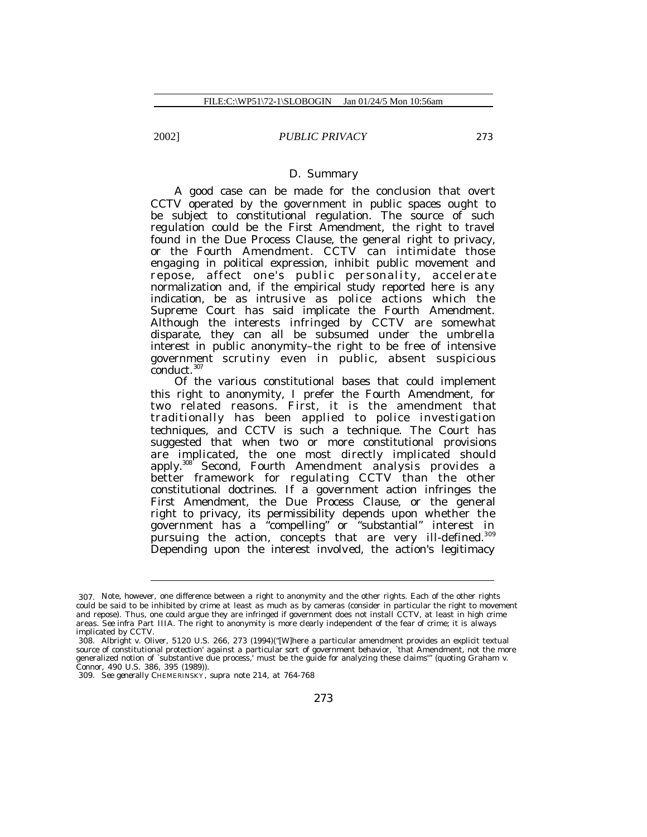### *D. Summary*

A good case can be made for the conclusion that overt CCTV operated by the government in public spaces ought to be subject to constitutional regulation. The source of such regulation could be the First Amendment, the right to travel found in the Due Process Clause, the general right to privacy, or the Fourth Amendment. CCTV can intimidate those engaging in political expression, inhibit public movement and repose, affect one's public personality, accelerate normalization and, if the empirical study reported here is any indication, be as intrusive as police actions which the Supreme Court has said implicate the Fourth Amendment. Although the interests infringed by CCTV are somewhat disparate, they can all be subsumed under the umbrella interest in public anonymity–the right to be free of intensive government scrutiny even in public, absent suspicious  $\mathrm{conduct.}^{307}$ 

Of the various constitutional bases that could implement this right to anonymity, I prefer the Fourth Amendment, for two related reasons. First, it is the amendment that traditionally has been applied to police investigation techniques, and CCTV is such a technique. The Court has suggested that when two or more constitutional provisions are implicated, the one most directly implicated should apply.<sup>308</sup> Second, Fourth Amendment analysis provides a better framework for regulating CCTV than the other constitutional doctrines. If a government action infringes the First Amendment, the Due Process Clause, or the general right to privacy, its permissibility depends upon whether the government has a "compelling" or "substantial" interest in pursuing the action, concepts that are very ill-defined.<sup>309</sup> Depending upon the interest involved, the action's legitimacy

<sup>307.</sup> Note, however, one difference between a right to anonymity and the other rights. Each of the other rights could be said to be inhibited by crime at least as much as by cameras (consider in particular the right to movement and repose). Thus, one could argue they are infringed if government does *not* install CCTV, at least in high crime areas. *See infra* Part IIIA. The right to anonymity is more clearly independent of the fear of crime; it is *always* implicated by CCTV.

<sup>308.</sup> Albright v. Oliver, 5120 U.S. 266, 273 (1994)("[W]here a particular amendment provides an explicit textual source of constitutional protection' against a particular sort of government behavior, `that Amendment, not the more generalized notion of `substantive due process,' must be the guide for analyzing these claims'" (quoting Graham v. Connor, 490 U.S. 386, 395 (1989)).

<sup>309.</sup> *See generally* CHEMERINSKY, *supra* note 214, at 764-768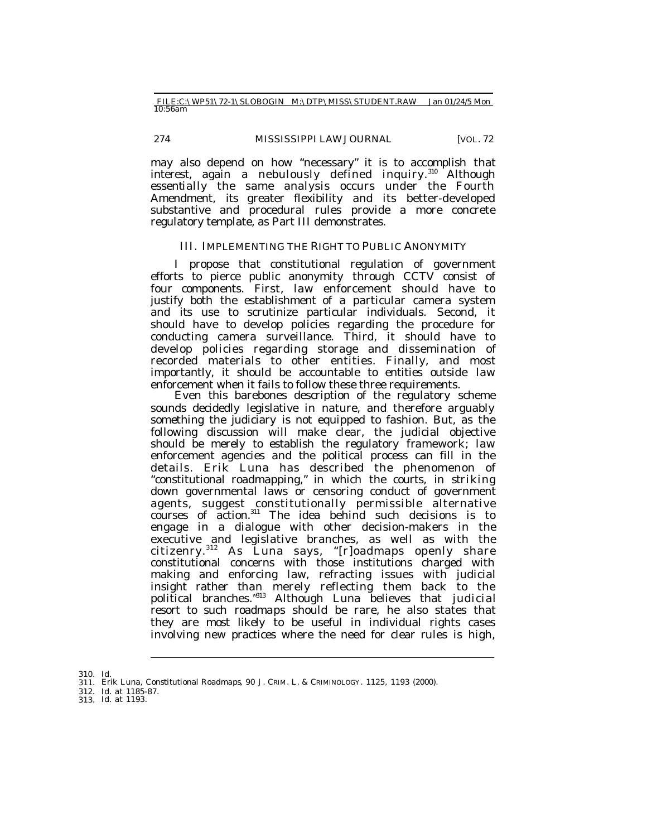may also depend on how "necessary" it is to accomplish that interest, again a nebulously defined inquiry.<sup>310</sup> Although essentially the same analysis occurs under the Fourth Amendment, its greater flexibility and its better-developed substantive and procedural rules provide a more concrete regulatory template, as Part III demonstrates.

# III. IMPLEMENTING THE RIGHT TO PUBLIC ANONYMITY

I propose that constitutional regulation of government efforts to pierce public anonymity through CCTV consist of four components. First, law enforcement should have to justify both the establishment of a particular camera system and its use to scrutinize particular individuals. Second, it should have to develop policies regarding the procedure for conducting camera surveillance. Third, it should have to develop policies regarding storage and dissemination of recorded materials to other entities. Finally, and most importantly, it should be accountable to entities outside law enforcement when it fails to follow these three requirements.

Even this barebones description of the regulatory scheme sounds decidedly legislative in nature, and therefore arguably something the judiciary is not equipped to fashion. But, as the following discussion will make clear, the judicial objective should be merely to establish the regulatory framework; law enforcement agencies and the political process can fill in the details. Erik Luna has described the phenomenon of "constitutional roadmapping," in which the courts, in striking down governmental laws or censoring conduct of government agents, suggest constitutionally permissible alternative courses of action.<sup>311</sup> The idea behind such decisions is to engage in a dialogue with other decision-makers in the executive and legislative branches, as well as with the citizenry.<sup>312</sup> As Luna says, "[r]oadmaps openly share constitutional concerns with those institutions charged with making and enforcing law, refracting issues with judicial insight rather than merely reflecting them back to the political branches."<sup>313</sup> Although Luna believes that judicial resort to such roadmaps should be rare, he also states that they are most likely to be useful in individual rights cases involving new practices where the need for clear rules is high,

310. *Id*.

- 312. *Id*. at 1185-87.
- 313. *Id*. at 1193.

<sup>311.</sup> Erik Luna, *Constitutional Roadmaps*, 90 J. CRIM. L. & CRIMINOLOGY. 1125, 1193 (2000).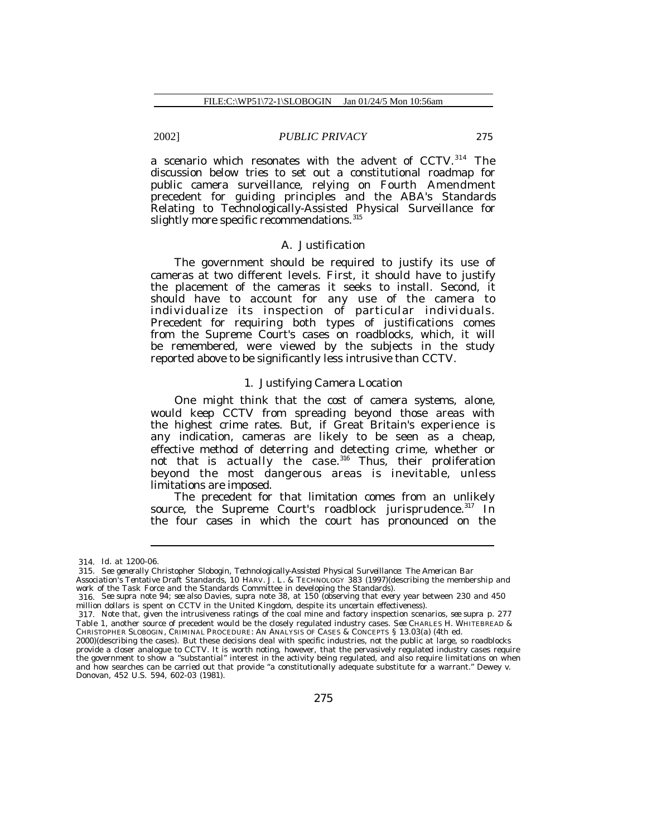a scenario which resonates with the advent of CCTV. <sup>314</sup> The discussion below tries to set out a constitutional roadmap for public camera surveillance, relying on Fourth Amendment precedent for guiding principles and the ABA's Standards Relating to Technologically-Assisted Physical Surveillance for slightly more specific recommendations.<sup>315</sup>

#### *A. Justification*

The government should be required to justify its use of cameras at two different levels. First, it should have to justify the placement of the cameras it seeks to install. Second, it should have to account for any use of the camera to individualize its inspection of particular individuals. Precedent for requiring both types of justifications comes from the Supreme Court's cases on roadblocks, which, it will be remembered, were viewed by the subjects in the study reported above to be significantly less intrusive than CCTV.

# 1. Justifying Camera Location

One might think that the cost of camera systems, alone, would keep CCTV from spreading beyond those areas with the highest crime rates. But, if Great Britain's experience is any indication, cameras are likely to be seen as a cheap, effective method of deterring and detecting crime, whether or not that is actually the case.  $316$  Thus, their proliferation beyond the most dangerous areas is inevitable, unless limitations are imposed.

The precedent for that limitation comes from an unlikely source, the Supreme Court's roadblock jurisprudence.<sup>317</sup> In the four cases in which the court has pronounced on the

*Association's Tentative Draft Standards*, 10 HARV. J. L. & TECHNOLOGY 383 (1997)(describing the membership and work of the Task Force and the Standards Committee in developing the Standards).

<sup>314.</sup> *Id*. at 1200-06.

<sup>315.</sup> *See generally* Christopher Slobogin, *Technologically-Assisted Physical Surveillance: The American Bar*

<sup>316.</sup> *See supra* note 94; *see also* Davies, *supra* note 38, at 150 (observing that every year between 230 and 450 million dollars is spent on CCTV in the United Kingdom, despite its uncertain effectiveness).

<sup>317.</sup> Note that, given the intrusiveness ratings of the coal mine and factory inspection scenarios, *see supra* p. 277 Table 1, another source of precedent would be the closely regulated industry cases. *See* CHARLES H. WHITEBREAD & CHRISTOPHER SLOBOGIN, CRIMINAL PROCEDURE: AN ANALYSIS OF CASES & CONCEPTS § 13.03(a) (4th ed.

<sup>2000)(</sup>describing the cases). But these decisions deal with specific industries, not the public at large, so roadblocks provide a closer analogue to CCTV. It is worth noting, however, that the pervasively regulated industry cases require the government to show a "substantial" interest in the activity being regulated, and also require limitations on when and how searches can be carried out that provide "a constitutionally adequate substitute for a warrant." Dewey v. Donovan, 452 U.S. 594, 602-03 (1981).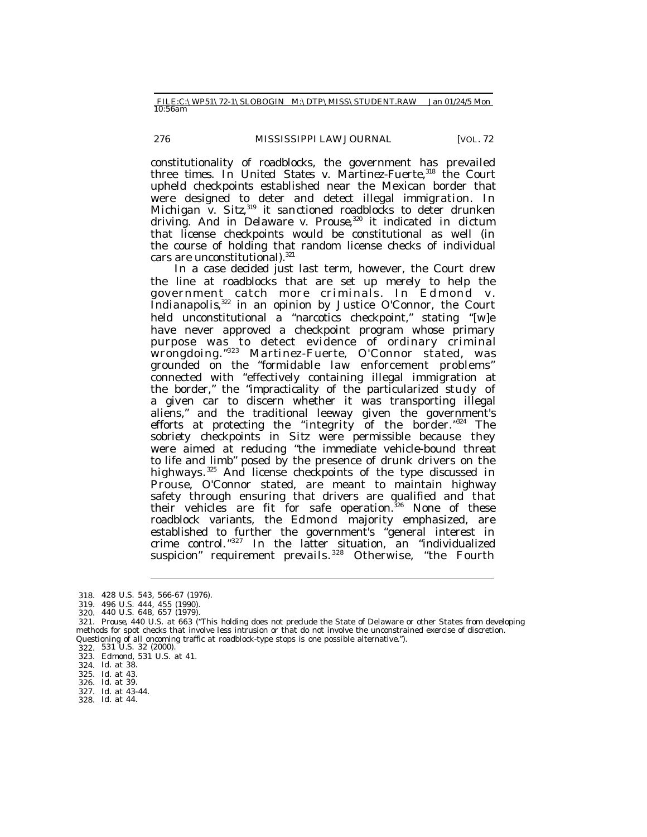constitutionality of roadblocks, the government has prevailed three times. In *United States v. Martinez-Fuerte*, <sup>318</sup> the Court upheld checkpoints established near the Mexican border that were designed to deter and detect illegal immigration. In *Michigan v. Sitz*, <sup>319</sup> it sanctioned roadblocks to deter drunken driving. And in *Delaware v. Prouse*, <sup>320</sup> it indicated in dictum that license checkpoints would be constitutional as well (in the course of holding that random license checks of individual cars are unconstitutional).<sup>321</sup>

In a case decided just last term, however, the Court drew the line at roadblocks that are set up merely to help the government catch more criminals. In *Edmond v. Indianapolis*, <sup>322</sup> in an opinion by Justice O'Connor, the Court held unconstitutional a "narcotics checkpoint," stating "[w]e have never approved a checkpoint program whose primary purpose was to detect evidence of ordinary criminal wrongdoing."<sup>323</sup> *Martinez-Fuerte*, O'Connor stated, was grounded on the "formidable law enforcement problems" connected with "effectively containing illegal immigration at the border," the "impracticality of the particularized study of a given car to discern whether it was transporting illegal aliens," and the traditional leeway given the government's efforts at protecting the "integrity of the border."324 The sobriety checkpoints in *Sitz* were permissible because they were aimed at reducing "the immediate vehicle-bound threat to life and limb" posed by the presence of drunk drivers on the highways.<sup>325</sup> And license checkpoints of the type discussed in *Prouse*, O'Connor stated, are meant to maintain highway safety through ensuring that drivers are qualified and that their vehicles are fit for safe operation.<sup>326</sup> None of these roadblock variants, the *Edmond* majority emphasized, are established to further the government's "general interest in crime control."<sup>327</sup> In the latter situation, an "individualized suspicion" requirement prevails.<sup>328</sup> Otherwise, "the Fourth

328. *Id*. at 44.

<sup>318.</sup> 428 U.S. 543, 566-67 (1976).

<sup>319.</sup> 496 U.S. 444, 455 (1990). 320. 440 U.S. 648, 657 (1979).

<sup>321.</sup> *Prouse*, 440 U.S. at 663 ("This holding does not preclude the State of Delaware or other States from developing methods for spot checks that involve less intrusion or that do not involve the unconstrained exercise of discretion. Questioning of all oncoming traffic at roadblock-type stops is one possible alternative.").

<sup>322.</sup> 531 U.S. 32 (2000).

<sup>323.</sup> *Edmond*, 531 U.S. at 41.

<sup>324.</sup> *Id*. at 38. 325. *Id*. at 43.

<sup>326.</sup> *Id*. at 39.

<sup>327.</sup> *Id*. at 43-44.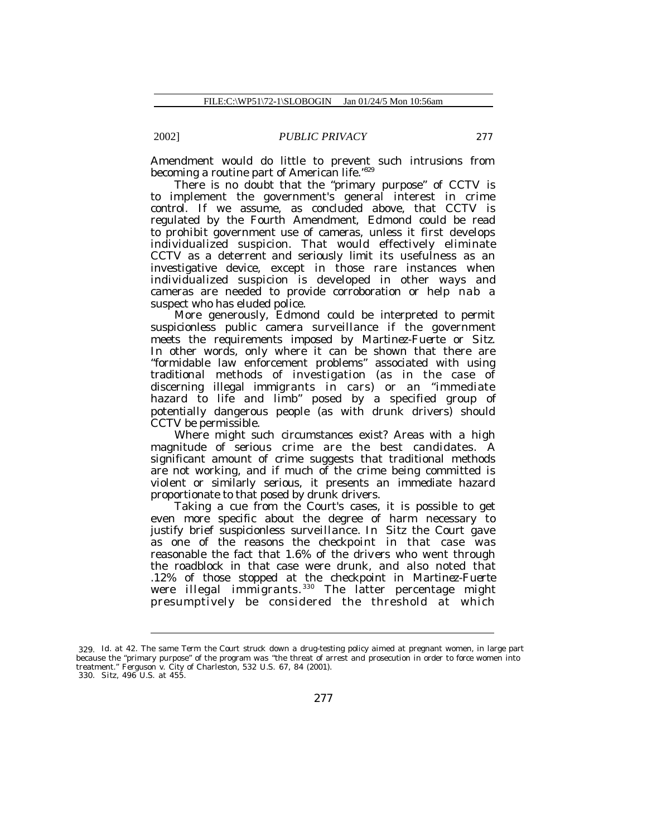Amendment would do little to prevent such intrusions from becoming a routine part of American life."329

There is no doubt that the "primary purpose" of CCTV is to implement the government's general interest in crime control. If we assume, as concluded above, that CCTV is regulated by the Fourth Amendment, *Edmond* could be read to *prohibit* government use of cameras, unless it first develops individualized suspicion. That would effectively eliminate CCTV as a deterrent and seriously limit its usefulness as an investigative device, except in those rare instances when individualized suspicion is developed in other ways and cameras are needed to provide corroboration or help nab a suspect who has eluded police.

More generously, *Edmond* could be interpreted to permit suspicionless public camera surveillance if the government meets the requirements imposed by *Martinez-Fuerte* or *Sitz*. In other words, only where it can be shown that there are "formidable law enforcement problems" associated with using traditional methods of investigation (as in the case of discerning illegal immigrants in cars) or an "immediate hazard to life and limb" posed by a specified group of potentially dangerous people (as with drunk drivers) should CCTV be permissible.

Where might such circumstances exist? Areas with a high magnitude of serious crime are the best candidates. A significant amount of crime suggests that traditional methods are not working, and if much of the crime being committed is violent or similarly serious, it presents an immediate hazard proportionate to that posed by drunk drivers.

Taking a cue from the Court's cases, it is possible to get even more specific about the degree of harm necessary to justify brief suspicionless surveillance. In *Sitz* the Court gave as one of the reasons the checkpoint in that case was reasonable the fact that 1.6% of the drivers who went through the roadblock in that case were drunk, and also noted that .12% of those stopped at the checkpoint in *Martinez-Fuerte* were illegal immigrants.<sup>330</sup> The latter percentage might presumptively be considered the threshold at which

<sup>329.</sup> *Id*. at 42. The same Term the Court struck down a drug-testing policy aimed at pregnant women, in large part because the "primary purpose" of the program was "the threat of arrest and prosecution in order to force women into treatment." Ferguson v. City of Charleston, 532 U.S. 67, 84 (2001). 330. *Sitz*, 496 U.S. at 455.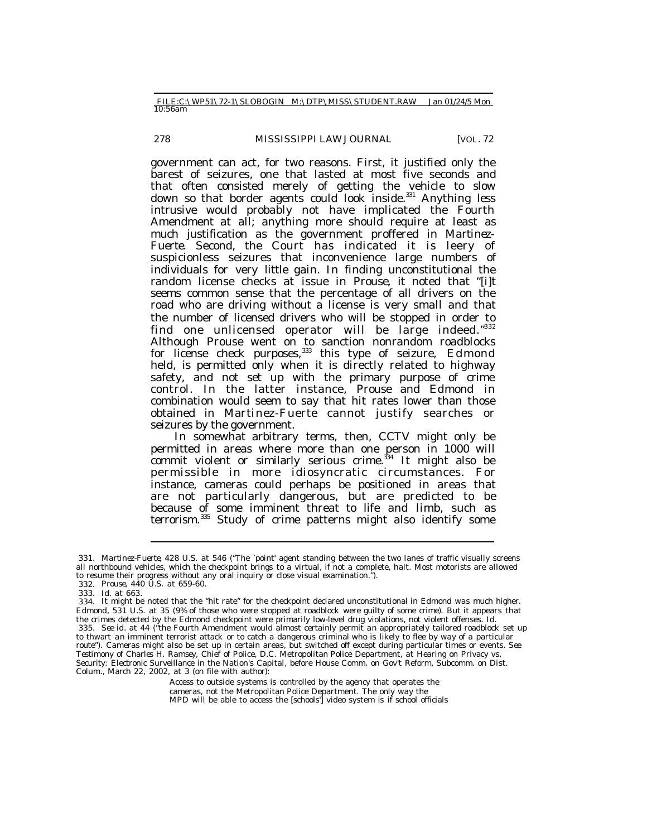government can act, for two reasons. First, it justified only the barest of seizures, one that lasted at most five seconds and that often consisted merely of getting the vehicle to slow down so that border agents could look inside.<sup>331</sup> Anything less intrusive would probably not have implicated the Fourth Amendment at all; anything more should require at least as much justification as the government proffered in *Martinez-Fuerte*. Second, the Court has indicated it is leery of suspicionless seizures that inconvenience large numbers of individuals for very little gain. In finding unconstitutional the random license checks at issue in *Prouse*, it noted that "[i]t seems common sense that the percentage of all drivers on the road who are driving without a license is very small and that the number of licensed drivers who will be stopped in order to find one unlicensed operator will be large indeed."<sup>332</sup> Although *Prouse* went on to sanction nonrandom *roadblocks* for license check purposes,<sup>333</sup> this type of seizure, *Edmond* held, is permitted only when it is directly related to highway safety, and not set up with the primary purpose of crime control. In the latter instance, *Prouse* and *Edmond* in combination would seem to say that hit rates lower than those obtained in *Martinez-Fuerte* cannot justify searches or seizures by the government.

In somewhat arbitrary terms, then, CCTV might only be permitted in areas where more than one person in 1000 will commit violent or similarly serious crime. $334$  It might also be permissible in more idiosyncratic circumstances. For instance, cameras could perhaps be positioned in areas that are not particularly dangerous, but are predicted to be because of some imminent threat to life and limb, such as terrorism.<sup>335</sup> Study of crime patterns might also identify some

Access to outside systems is controlled by the agency that operates the cameras, not the Metropolitan Police Department. The only way the MPD will be able to access the [schools'] video system is if school officials

<sup>331.</sup> *Martinez-Fuerte*, 428 U.S. at 546 ("The `point' agent standing between the two lanes of traffic visually screens all northbound vehicles, which the checkpoint brings to a virtual, if not a complete, halt. Most motorists are allowed to resume their progress without any oral inquiry or close visual examination."). 332. *Prouse*, 440 U.S. at 659-60.

<sup>333.</sup> *Id*. at 663.

<sup>334.</sup> It might be noted that the "hit rate" for the checkpoint declared unconstitutional in *Edmond* was much higher. *Edmond*, 531 U.S. at 35 (9% of those who were stopped at roadblock were guilty of some crime). But it appears that the crimes detected by the *Edmond* checkpoint were primarily low-level drug violations, not violent offenses. *Id.* 335. *See id.* at 44 ("the Fourth Amendment would almost certainly permit an appropriately tailored roadblock set up to thwart an imminent terrorist attack or to catch a dangerous criminal who is likely to flee by way of a particular route"). Cameras might also be set up in certain areas, but switched off except during particular times or events. *See Testimony of Charles H. Ramsey*, Chief of Police, D.C. Metropolitan Police Department, at Hearing on Privacy vs. Security: Electronic Surveillance in the Nation's Capital, before House Comm. on Gov't Reform, Subcomm. on Dist. Colum., March 22, 2002, at 3 (on file with author):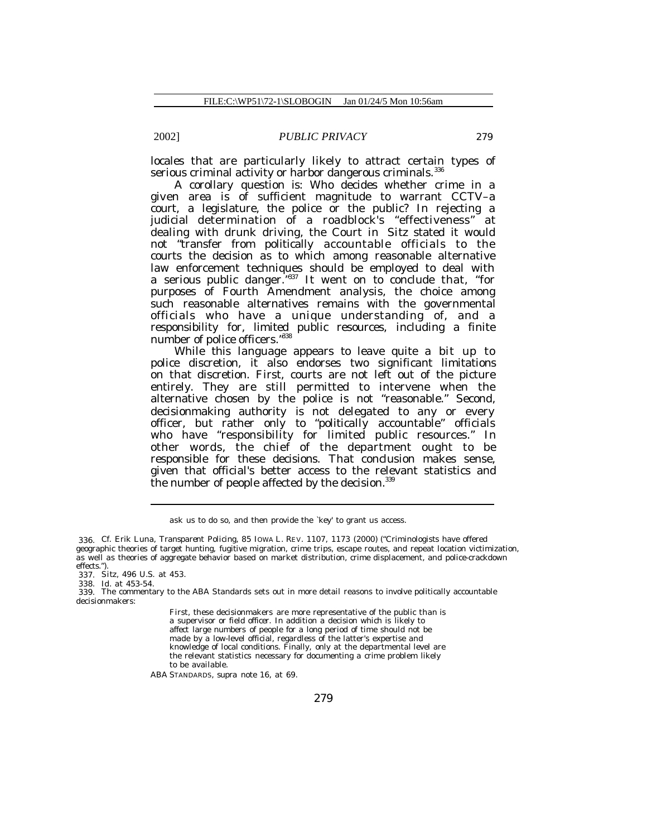locales that are particularly likely to attract certain types of serious criminal activity or harbor dangerous criminals.<sup>336</sup>

A corollary question is: Who decides whether crime in a given area is of sufficient magnitude to warrant CCTV–a court, a legislature, the police or the public? In rejecting a judicial determination of a roadblock's "effectiveness" at dealing with drunk driving, the Court in *Sitz* stated it would not "transfer from politically accountable officials to the courts the decision as to which among reasonable alternative law enforcement techniques should be employed to deal with a serious public danger.<sup>"337</sup> It went on to conclude that, "for purposes of Fourth Amendment analysis, the choice among such reasonable alternatives remains with the governmental officials who have a unique understanding of, and a responsibility for, limited public resources, including a finite number of police officers."<sup>338</sup>

While this language appears to leave quite a bit up to police discretion, it also endorses two significant limitations on that discretion. First, courts are not left out of the picture entirely. They are still permitted to intervene when the alternative chosen by the police is not "reasonable." Second, decisionmaking authority is not delegated to any or every officer, but rather only to "politically accountable" officials who have "responsibility for limited public resources." In other words, the chief of the department ought to be responsible for these decisions. That conclusion makes sense, given that official's better access to the relevant statistics and the number of people affected by the decision.<sup>339</sup>

ask us to do so, and then provide the `key' to grant us access.

336. *Cf.* Erik Luna, *Transparent Policing*, 85 IOWA L. REV. 1107, 1173 (2000) ("Criminologists have offered geographic theories of target hunting, fugitive migration, crime trips, escape routes, and repeat location victimization, as well as theories of aggregate behavior based on market distribution, crime displacement, and police-crackdown effects.").

339. The commentary to the ABA Standards sets out in more detail reasons to involve politically accountable decisionmakers:

> First, these decisionmakers are more representative of the public than is a supervisor or field officer. In addition a decision which is likely to affect large numbers of people for a long period of time should not be made by a low-level official, regardless of the latter's expertise and knowledge of local conditions. Finally, only at the departmental level are the relevant statistics necessary for documenting a crime problem likely to be available.

ABA STANDARDS, *supra* note 16, at 69.

<sup>337.</sup> *Sitz*, 496 U.S. at 453.

<sup>338.</sup> *Id*. at 453-54.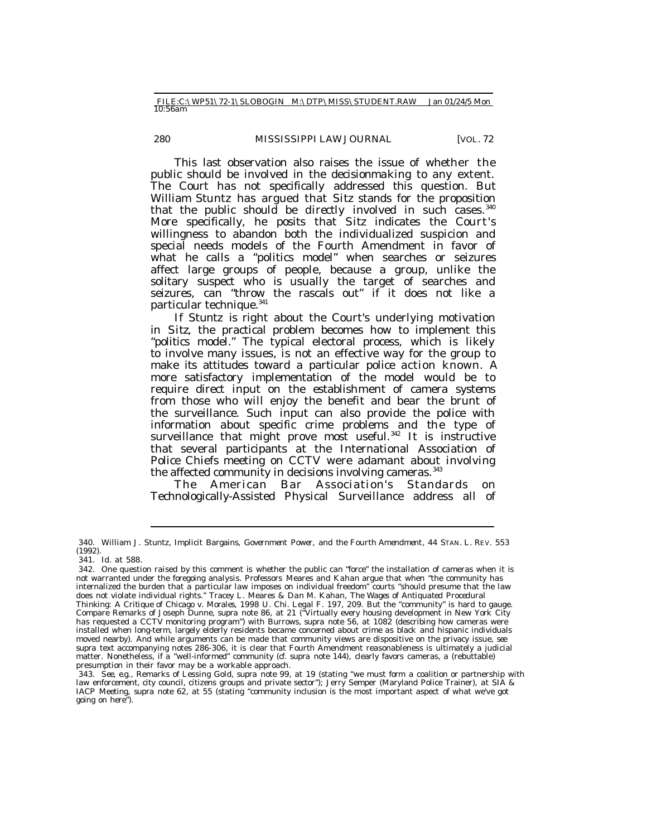This last observation also raises the issue of whether the public should be involved in the decisionmaking to any extent. The Court has not specifically addressed this question. But William Stuntz has argued that *Sitz* stands for the proposition that the public should be *directly* involved in such cases.<sup>340</sup> More specifically, he posits that *Sitz* indicates the Court's willingness to abandon both the individualized suspicion and special needs models of the Fourth Amendment in favor of what he calls a "politics model" when searches or seizures affect large groups of people, because a group, unlike the solitary suspect who is usually the target of searches and seizures, can "throw the rascals out" if it does not like a particular technique.<sup>341</sup>

If Stuntz is right about the Court's underlying motivation in *Sitz*, the practical problem becomes how to implement this "politics model." The typical electoral process, which is likely to involve many issues, is not an effective way for the group to make its attitudes toward a particular police action known. A more satisfactory implementation of the model would be to require direct input on the establishment of camera systems from those who will enjoy the benefit and bear the brunt of the surveillance. Such input can also provide the police with information about specific crime problems and the type of surveillance that might prove most useful. $342$  It is instructive that several participants at the International Association of Police Chiefs meeting on CCTV were adamant about involving the affected community in decisions involving cameras.<sup>343</sup>

The American Bar Association's Standards on Technologically-Assisted Physical Surveillance address all of

<sup>340.</sup> William J. Stuntz, *Implicit Bargains, Government Power, and the Fourth Amendment*, 44 STAN. L. REV. 553 (1992).

<sup>341.</sup> *Id*. at 588.

<sup>342.</sup> One question raised by this comment is whether the public can "force" the installation of cameras when it is not warranted under the foregoing analysis. Professors Meares and Kahan argue that when "the community has internalized the burden that a particular law imposes on individual freedom" courts "should presume that the law does not violate individual rights." Tracey L. Meares & Dan M. Kahan, *The Wages of Antiquated Procedural Thinking: A Critique of Chicago v. Morales*, 1998 U. Chi. Legal F. 197, 209. But the "community" is hard to gauge. Compare Remarks of Joseph Dunne, *supra* note 86, at 21 ("Virtually every housing development in New York City has requested a CCTV monitoring program") with Burrows, *supra* note 56, at 1082 (describing how cameras were installed when long-term, largely elderly residents became concerned about crime as black and hispanic individuals moved nearby). And while arguments can be made that community views are dispositive on the privacy issue, *see supra* text accompanying notes 286-306, it is clear that Fourth Amendment reasonableness is ultimately a judicial matter. Nonetheless, if a "well-informed" community (*cf. supra* note 144), clearly favors cameras, a (rebuttable) presumption in their favor may be a workable approach.

<sup>343.</sup> *See*, *e.g.*, Remarks of Lessing Gold, *supra* note 99, at 19 (stating "we must form a coalition or partnership with law enforcement, city council, citizens groups and private sector"); Jerry Semper (Maryland Police Trainer), at SIA & IACP Meeting, *supra* note 62, at 55 (stating "community inclusion is the most important aspect of what we've got going on here").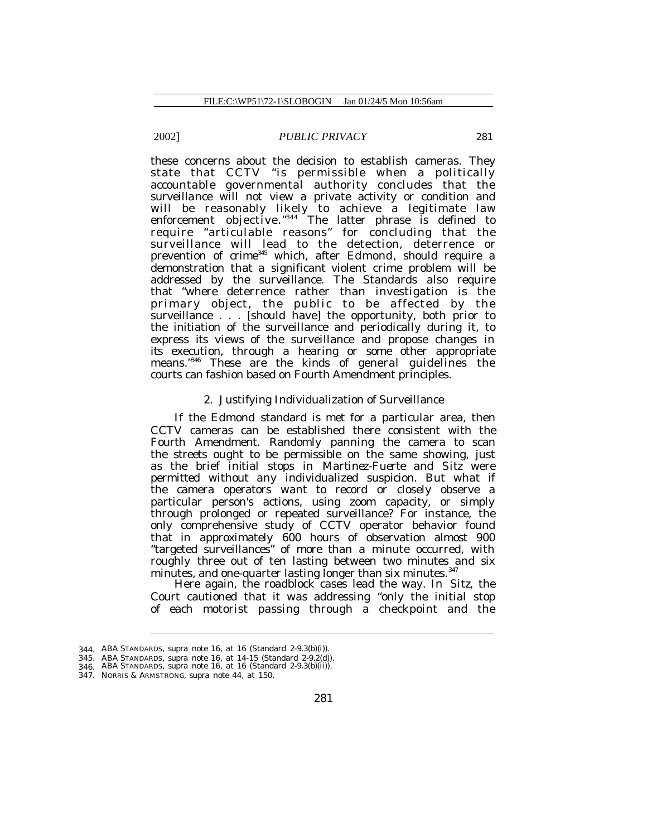these concerns about the decision to establish cameras. They state that CCTV "is permissible when a politically accountable governmental authority concludes that the surveillance will not view a private activity or condition and will be reasonably likely to achieve a legitimate law enforcement objective."<sup>344</sup> The latter phrase is defined to require "articulable reasons" for concluding that the surveillance will lead to the detection, deterrence or prevention of crime<sup>345</sup> which, after *Edmond*, should require a demonstration that a significant violent crime problem will be addressed by the surveillance. The Standards also require that "where deterrence rather than investigation is the primary object, the public to be affected by the surveillance . . . [should have] the opportunity, both prior to the initiation of the surveillance and periodically during it, to express its views of the surveillance and propose changes in its execution, through a hearing or some other appropriate means."<sup>346</sup> These are the kinds of general guidelines the courts can fashion based on Fourth Amendment principles.

### 2. Justifying Individualization of Surveillance

If the *Edmond* standard is met for a particular area, then CCTV cameras can be established there consistent with the Fourth Amendment. Randomly panning the camera to scan the streets ought to be permissible on the same showing, just as the brief initial stops in *Martinez-Fuerte* and *Sitz* were permitted without any individualized suspicion. But what if the camera operators want to record or closely observe a particular person's actions, using zoom capacity, or simply through prolonged or repeated surveillance? For instance, the only comprehensive study of CCTV operator behavior found that in approximately 600 hours of observation almost 900 "targeted surveillances" of more than a minute occurred, with roughly three out of ten lasting between two minutes and six minutes, and one-quarter lasting longer than six minutes.<sup>347</sup>

Here again, the roadblock cases lead the way. In *Sitz*, the Court cautioned that it was addressing "only the initial stop of each motorist passing through a checkpoint and the

281

<sup>344.</sup> ABA STANDARDS, *supra* note 16, at 16 (Standard 2-9.3(b)(i)).

<sup>345.</sup> ABA STANDARDS, *supra* note 16, at 14-15 (Standard 2-9.2(d)).

<sup>346.</sup> ABA STANDARDS, *supra* note 16, at 16 (Standard 2-9.3(b)(ii)).

<sup>347.</sup> NORRIS & ARMSTRONG, *supra* note 44, at 150.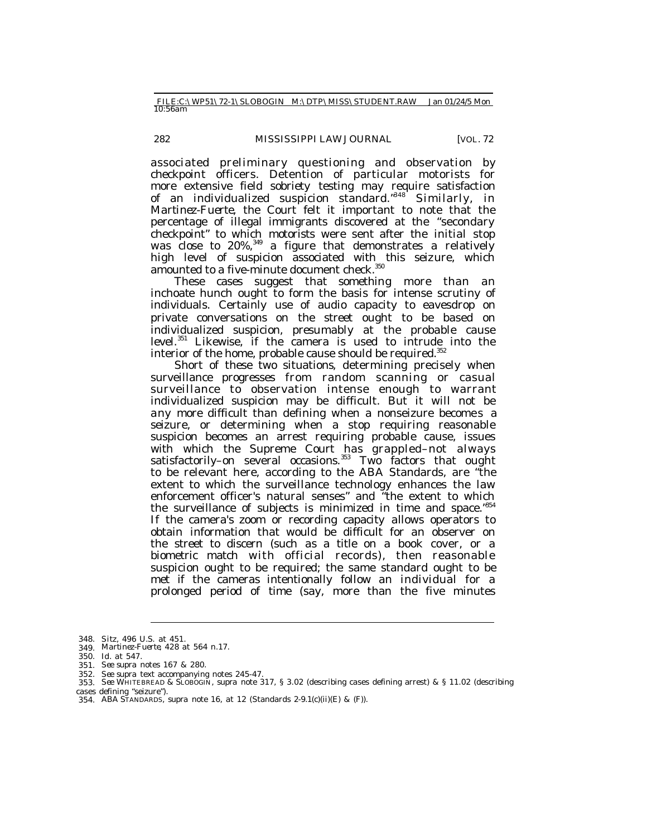associated preliminary questioning and observation by checkpoint officers. Detention of particular motorists for more extensive field sobriety testing may require satisfaction of an individualized suspicion standard."348<sup>+</sup> Similarly, in *Martinez-Fuerte*, the Court felt it important to note that the percentage of illegal immigrants discovered at the "secondary checkpoint" to which motorists were sent after the initial stop was close to  $20\%$ ,<sup>349</sup> a figure that demonstrates a relatively high level of suspicion associated with this seizure, which amounted to a five-minute document check.<sup>350</sup>

These cases suggest that something more than an inchoate hunch ought to form the basis for intense scrutiny of individuals. Certainly use of audio capacity to eavesdrop on private conversations on the street ought to be based on individualized suspicion, presumably at the probable cause level.<sup>351</sup> Likewise, if the camera is used to intrude into the interior of the home, probable cause should be required.<sup>352</sup>

Short of these two situations, determining precisely when surveillance progresses from random scanning or casual surveillance to observation intense enough to warrant individualized suspicion may be difficult. But it will not be any more difficult than defining when a nonseizure becomes a seizure, or determining when a stop requiring reasonable suspicion becomes an arrest requiring probable cause, issues with which the Supreme Court has grappled–not always satisfactorily–on several occasions.<sup>353</sup> Two factors that ought to be relevant here, according to the ABA Standards, are "the extent to which the surveillance technology enhances the law enforcement officer's natural senses" and "the extent to which the surveillance of subjects is minimized in time and space."354 If the camera's zoom or recording capacity allows operators to obtain information that would be difficult for an observer on the street to discern (such as a title on a book cover, or a biometric match with official records), then reasonable suspicion ought to be required; the same standard ought to be met if the cameras intentionally follow an individual for a prolonged period of time (say, more than the five minutes

<sup>348.</sup> *Sitz*, 496 U.S. at 451. 349. *Martinez-Fuerte*, 428 at 564 n.17.

<sup>350.</sup> *Id*. at 547.

<sup>351.</sup> *See supra* notes 167 & 280.

<sup>352.</sup> *See supra* text accompanying notes 245-47.

<sup>353.</sup> *See* WHITEBREAD & SLOBOGIN, *supra* note 317, § 3.02 (describing cases defining arrest) & § 11.02 (describing cases defining "seizure").

<sup>354.</sup> ABA STANDARDS, *supra* note 16, at 12 (Standards 2-9.1(c)(ii)(E) & (F)).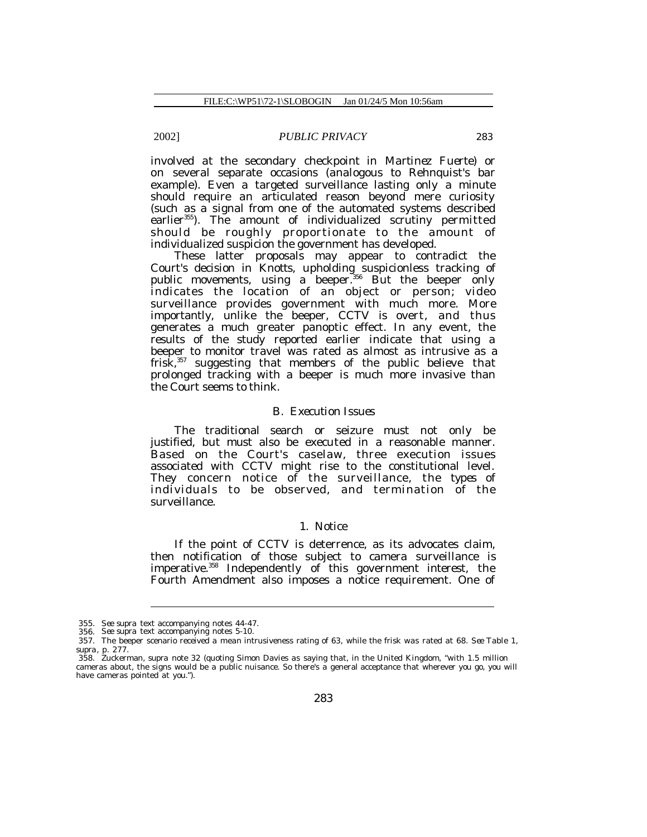involved at the secondary checkpoint in *Martinez Fuerte*) or on several separate occasions (analogous to Rehnquist's bar example). Even a targeted surveillance lasting only a minute should require an articulated reason beyond mere curiosity (such as a signal from one of the automated systems described earlier<sup>355</sup>). The amount of individualized scrutiny permitted should be roughly proportionate to the amount of individualized suspicion the government has developed.

These latter proposals may appear to contradict the Court's decision in *Knotts*, upholding suspicionless tracking of public movements, using a beeper.<sup>356</sup> But the beeper only indicates the location of an object or person; video surveillance provides government with much more. More importantly, unlike the beeper, CCTV is overt, and thus generates a much greater panoptic effect. In any event, the results of the study reported earlier indicate that using a beeper to monitor travel was rated as almost as intrusive as a frisk,<sup>357</sup> suggesting that members of the public believe that prolonged tracking with a beeper is much more invasive than the Court seems to think.

# *B. Execution Issues*

The traditional search or seizure must not only be justified, but must also be executed in a reasonable manner. Based on the Court's caselaw, three execution issues associated with CCTV might rise to the constitutional level. They concern notice of the surveillance, the *types* of individuals to be observed, and termination of the surveillance.

### 1. Notice

If the point of CCTV is deterrence, as its advocates claim, then notification of those subject to camera surveillance is imperative.<sup>358</sup> Independently of this government interest, the Fourth Amendment also imposes a notice requirement. One of

<sup>355.</sup> *See supra* text accompanying notes 44-47.

<sup>356.</sup> *See supra* text accompanying notes 5-10.

<sup>357.</sup> The beeper scenario received a mean intrusiveness rating of 63, while the frisk was rated at 68. *See* Table 1, *supra*, p. 277.

<sup>358.</sup> Zuckerman, *supra* note 32 (quoting Simon Davies as saying that, in the United Kingdom, "with 1.5 million cameras about, the signs would be a public nuisance. So there's a general acceptance that wherever you go, you will have cameras pointed at you.").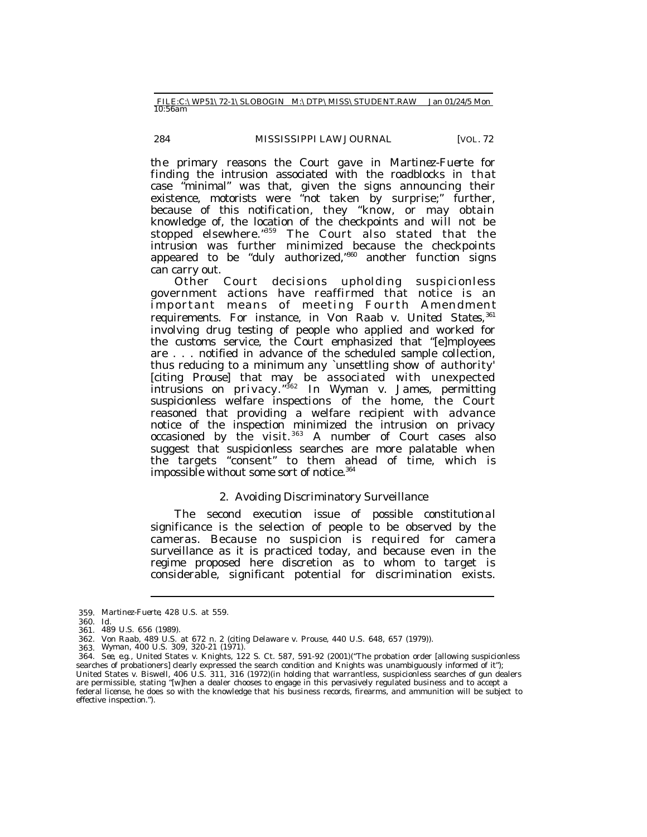the primary reasons the Court gave in *Martinez-Fuerte* for finding the intrusion associated with the roadblocks in that case "minimal" was that, given the signs announcing their existence, motorists were "not taken by surprise;" further, because of this notification, they "know, or may obtain knowledge of, the location of the checkpoints and will not be stopped elsewhere."<sup>359</sup> The Court also stated that the intrusion was further minimized because the checkpoints appeared to be "duly authorized,"<sup>360</sup> another function signs can carry out.

Other Court decisions upholding suspicionless government actions have reaffirmed that notice is an important means of meeting Fourth Amendment requirements. For instance, in *Von Raab v. United States*, 361 involving drug testing of people who applied and worked for the customs service, the Court emphasized that "[e]mployees are . . . notified in advance of the scheduled sample collection, thus reducing to a minimum any `unsettling show of authority' [citing *Prouse*] that may be associated with unexpected intrusions on privacy."<sup>362</sup> In *Wyman v. James*, permitting suspicionless welfare inspections of the home, the Court reasoned that providing a welfare recipient with advance notice of the inspection minimized the intrusion on privacy occasioned by the visit.  $363$  A number of Court cases also suggest that suspicionless searches are more palatable when the targets "consent" to them ahead of time, which is impossible without some sort of notice.<sup>364</sup>

# 2. Avoiding Discriminatory Surveillance

The second execution issue of possible constitutional significance is the selection of people to be observed by the cameras. Because no suspicion is required for camera surveillance as it is practiced today, and because even in the regime proposed here discretion as to whom to target is considerable, significant potential for discrimination exists.

<sup>359.</sup> *Martinez-Fuerte*, 428 U.S. at 559.

<sup>360.</sup> *Id*.

<sup>361.</sup> 489 U.S. 656 (1989).

<sup>362.</sup> *Von Raab*, 489 U.S. at 672 n. 2 (citing Delaware v. Prouse, 440 U.S. 648, 657 (1979)).

<sup>363.</sup> *Wyman*, 400 U.S. 309, 320-21 (1971).

<sup>364.</sup> *See*, *e.g.*, United States v. Knights, 122 S. Ct. 587, 591-92 (2001)("The probation order [allowing suspicionless searches of probationers] clearly expressed the search condition and Knights was unambiguously informed of it"); United States v. Biswell, 406 U.S. 311, 316 (1972)(in holding that warrantless, suspicionless searches of gun dealers are permissible, stating "[w]hen a dealer chooses to engage in this pervasively regulated business and to accept a federal license, he does so with the knowledge that his business records, firearms, and ammunition will be subject to effective inspection.").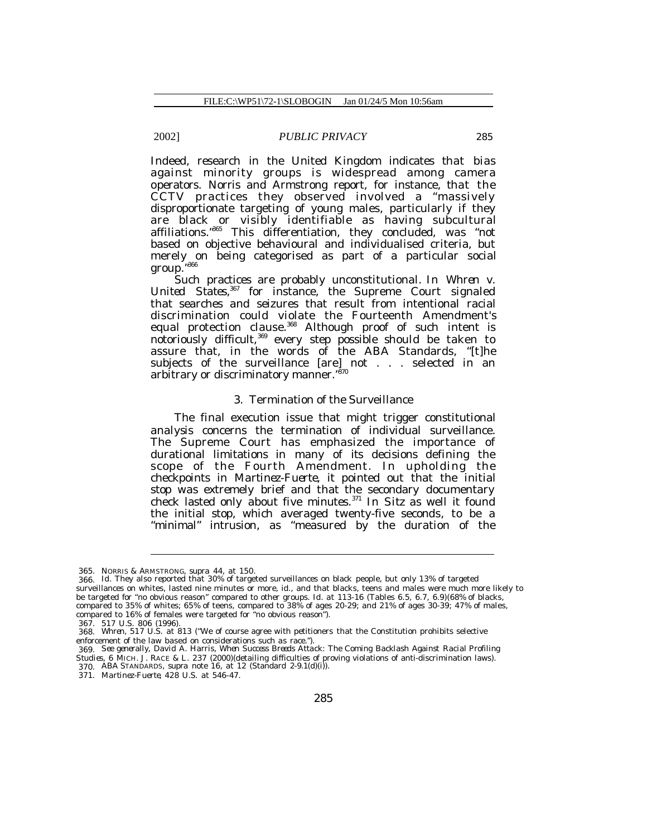Indeed, research in the United Kingdom indicates that bias against minority groups is widespread among camera operators. Norris and Armstrong report, for instance, that the CCTV practices they observed involved a "massively disproportionate targeting of young males, particularly if they are black or visibly identifiable as having subcultural affiliations."<sup>365</sup> This differentiation, they concluded, was "not based on objective behavioural and individualised criteria, but merely on being categorised as part of a particular social group.'

Such practices are probably unconstitutional. In *Whren v. United States*, <sup>367</sup> for instance, the Supreme Court signaled that searches and seizures that result from intentional racial discrimination could violate the Fourteenth Amendment's equal protection clause.<sup>368</sup> Although proof of such intent is notoriously difficult,<sup>369</sup> every step possible should be taken to assure that, in the words of the ABA Standards, "[t]he subjects of the surveillance [are] not . . . selected in an arbitrary or discriminatory manner."<sup>370</sup>

### 3. Termination of the Surveillance

The final execution issue that might trigger constitutional analysis concerns the termination of individual surveillance. The Supreme Court has emphasized the importance of durational limitations in many of its decisions defining the scope of the Fourth Amendment. In upholding the checkpoints in *Martinez-Fuerte*, it pointed out that the initial stop was extremely brief and that the secondary documentary check lasted only about five minutes.<sup>371</sup> In *Sitz* as well it found the initial stop, which averaged twenty-five seconds, to be a "minimal" intrusion, as "measured by the duration of the

<sup>365.</sup> NORRIS & ARMSTRONG, *supra* 44, at 150.

<sup>366.</sup> *Id*. They also reported that 30% of targeted surveillances on black people, but only 13% of targeted surveillances on whites, lasted nine minutes or more, *id*., and that blacks, teens and males were much more likely to be targeted for "no obvious reason" compared to other groups. *Id*. at 113-16 (Tables 6.5, 6.7, 6.9)(68% of blacks, compared to 35% of whites; 65% of teens, compared to 38% of ages 20-29; and 21% of ages 30-39; 47% of males, compared to 16% of females were targeted for "no obvious reason").

<sup>367.</sup> 517 U.S. 806 (1996). 368. *Whren*, 517 U.S. at 813 ("We of course agree with petitioners that the Constitution prohibits selective enforcement of the law based on considerations such as race.").

<sup>369.</sup> *See generally*, David A. Harris, *When Success Breeds Attack: The Coming Backlash Against Racial Profiling Studies*, 6 MICH. J. RACE & L. 237 (2000)(detailing difficulties of proving violations of anti-discrimination laws). 370. ABA STANDARDS, *supra* note 16, at 12 (Standard 2-9.1(d)(i)).

<sup>371.</sup> *Martinez-Fuerte*, 428 U.S. at 546-47.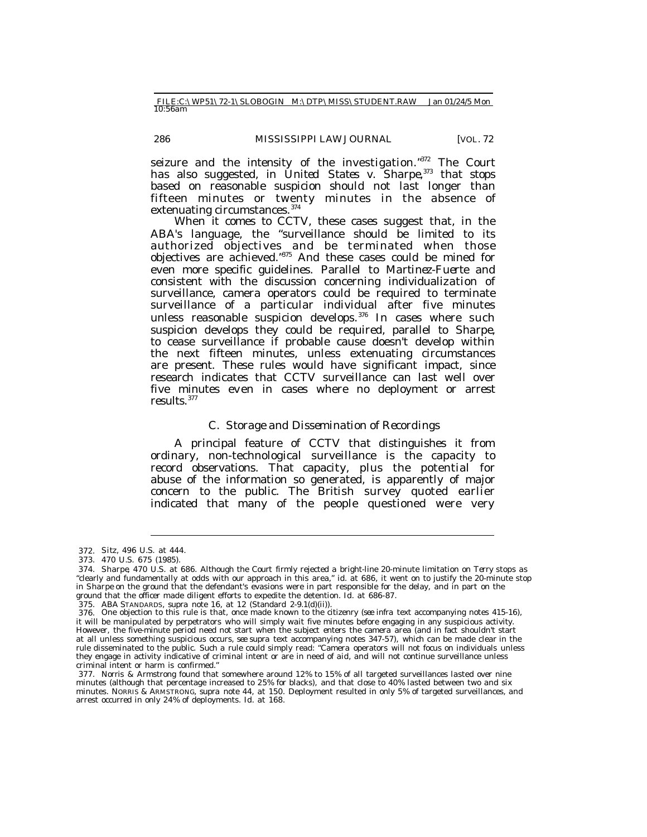seizure and the intensity of the investigation."<sup>372</sup> The Court has also suggested, in *United States v. Sharpe*, <sup>373</sup> that stops based on reasonable suspicion should not last longer than fifteen minutes or twenty minutes in the absence of extenuating circumstances.<sup>374</sup>

When it comes to CCTV, these cases suggest that, in the ABA's language, the "surveillance should be limited to its authorized objectives and be terminated when those objectives are achieved."<sup>375</sup> And these cases could be mined for even more specific guidelines. Parallel to *Martinez-Fuerte* and consistent with the discussion concerning individualization of surveillance, camera operators could be required to terminate surveillance of a particular individual after five minutes unless reasonable suspicion develops. $376$  In cases where such suspicion develops they could be required, parallel to *Sharpe*, to cease surveillance if probable cause doesn't develop within the next fifteen minutes, unless extenuating circumstances are present. These rules would have significant impact, since research indicates that CCTV surveillance can last well over five minutes even in cases where no deployment or arrest results.<sup>377</sup>

## *C. Storage and Dissemination of Recordings*

A principal feature of CCTV that distinguishes it from ordinary, non-technological surveillance is the capacity to record observations. That capacity, plus the potential for abuse of the information so generated, is apparently of major concern to the public. The British survey quoted earlier indicated that many of the people questioned were very

<sup>372.</sup> *Sitz*, 496 U.S. at 444.

<sup>373.</sup> 470 U.S. 675 (1985).

<sup>374.</sup> *Sharpe*, 470 U.S. at 686. Although the Court firmly rejected a bright-line 20-minute limitation on *Terry* stops as "clearly and fundamentally at odds with our approach in this area," *id*. at 686, it went on to justify the 20-minute stop in *Sharpe* on the ground that the defendant's evasions were in part responsible for the delay, and in part on the ground that the officer made diligent efforts to expedite the detention. *Id*. at 686-87.

<sup>375.</sup> ABA STANDARDS, *supra* note 16, at 12 (Standard 2-9.1(d)(ii)).

<sup>376.</sup> One objection to this rule is that, once made known to the citizenry (*see infra* text accompanying notes 415-16), it will be manipulated by perpetrators who will simply wait five minutes before engaging in any suspicious activity. However, the five-minute period need not start when the subject enters the camera area (and in fact shouldn't start at all unless something suspicious occurs, *see supra* text accompanying notes 347-57), which can be made clear in the rule disseminated to the public. Such a rule could simply read: "Camera operators will not focus on individuals unless they engage in activity indicative of criminal intent or are in need of aid, and will not continue surveillance unless criminal intent or harm is confirmed."

<sup>377.</sup> Norris & Armstrong found that somewhere around 12% to 15% of all targeted surveillances lasted over nine minutes (although that percentage increased to 25% for blacks), and that close to 40% lasted between two and six minutes. NORRIS & ARMSTRONG, *supra* note 44, at 150. Deployment resulted in only 5% of targeted surveillances, and arrest occurred in only 24% of deployments. *Id*. at 168.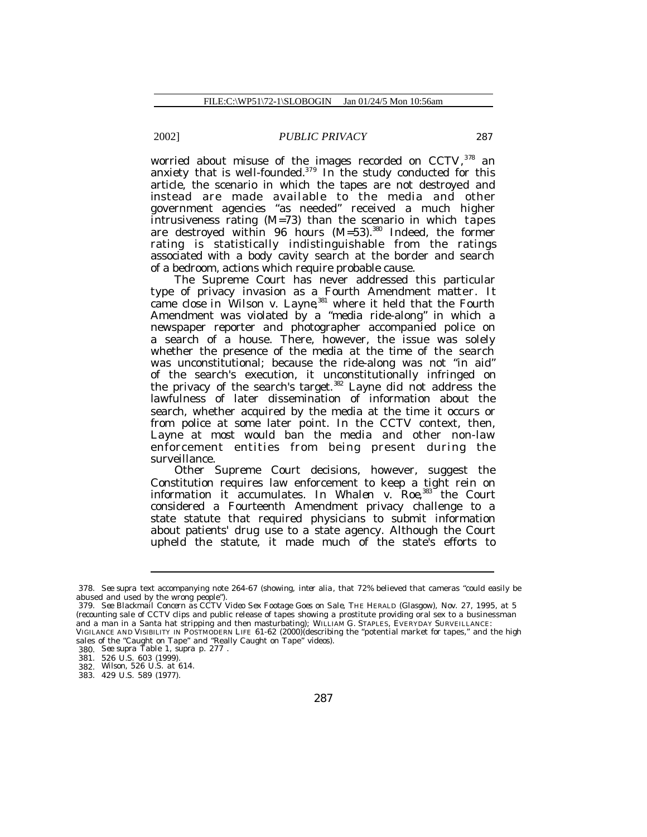worried about misuse of the images recorded on  $CCTV$ ,  $378$  an anxiety that is well-founded. $379$  In the study conducted for this article, the scenario in which the tapes are not destroyed and instead are made available to the media and other government agencies "as needed" received a much higher intrusiveness rating (M=73) than the scenario in which tapes are destroyed within 96 hours (M=53).<sup>380</sup> Indeed, the former rating is statistically indistinguishable from the ratings associated with a body cavity search at the border and search of a bedroom, actions which require probable cause.

The Supreme Court has never addressed this particular type of privacy invasion as a Fourth Amendment matter. It came close in *Wilson v. Layne*, <sup>381</sup> where it held that the Fourth Amendment was violated by a "media ride-along" in which a newspaper reporter and photographer accompanied police on a search of a house. There, however, the issue was solely whether the presence of the media at the time of the search was unconstitutional; because the ride-along was not "in aid" of the search's execution, it unconstitutionally infringed on the privacy of the search's target.<sup>382</sup> *Layne* did not address the lawfulness of later dissemination of information about the search, whether acquired by the media at the time it occurs or from police at some later point. In the CCTV context, then, *Layne* at most would ban the media and other non-law enforcement entities from being present during the surveillance.

Other Supreme Court decisions, however, suggest the Constitution requires law enforcement to keep a tight rein on information it accumulates. In *Whalen v. Roe*, <sup>383</sup> the Court considered a Fourteenth Amendment privacy challenge to a state statute that required physicians to submit information about patients' drug use to a state agency. Although the Court upheld the statute, it made much of the state's efforts to

287

<sup>378.</sup> *See supra* text accompanying note 264-67 (showing, *inter alia*, that 72% believed that cameras "could easily be abused and used by the wrong people").

<sup>379.</sup> *See Blackmail Concern as CCTV Video Sex Footage Goes on Sale*, THE HERALD (Glasgow), Nov. 27, 1995, at 5 (recounting sale of CCTV clips and public release of tapes showing a prostitute providing oral sex to a businessman and a man in a Santa hat stripping and then masturbating); WILLIAM G. STAPLES, EVERYDAY SURVEILLANCE: VIGILANCE AND VISIBILITY IN POSTMODERN LIFE 61-62 (2000)(describing the "potential market for tapes," and the high

sales of the "Caught on Tape" and "Really Caught on Tape" videos).

<sup>380.</sup> *See supra* Table 1, *supra* p. 277 .

<sup>381.</sup> 526 U.S. 603 (1999).

<sup>382.</sup> *Wilson*, 526 U.S. at 614.

<sup>383.</sup> 429 U.S. 589 (1977).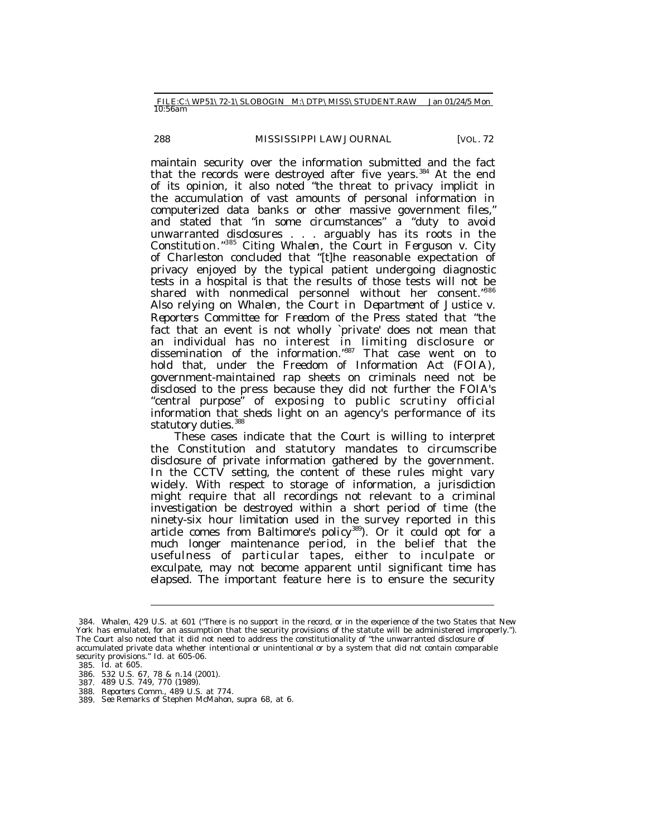maintain security over the information submitted and the fact that the records were destroyed after five years.<sup>384</sup> At the end of its opinion, it also noted "the threat to privacy implicit in the accumulation of vast amounts of personal information in computerized data banks or other massive government files," and stated that "in some circumstances" a "duty to avoid unwarranted disclosures . . . arguably has its roots in the Constitution."<sup>385</sup> Citing *Whalen*, the Court in *Ferguson v. City of Charleston* concluded that "[t]he reasonable expectation of privacy enjoyed by the typical patient undergoing diagnostic tests in a hospital is that the results of those tests will not be shared with nonmedical personnel without her consent."386 Also relying on *Whalen*, the Court in *Department of Justice v. Reporters Committee for Freedom of the Press* stated that "the fact that an event is not wholly `private' does not mean that an individual has no interest in limiting disclosure or dissemination of the information."<sup>387</sup> That case went on to hold that, under the Freedom of Information Act (FOIA), government-maintained rap sheets on criminals need not be disclosed to the press because they did not further the FOIA's "central purpose" of exposing to public scrutiny official information that sheds light on an agency's performance of its statutory duties.<sup>388</sup>

These cases indicate that the Court is willing to interpret the Constitution and statutory mandates to circumscribe disclosure of private information gathered by the government. In the CCTV setting, the content of these rules might vary widely. With respect to storage of information, a jurisdiction might require that all recordings not relevant to a criminal investigation be destroyed within a short period of time (the ninety-six hour limitation used in the survey reported in this article comes from Baltimore's policy<sup>389</sup>). Or it could opt for a much longer maintenance period, in the belief that the usefulness of particular tapes, either to inculpate or exculpate, may not become apparent until significant time has elapsed. The important feature here is to ensure the security

<sup>384.</sup> *Whalen*, 429 U.S. at 601 ("There is no support in the record, or in the experience of the two States that New York has emulated, for an assumption that the security provisions of the statute will be administered improperly."). The Court also noted that it did not need to address the constitutionality of "the unwarranted disclosure of accumulated private data whether intentional or unintentional or by a system that did not contain comparable security provisions." *Id*. at 605-06. 385. *Id*. at 605.

<sup>386.</sup> 532 U.S. 67, 78 & n.14 (2001).

<sup>387.</sup> 489 U.S. 749, 770 (1989).

<sup>388.</sup> *Reporters Comm.*, 489 U.S. at 774.

<sup>389.</sup> *See* Remarks of Stephen McMahon, *supra* 68, at 6.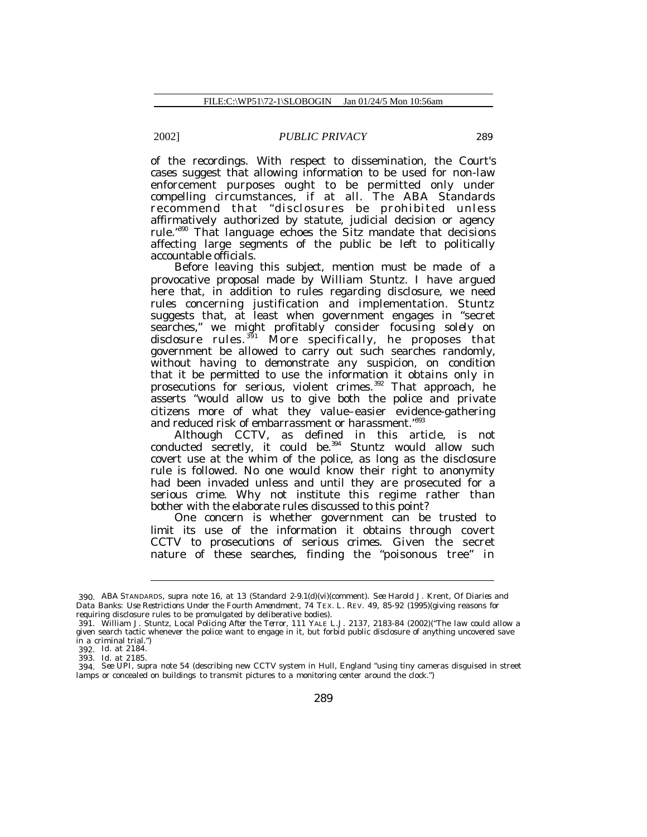of the recordings. With respect to dissemination, the Court's cases suggest that allowing information to be used for non-law enforcement purposes ought to be permitted only under compelling circumstances, if at all. The ABA Standards recommend that "disclosures be prohibited unless affirmatively authorized by statute, judicial decision or agency rule."<sup>390</sup> That language echoes the *Sitz* mandate that decisions affecting large segments of the public be left to politically accountable officials.

Before leaving this subject, mention must be made of a provocative proposal made by William Stuntz. I have argued here that, in addition to rules regarding disclosure, we need rules concerning justification and implementation. Stuntz suggests that, at least when government engages in "secret searches," we might profitably consider focusing *solely* on disclosure rules. <sup>391</sup> More specifically, he proposes that government be allowed to carry out such searches randomly, without having to demonstrate any suspicion, on condition that it be permitted to use the information it obtains only in prosecutions for serious, violent crimes.<sup>392</sup> That approach, he asserts "would allow us to give both the police and private citizens more of what they value–easier evidence-gathering and reduced risk of embarrassment or harassment."<sup>393</sup>

Although CCTV, as defined in this article, is not conducted secretly, it could be.<sup>394</sup> Stuntz would allow such covert use at the whim of the police, as long as the disclosure rule is followed. No one would know their right to anonymity had been invaded unless and until they are prosecuted for a serious crime. Why not institute this regime rather than bother with the elaborate rules discussed to this point?

One concern is whether government can be trusted to limit its use of the information it obtains through covert CCTV to prosecutions of serious crimes. Given the secret nature of these searches, finding the "poisonous tree" in

<sup>390.</sup> ABA STANDARDS, *supra* note 16, at 13 (Standard 2-9.1(d)(vi)(comment). *See* Harold J. Krent, *Of Diaries and Data Banks: Use Restrictions Under the Fourth Amendment*, 74 TEX. L. REV. 49, 85-92 (1995)(giving reasons for requiring disclosure rules to be promulgated by deliberative bodies).

<sup>391.</sup> William J. Stuntz, *Local Policing After the Terror*, 111 YALE L.J. 2137, 2183-84 (2002)("The law could allow a given search tactic whenever the police want to engage in it, but forbid public disclosure of anything uncovered save in a criminal trial.")

<sup>392.</sup> *Id*. at 2184.

<sup>393.</sup> *Id*. at 2185.

<sup>394.</sup> *See* UPI, *supra* note 54 (describing new CCTV system in Hull, England "using tiny cameras disguised in street lamps or concealed on buildings to transmit pictures to a monitoring center around the clock.")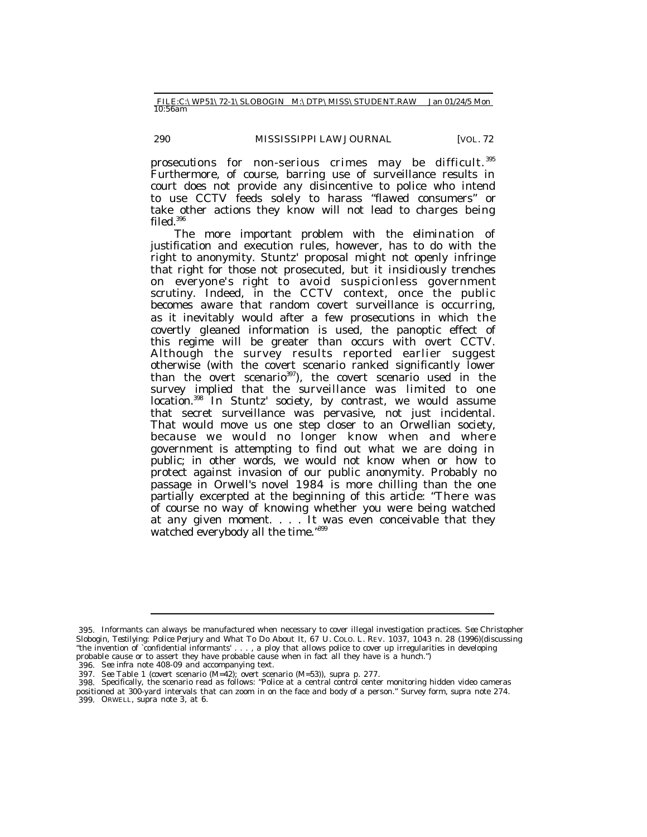prosecutions for non-serious crimes may be difficult. 395 Furthermore, of course, barring use of surveillance results in court does not provide any disincentive to police who intend to use CCTV feeds solely to harass "flawed consumers" or take other actions they know will not lead to charges being filed.<sup>396</sup>

The more important problem with the elimination of justification and execution rules, however, has to do with the right to anonymity. Stuntz' proposal might not openly infringe that right for those not prosecuted, but it *insidiously* trenches on *everyone's* right to avoid suspicionless government scrutiny. Indeed, in the CCTV context, once the public becomes aware that random covert surveillance is occurring, as it inevitably would after a few prosecutions in which the covertly gleaned information is used, the panoptic effect of this regime will be greater than occurs with overt CCTV. Although the survey results reported earlier suggest otherwise (with the covert scenario ranked significantly lower than the overt scenario<sup>397</sup>), the covert scenario used in the survey implied that the surveillance was limited to one location.<sup>398</sup> In Stuntz' society, by contrast, we would assume that secret surveillance was pervasive, not just incidental. That would move us one step closer to an Orwellian society, because we would no longer know when and where government is attempting to find out what we are doing in public; in other words, we would not know when or how to protect against invasion of our public anonymity. Probably no passage in Orwell's novel 1984 is more chilling than the one partially excerpted at the beginning of this article: "There was of course no way of knowing whether you were being watched at any given moment. . . . It was even conceivable that they watched everybody all the time."399

<sup>395.</sup> Informants can always be manufactured when necessary to cover illegal investigation practices. *See* Christopher Slobogin, *Testilying: Police Perjury and What To Do About It*, 67 U. COLO. L. REV. 1037, 1043 n. 28 (1996)(discussing "the invention of `confidential informants' . . . , a ploy that allows police to cover up irregularities in developing probable cause or to assert they have probable cause when in fact all they have is a hunch.") 396. *See infra* note 408-09 and accompanying text.

<sup>397.</sup> *See* Table 1 (covert scenario (M=42); overt scenario (M=53)), *supra* p. 277. 398. Specifically, the scenario read as follows: "Police at a central control center monitoring hidden video cameras positioned at 300-yard intervals that can zoom in on the face and body of a person." Survey form, *supra* note 274. 399. ORWELL, *supra* note 3, at 6.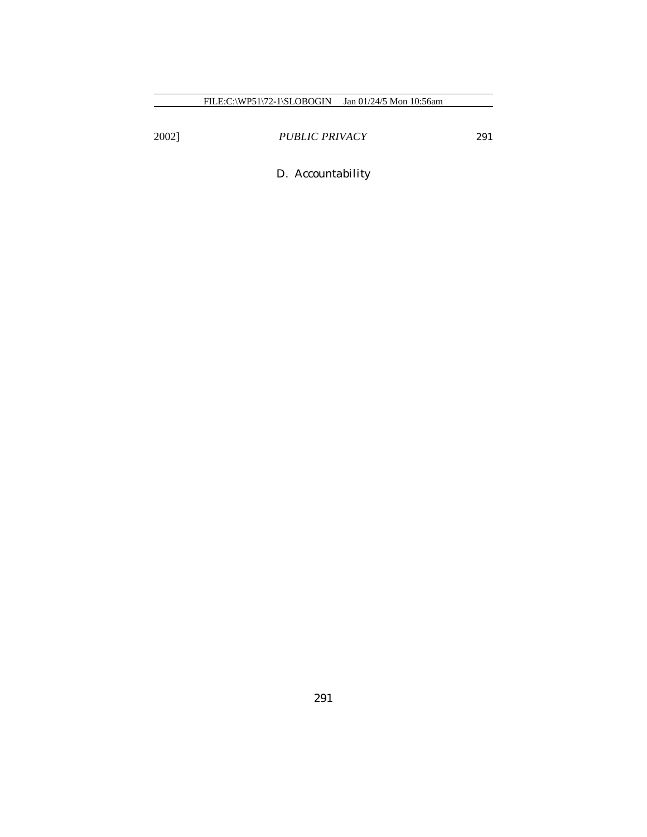*D. Accountability*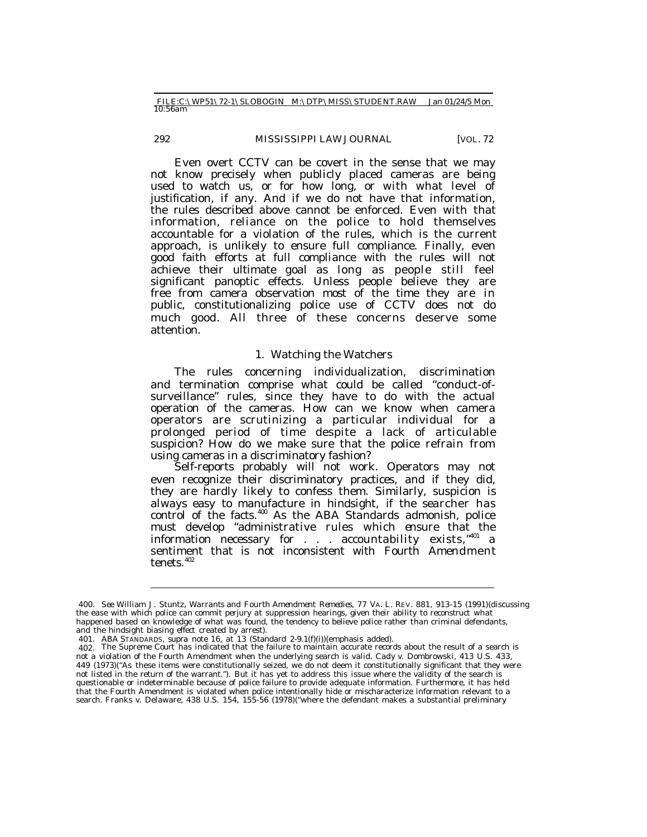Even overt CCTV can be covert in the sense that we may not know precisely when publicly placed cameras are being used to watch us, or for how long, or with what level of justification, if any. And if we do not have that information, the rules described above cannot be enforced. Even with that information, reliance on the police to hold themselves accountable for a violation of the rules, which is the current approach, is unlikely to ensure full compliance. Finally, even good faith efforts at full compliance with the rules will not achieve their ultimate goal as long as people still feel significant panoptic effects. Unless people believe they are free from camera observation most of the time they are in public, constitutionalizing police use of CCTV does not do much good. All three of these concerns deserve some attention.

# 1. Watching the Watchers

The rules concerning individualization, discrimination and termination comprise what could be called "conduct-ofsurveillance" rules, since they have to do with the actual operation of the cameras. How can we know when camera operators are scrutinizing a particular individual for a prolonged period of time despite a lack of articulable suspicion? How do we make sure that the police refrain from using cameras in a discriminatory fashion?

Self-reports probably will not work. Operators may not even recognize their discriminatory practices, and if they did, they are hardly likely to confess them. Similarly, suspicion is always easy to manufacture in hindsight, if the searcher has control of the facts.<sup>400</sup> As the ABA Standards admonish, police must develop "administrative rules which *ensure* that the information necessary for . . . accountability exists,"<sup>401</sup> a sentiment that is not inconsistent with Fourth Amendment tenets. $402$ 

<sup>400.</sup> *See* William J. Stuntz, *Warrants and Fourth Amendment Remedies*, 77 VA. L. REV. 881, 913-15 (1991)(discussing the ease with which police can commit perjury at suppression hearings, given their ability to reconstruct what happened based on knowledge of what was found, the tendency to believe police rather than criminal defendants, and the hindsight biasing effect created by arrest).

<sup>401.</sup> ABA STANDARDS, *supra* note 16, at 13 (Standard 2-9.1(f)(i))(emphasis added).

<sup>402.</sup> The Supreme Court has indicated that the failure to maintain accurate records about the result of a search is not a violation of the Fourth Amendment when the underlying search is valid. Cady v. Dombrowski, 413 U.S. 433, 449 (1973)("As these items were constitutionally seized, we do not deem it constitutionally significant that they were not listed in the return of the warrant."). But it has yet to address this issue where the validity of the search is questionable or indeterminable because of police failure to provide adequate information. Furthermore, it has held that the Fourth Amendment is violated when police intentionally hide or mischaracterize information relevant to a search. Franks v. Delaware, 438 U.S. 154, 155-56 (1978)("where the defendant makes a substantial preliminary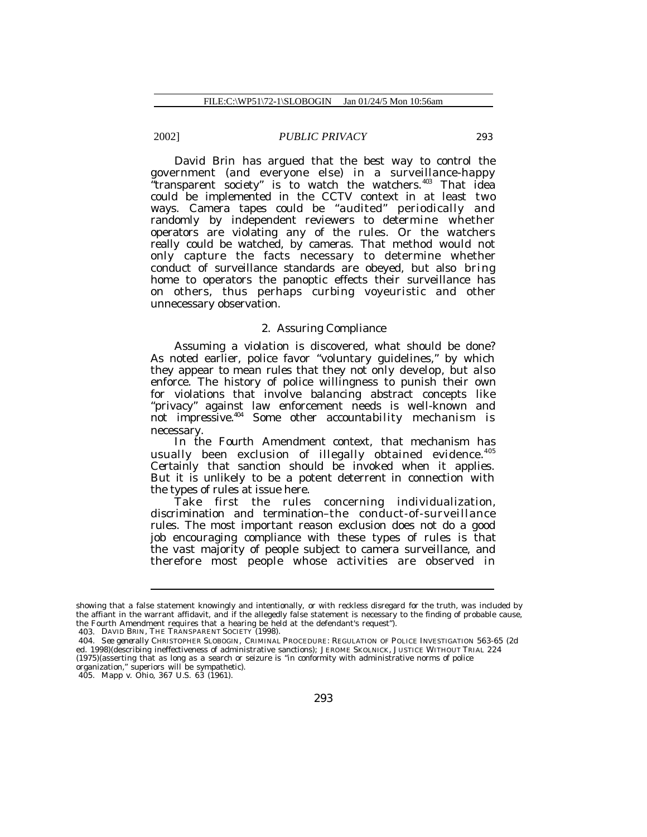David Brin has argued that the best way to control the government (and everyone else) in a surveillance-happy "transparent society" is to watch the watchers.<sup>403</sup> That idea could be implemented in the CCTV context in at least two ways. Camera tapes could be "audited" periodically and randomly by independent reviewers to determine whether operators are violating any of the rules. Or the watchers really could be watched, by cameras. That method would not only capture the facts necessary to determine whether conduct of surveillance standards are obeyed, but also bring home to operators the panoptic effects their surveillance has on others, thus perhaps curbing voyeuristic and other unnecessary observation.

#### 2. Assuring Compliance

Assuming a violation is discovered, what should be done? As noted earlier, police favor "voluntary guidelines," by which they appear to mean rules that they not only develop, but also enforce. The history of police willingness to punish their own for violations that involve balancing abstract concepts like "privacy" against law enforcement needs is well-known and not impressive.<sup>404</sup> Some other accountability mechanism is necessary.

In the Fourth Amendment context, that mechanism has usually been exclusion of illegally obtained evidence.<sup>405</sup> Certainly that sanction should be invoked when it applies. But it is unlikely to be a potent deterrent in connection with the types of rules at issue here.

Take first the rules concerning individualization, discrimination and termination–the conduct-of-surveillance rules. The most important reason exclusion does not do a good job encouraging compliance with these types of rules is that the vast majority of people subject to camera surveillance, and therefore most people whose activities are observed in

showing that a false statement knowingly and intentionally, or with reckless disregard for the truth, was included by the affiant in the warrant affidavit, and if the allegedly false statement is necessary to the finding of probable cause, the Fourth Amendment requires that a hearing be held at the defendant's request"). 403. DAVID BRIN, THE TRANSPARENT SOCIETY (1998).

<sup>404.</sup> *See generally* CHRISTOPHER SLOBOGIN, CRIMINAL PROCEDURE: REGULATION OF POLICE INVESTIGATION 563-65 (2d ed. 1998)(describing ineffectiveness of administrative sanctions); JEROME SKOLNICK, JUSTICE WITHOUT TRIAL 224 (1975)(asserting that as long as a search or seizure is "in conformity with administrative norms of police organization," superiors will be sympathetic).

<sup>405.</sup> Mapp v. Ohio, 367 U.S. 63 (1961).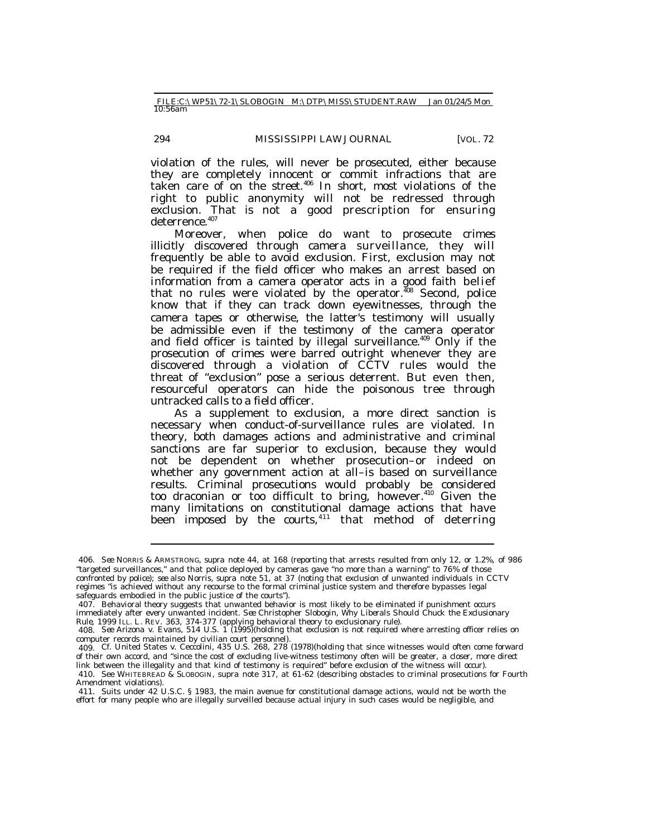violation of the rules, will never be prosecuted, either because they are completely innocent or commit infractions that are taken care of on the street.<sup>406</sup> In short, most violations of the right to public anonymity will not be redressed through exclusion. That is not a good prescription for ensuring deterrence.<sup>407</sup>

Moreover, when police *do* want to prosecute crimes illicitly discovered through camera surveillance, they will frequently be able to avoid exclusion. First, exclusion may not be required if the field officer who makes an arrest based on information from a camera operator acts in a good faith belief that no rules were violated by the operator.<sup>408</sup> Second, police know that if they can track down eyewitnesses, through the camera tapes or otherwise, the latter's testimony will usually be admissible even if the testimony of the camera operator and field officer is tainted by illegal surveillance.<sup>409</sup> Only if the prosecution of crimes were barred outright whenever they are discovered through a violation of CCTV rules would the threat of "exclusion" pose a serious deterrent. But even then, resourceful operators can hide the poisonous tree through untracked calls to a field officer.

As a supplement to exclusion, a more direct sanction is necessary when conduct-of-surveillance rules are violated. In theory, both damages actions and administrative and criminal sanctions are far superior to exclusion, because they would not be dependent on whether prosecution–or indeed on whether any government action at all–is based on surveillance results. Criminal prosecutions would probably be considered too draconian or too difficult to bring, however.<sup>410</sup> Given the many limitations on constitutional damage actions that have been imposed by the courts,<sup>411</sup> that method of deterring

<sup>406.</sup> *See* NORRIS & ARMSTRONG, *supra* note 44, at 168 (reporting that arrests resulted from only 12, or 1.2%, of 986 "targeted surveillances," and that police deployed by cameras gave "no more than a warning" to 76% of those confronted by police); *see also* Norris, *supra* note 51, at 37 (noting that exclusion of unwanted individuals in CCTV regimes "is achieved without any recourse to the formal criminal justice system and therefore bypasses legal safeguards embodied in the public justice of the courts").

<sup>407.</sup> Behavioral theory suggests that unwanted behavior is most likely to be eliminated if punishment occurs immediately after every unwanted incident. *See* Christopher Slobogin, *Why Liberals Should Chuck the Exclusionary Rule*, 1999 ILL. L. REV. 363, 374-377 (applying behavioral theory to exclusionary rule). 408. *See* Arizona v. Evans, 514 U.S. 1 (1995)(holding that exclusion is not required where arresting officer relies on

computer records maintained by civilian court personnel). 409. *Cf.* United States v. Ceccolini, 435 U.S. 268, 278 (1978)(holding that since witnesses would often come forward of their own accord, and "since the cost of excluding live-witness testimony often will be greater, a closer, more direct link between the illegality and that kind of testimony is required" before exclusion of the witness will occur). 410. See WHITEBREAD & SLOBOGIN, supra note 317, at 61-62 (describing obstacles to criminal prosecutions for Fourth Amendment violations).

<sup>411.</sup> Suits under 42 U.S.C. § 1983, the main avenue for constitutional damage actions, would not be worth the effort for many people who are illegally surveilled because actual injury in such cases would be negligible, and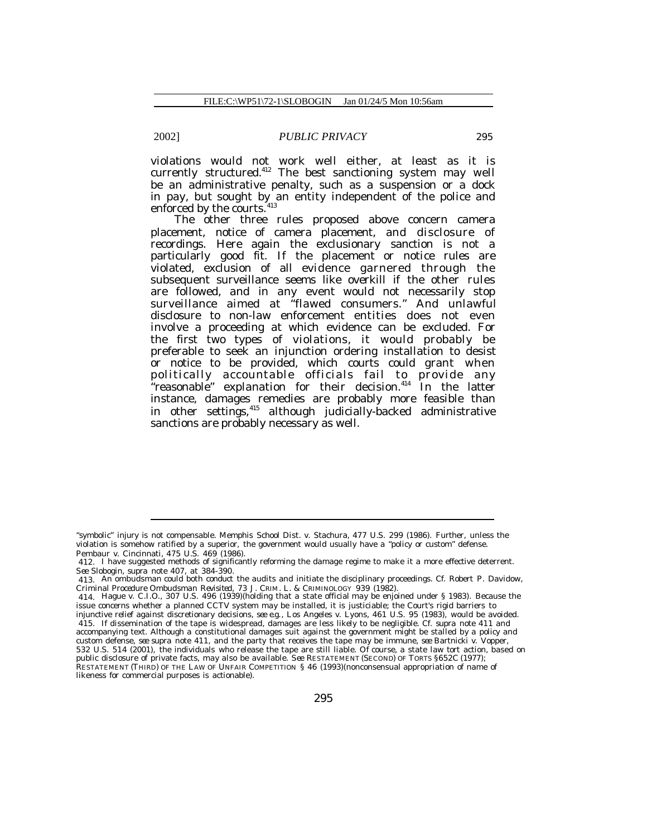violations would not work well either, at least as it is currently structured.<sup>412</sup> The best sanctioning system may well be an administrative penalty, such as a suspension or a dock in pay, but sought by an entity independent of the police and enforced by the courts.<sup>413</sup>

The other three rules proposed above concern camera placement, notice of camera placement, and disclosure of recordings. Here again the exclusionary sanction is not a particularly good fit. If the placement or notice rules are violated, exclusion of all evidence garnered through the subsequent surveillance seems like overkill if the other rules are followed, and in any event would not necessarily stop surveillance aimed at "flawed consumers." And unlawful disclosure to non-law enforcement entities does not even involve a proceeding at which evidence can be excluded. For the first two types of violations, it would probably be preferable to seek an injunction ordering installation to desist or notice to be provided, which courts could grant when politically accountable officials fail to provide any "reasonable" explanation for their decision.<sup>414</sup> In the latter instance, damages remedies are probably more feasible than in other settings,<sup>415</sup> although judicially-backed administrative sanctions are probably necessary as well.

<sup>&</sup>quot;symbolic" injury is not compensable. Memphis School Dist. v. Stachura, 477 U.S. 299 (1986). Further, unless the violation is somehow ratified by a superior, the government would usually have a "policy or custom" defense. Pembaur v. Cincinnati, 475 U.S. 469 (1986).

<sup>412.</sup> I have suggested methods of significantly reforming the damage regime to make it a more effective deterrent. *See* Slobogin, *supra* note 407, at 384-390.

<sup>413.</sup> An ombudsman could both conduct the audits and initiate the disciplinary proceedings. *Cf.* Robert P. Davidow, *Criminal Procedure Ombudsman Revisited*, 73 J. CRIM. L. & CRIMINOLOGY 939 (1982).

<sup>414.</sup> Hague v. C.I.O., 307 U.S. 496 (1939)(holding that a state official may be enjoined under § 1983). Because the issue concerns whether a planned CCTV system may be installed, it is justiciable; the Court's rigid barriers to injunctive relief against discretionary decisions, *see e.g.*, Los Angeles v. Lyons, 461 U.S. 95 (1983), would be avoided. 415. If dissemination of the tape is widespread, damages are less likely to be negligible. *Cf. supra* note 411 and accompanying text. Although a constitutional damages suit against the government might be stalled by a policy and custom defense, *see supra* note 411, and the party that receives the tape may be immune, *see* Bartnicki v. Vopper, 532 U.S. 514 (2001), the individuals who release the tape are still liable. Of course, a state law tort action, based on public disclosure of private facts, may also be available. *See* RESTATEMENT (SECOND) OF TORTS §652C (1977); RESTATEMENT (THIRD) OF THE LAW OF UNFAIR COMPETITION § 46 (1993)(nonconsensual appropriation of name of likeness for commercial purposes is actionable).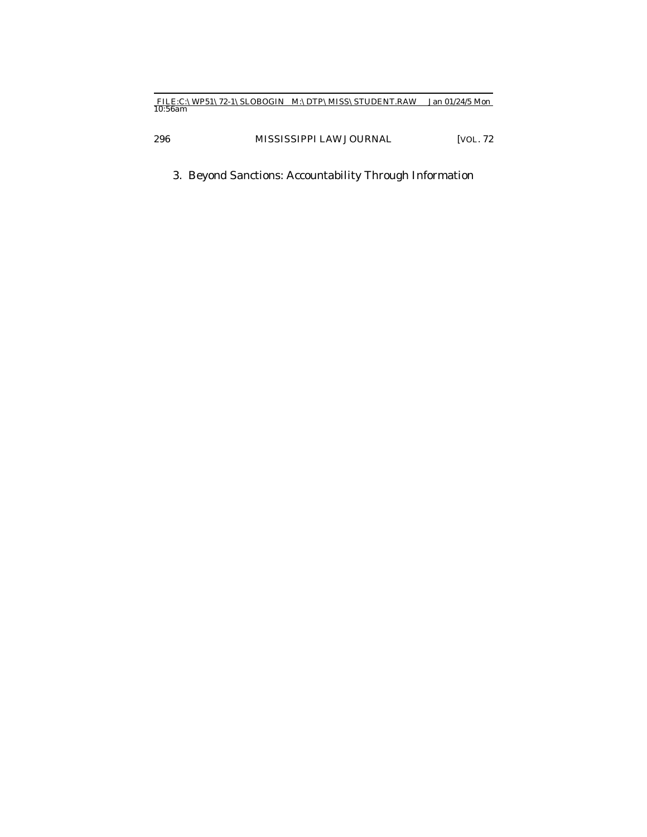FILE:C:\WP51\72-1\SLOBOGIN M:\DTP\MISS\STUDENT.RAW Jan 01/24/5 Mon 10:56am

296 *MISSISSIPPI LAW JOURNAL* [VOL. 72

3. Beyond Sanctions: Accountability Through Information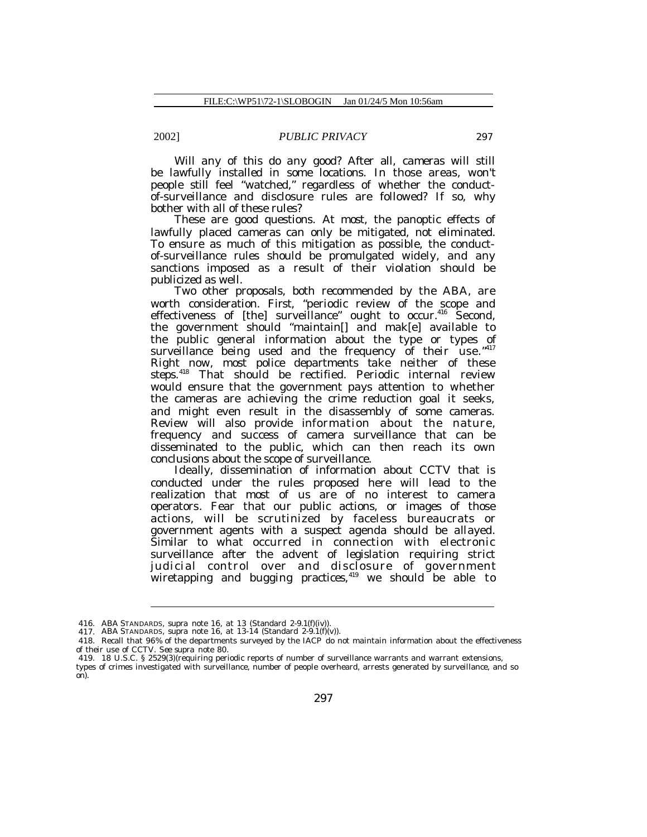Will any of this do any good? After all, cameras will still be lawfully installed in some locations. In those areas, won't people still feel "watched," regardless of whether the conductof-surveillance and disclosure rules are followed? If so, why bother with all of these rules?

These are good questions. At most, the panoptic effects of lawfully placed cameras can only be mitigated, not eliminated. To ensure as much of this mitigation as possible, the conductof-surveillance rules should be promulgated widely, and any sanctions imposed as a result of their violation should be publicized as well.

Two other proposals, both recommended by the ABA, are worth consideration. First, "periodic review of the scope and effectiveness of [the] surveillance" ought to occur.<sup>416</sup> Second, the government should "maintain[] and mak[e] available to the public general information about the type or types of surveillance being used and the frequency of their use."417 Right now, most police departments take neither of these steps.<sup>418</sup> That should be rectified. Periodic internal review would ensure that the government pays attention to whether the cameras are achieving the crime reduction goal it seeks, and might even result in the disassembly of some cameras. Review will also provide information about the nature, frequency and success of camera surveillance that can be disseminated to the public, which can then reach its own conclusions about the scope of surveillance.

Ideally, dissemination of information about CCTV that is conducted under the rules proposed here will lead to the realization that most of us are of no interest to camera operators. Fear that our public actions, or images of those actions, will be scrutinized by faceless bureaucrats or government agents with a suspect agenda should be allayed. Similar to what occurred in connection with electronic surveillance after the advent of legislation requiring strict judicial control over and disclosure of government wiretapping and bugging practices, $419$  we should be able to

<sup>416.</sup> ABA STANDARDS, *supra* note 16, at 13 (Standard 2-9.1(f)(iv)). 417. ABA STANDARDS, *supra* note 16, at 13-14 (Standard 2-9.1(f)(v)).

<sup>418.</sup> Recall that 96% of the departments surveyed by the IACP do not maintain information about the effectiveness of their use of CCTV. *See supra* note 80.

<sup>419.</sup> 18 U.S.C. § 2529(3)(requiring periodic reports of number of surveillance warrants and warrant extensions, types of crimes investigated with surveillance, number of people overheard, arrests generated by surveillance, and so on).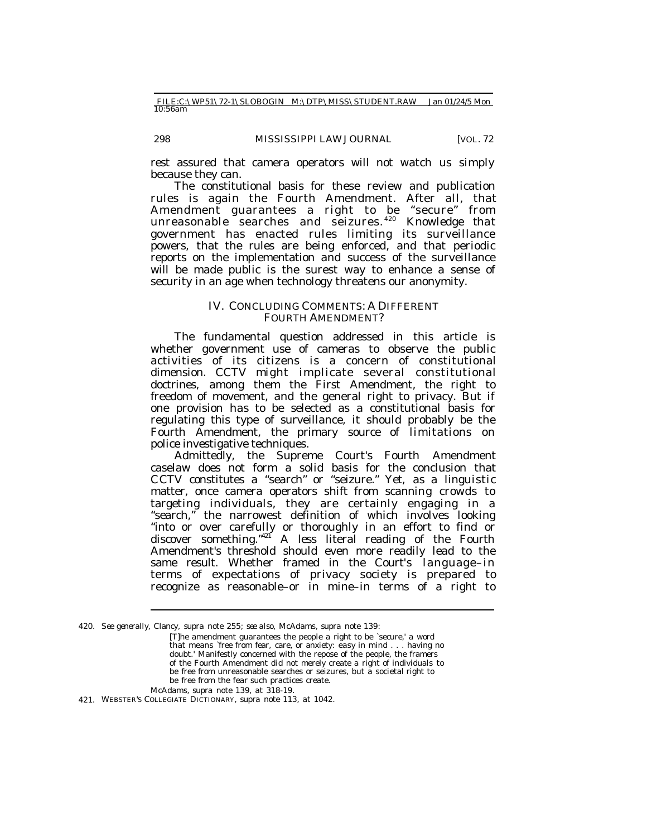rest assured that camera operators will not watch us simply because they can.

The constitutional basis for these review and publication rules is again the Fourth Amendment. After all, that Amendment guarantees a right to be "secure" from unreasonable searches and seizures.<sup>420</sup> Knowledge that government has enacted rules limiting its surveillance powers, that the rules are being enforced, and that periodic reports on the implementation and success of the surveillance will be made public is the surest way to enhance a sense of security in an age when technology threatens our anonymity.

## IV. CONCLUDING COMMENTS: A DIFFERENT FOURTH AMENDMENT?

The fundamental question addressed in this article is whether government use of cameras to observe the public activities of its citizens is a concern of constitutional dimension. CCTV might implicate several constitutional doctrines, among them the First Amendment, the right to freedom of movement, and the general right to privacy. But if one provision has to be selected as a constitutional basis for regulating this type of surveillance, it should probably be the Fourth Amendment, the primary source of limitations on police investigative techniques.

Admittedly, the Supreme Court's Fourth Amendment caselaw does not form a solid basis for the conclusion that CCTV constitutes a "search" or "seizure." Yet, as a linguistic matter, once camera operators shift from scanning crowds to targeting individuals, they are certainly engaging in a "search," the narrowest definition of which involves looking "into or over carefully or thoroughly in an effort to find or discover something."<sup>421</sup> A less literal reading of the Fourth Amendment's threshold should even more readily lead to the same result. Whether framed in the Court's language–in terms of expectations of privacy society is prepared to recognize as reasonable–or in mine–in terms of a right to

#### 421. WEBSTER'S COLLEGIATE DICTIONARY, *supra* note 113, at 1042.

<sup>420.</sup> *See generally*, Clancy, *supra* note 255; *see also*, McAdams, *supra* note 139:

<sup>[</sup>T]he amendment guarantees the people a right to be `secure,' a word that means `free from fear, care, or anxiety: easy in mind . . . having no doubt.' Manifestly concerned with the repose of the people, the framers of the Fourth Amendment did not merely create a right of individuals to be free from unreasonable searches or seizures, but a societal right to be free from the fear such practices create.

McAdams, *supra* note 139, at 318-19.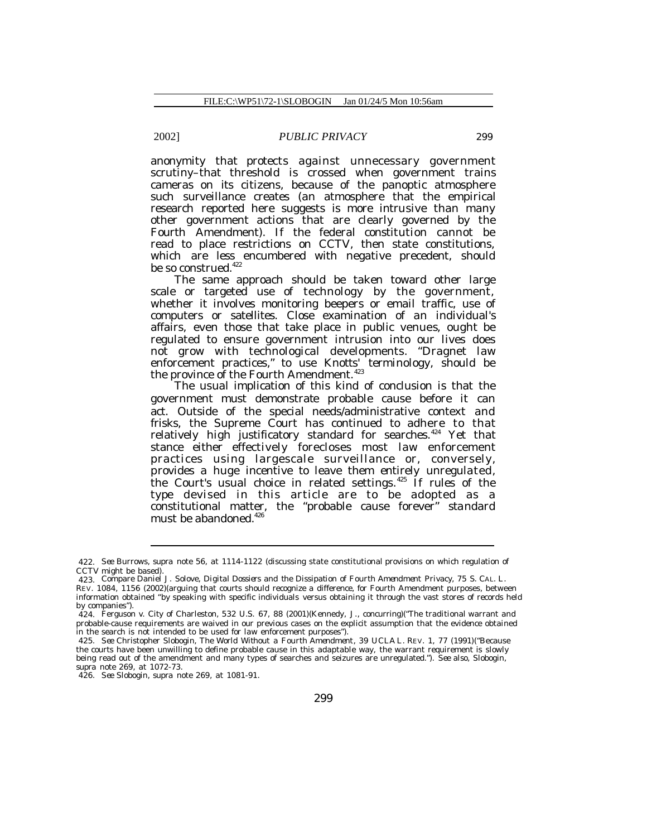anonymity that protects against unnecessary government scrutiny–that threshold is crossed when government trains cameras on its citizens, because of the panoptic atmosphere such surveillance creates (an atmosphere that the empirical research reported here suggests is more intrusive than many other government actions that are clearly governed by the Fourth Amendment). If the federal constitution cannot be read to place restrictions on CCTV, then state constitutions, which are less encumbered with negative precedent, should be so construed.<sup>422</sup>

The same approach should be taken toward other large scale or targeted use of technology by the government, whether it involves monitoring beepers or email traffic, use of computers or satellites. Close examination of an individual's affairs, even those that take place in public venues, ought be regulated to ensure government intrusion into our lives does not grow with technological developments. "Dragnet law enforcement practices," to use *Knotts'* terminology, should be the province of the Fourth Amendment.<sup>423</sup>

The usual implication of this kind of conclusion is that the government must demonstrate probable cause before it can act. Outside of the special needs/administrative context and frisks, the Supreme Court has continued to adhere to that relatively high justificatory standard for searches.<sup>424</sup> Yet that stance either effectively forecloses most law enforcement practices using largescale surveillance or, conversely, provides a huge incentive to leave them entirely unregulated, the Court's usual choice in related settings.<sup>425</sup> If rules of the type devised in this article are to be adopted as a constitutional matter, the "probable cause forever" standard must be abandoned.<sup>426</sup>

<sup>422.</sup> *See* Burrows, *supra* note 56, at 1114-1122 (discussing state constitutional provisions on which regulation of CCTV might be based).

<sup>423.</sup> *Compare* Daniel J. Solove, *Digital Dossiers and the Dissipation of Fourth Amendment Privacy,* 75 S. CAL. L.

REV. 1084, 1156 (2002)(arguing that courts should recognize a difference, for Fourth Amendment purposes, between information obtained "by speaking with specific individuals versus obtaining it through the vast stores of records held by companies").

<sup>424.</sup> Ferguson v. City of Charleston, 532 U.S. 67, 88 (2001)(Kennedy, J., concurring)("The traditional warrant and probable-cause requirements are waived in our previous cases on the explicit assumption that the evidence obtained in the search is not intended to be used for law enforcement purposes").

<sup>425.</sup> *See* Christopher Slobogin, *The World Without a Fourth Amendment*, 39 UCLA L. REV. 1, 77 (1991)("Because the courts have been unwilling to define probable cause in this adaptable way, the warrant requirement is slowly being read out of the amendment and many types of searches and seizures are unregulated."). *See also*, Slobogin, *supra* note 269, at 1072-73.

<sup>426.</sup> *See* Slobogin, *supra* note 269, at 1081-91.